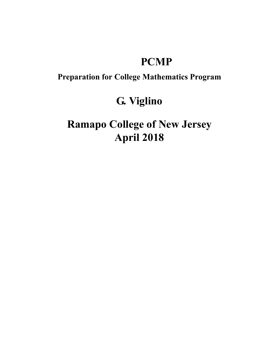# **PCMP**

# **Preparation for College Mathematics Program**

# **G. Viglino**

# **Ramapo College of New Jersey April 2018**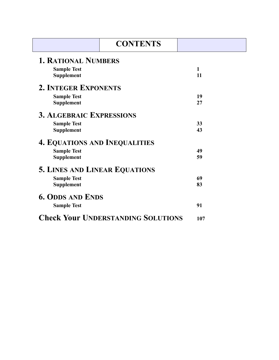|                                      | <b>CONTENTS</b>                           |     |
|--------------------------------------|-------------------------------------------|-----|
| <b>1. RATIONAL NUMBERS</b>           |                                           |     |
| <b>Sample Test</b>                   |                                           | 1   |
| <b>Supplement</b>                    |                                           | 11  |
| <b>2. INTEGER EXPONENTS</b>          |                                           |     |
| <b>Sample Test</b>                   |                                           | 19  |
| <b>Supplement</b>                    |                                           | 27  |
| <b>3. ALGEBRAIC EXPRESSIONS</b>      |                                           |     |
| <b>Sample Test</b>                   |                                           | 33  |
| <b>Supplement</b>                    |                                           | 43  |
| <b>4. EQUATIONS AND INEQUALITIES</b> |                                           |     |
| <b>Sample Test</b>                   |                                           | 49  |
| <b>Supplement</b>                    |                                           | 59  |
| <b>5. LINES AND LINEAR EQUATIONS</b> |                                           |     |
| <b>Sample Test</b>                   |                                           | 69  |
| <b>Supplement</b>                    |                                           | 83  |
| <b>6. ODDS AND ENDS</b>              |                                           |     |
| <b>Sample Test</b>                   |                                           | 91  |
|                                      | <b>Check Your UNDERSTANDING SOLUTIONS</b> | 107 |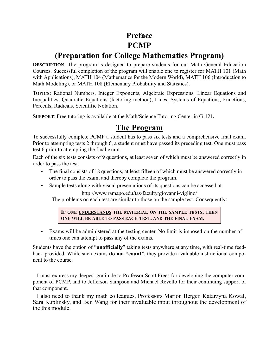# **Preface PCMP**

## **(Preparation for College Mathematics Program)**

**DESCRIPTION:** The program is designed to prepare students for our Math General Education Courses. Successful completion of the program will enable one to register for MATH 101 (Math with Applications), MATH 104 (Mathematics for the Modern World), MATH 106 (Introduction to Math Modeling), or MATH 108 (Elementary Probability and Statistics).

**TOPICS:** Rational Numbers, Integer Exponents, Algebraic Expressions, Linear Equations and Inequalities, Quadratic Equations (factoring method), Lines, Systems of Equations, Functions, Percents, Radicals, Scientific Notation.

**SUPPORT**: Free tutoring is available at the Math/Science Tutoring Center in G-121**.**

## **The Program**

To successfully complete PCMP a student has to pass six tests and a comprehensive final exam. Prior to attempting tests 2 through 6, a student must have passed its preceding test. One must pass test 6 prior to attempting the final exam.

Each of the six tests consists of 9 questions, at least seven of which must be answered correctly in order to pass the test.

- The final consists of 18 questions, at least fifteen of which must be answered correctly in order to pass the exam, and thereby complete the program.
- Sample tests along with visual presentations of its questions can be accessed at

http://www.ramapo.edu/tas/faculty/giovanni-viglino/

The problems on each test are similar to those on the sample test. Consequently:

**IF ONE UNDERSTANDS THE MATERIAL ON THE SAMPLE TESTS, THEN ONE WILL BE ABLE TO PASS EACH TEST, AND THE FINAL EXAM.** 

• Exams will be administered at the testing center. No limit is imposed on the number of times one can attempt to pass any of the exams.

Students have the option of "**unofficially**" taking tests anywhere at any time, with real-time feedback provided. While such exams **do not "count"**, they provide a valuable instructional component to the course.

I must express my deepest gratitude to Professor Scott Frees for developing the computer component of PCMP, and to Jefferson Sampson and Michael Revello for their continuing support of that component.

I also need to thank my math colleagues, Professors Marion Berger, Katarzyna Kowal, Sara Kuplinsky, and Ben Wang for their invaluable input throughout the development of the this module.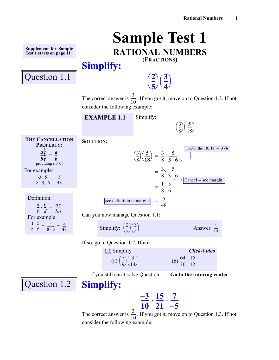

**Supplement for Sample Test 1 starts on page 11.**

Question 1.1 **2**

 $\left(\frac{2}{5}\right)\left(\frac{3}{4}\right)$ 

The correct answer is  $\frac{3}{10}$ . If you got it, move on to Question 1.2. If not, consider the following example: 10  $\frac{5}{10}$ 

**EXAMPLE 1.1** Simplify:

3  $\left(\frac{3}{8}\right)\left(\frac{5}{18}\right)$ 

**THE CANCELLATION PROPERTY:** For example: Definition: *ac bc*  $\frac{ac}{bc} = \frac{a}{b}$ (providing  $c \neq 0$ )  $\frac{\sqrt{3}\cdot 5}{8\cdot \sqrt{3}\cdot 6} = \frac{5}{48}$ 

For example: *a b*  $\frac{a}{7}$ .  $\frac{c}{7}$ *d*  $\cdot \frac{c}{d} = \frac{ac}{bd}$ 1  $\frac{1}{8} \cdot \frac{5}{6} = \frac{1 \cdot 5}{8 \cdot 6} = \frac{5}{48}$  **SOLUTION:**

**Simplify:**



Can you now manage Question 1.1:

Simplify:  $\left(\frac{2}{5}\right)\left(\frac{3}{5}\right)$  Answer:  $\left(\frac{2}{5}\right)\left(\frac{3}{4}\right)$  $\left(\frac{3}{4}\right)$  Answer:  $\frac{3}{10}$ 

Factor the 18:  $18 = 3 \cdot 6$ 

If so, go to Question 1.2. If not:

**Simplify:**

| <b>1.1</b> Simplify                                     | Click-Video                             |
|---------------------------------------------------------|-----------------------------------------|
| (a) $\left(\frac{7}{9}\right)\left(\frac{3}{14}\right)$ | (b) $\frac{64}{30} \cdot \frac{15}{12}$ |

If you still can't solve Question 1.1: **Go to the tutoring center**.

Question 1.2

–**3 10**  $\frac{-3}{10} \cdot \frac{15}{21}$ **21**  $\frac{15}{21} \cdot \frac{7}{7}$  $\frac{15}{21} \cdot \frac{7}{-5}$ 

The correct answer is  $\frac{3}{10}$ . If you got it, move on to Question 1.3. If not, consider the following example: 10  $\frac{5}{10}$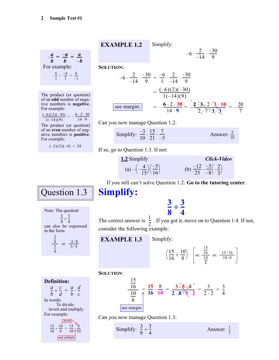$$
-\frac{a}{b} = \frac{-a}{b} = \frac{a}{-b}
$$
  
For example:  

$$
-\frac{6}{1} = \frac{-6}{1} = \frac{6}{-1}
$$

The product (or quotient) of an **odd** number of negative numbers is **negative.** For example:

$$
\frac{(-6)(2)(-30)}{1(-14)(9)} = -\frac{6 \cdot 2 \cdot 30}{14 \cdot 9}
$$

The product (or quotient) of an **even** number of negative numbers is **positive**. For example:

$$
(-2)(3)(-4) = 24
$$

**EXAMPLE 1.2** Simplify:

 $6 \cdot \frac{2}{-14}$  $-6 \cdot \frac{2}{-14} \cdot \frac{-30}{9}$ 

**SOLUTION:**

$$
-6 \cdot \frac{2}{-14} \cdot \frac{-30}{9} = \frac{-6}{1} \cdot \frac{2}{-14} \cdot \frac{-30}{9}
$$
  
= 
$$
\frac{(-6)(2)(-30)}{1(-14)(9)}
$$
  
see margin: 
$$
= -\frac{6 \cdot 2 \cdot 30}{14 \cdot 9} = -\frac{2 \cdot 3 \cdot 2 \cdot 3 \cdot 10}{2 \cdot 7 \cdot 3 \cdot 3} = -\frac{20}{7}
$$

Can you now manage Question 1.2:

Simplify: 
$$
\frac{-3}{10} \cdot \frac{15}{21} \cdot \frac{7}{-5}
$$
 Answer:  $\frac{3}{10}$ 

If so, go to Question 1.3. If not:

| 1.2 Simplify                          | Click-Video                                                        |
|---------------------------------------|--------------------------------------------------------------------|
| (a) $-(-\frac{4}{15})(\frac{-5}{16})$ | (b) $\frac{-12}{25} \cdot \frac{-5}{-8} \left(-\frac{2}{3}\right)$ |

If you still can't solve Question 1.2: **Go to the tutoring center**.

Question 1.3

Note: The quotient can also be expressed in the form: 3  $\frac{3}{8} \div \frac{3}{4}$  $\frac{3}{8}$ 3  $\frac{3}{4}$  $\frac{8}{2}$  or  $\frac{3/8}{2}$ 

# **Simplify:**

$$
\frac{3}{8} \div \frac{3}{4}
$$

The correct answer is  $\frac{1}{2}$ . If you got it, move on to Question 1.4. If not, consider the following example: 1 2  $\frac{1}{2}$ 

**EXAMPLE 1.3** Simplify:

$$
\left(\frac{15}{16} \div \frac{10}{8}\right)
$$
 or:  $\frac{\frac{15}{16}}{\frac{10}{8}}$  or:  $\frac{15/16}{10/8}$ 

**Definition:** In words: To divide: invert and multiply For example: *a b*  $\frac{a}{7} \div \frac{c}{7}$  $\frac{c}{d} = \frac{a}{b}$  $=\frac{a}{b} \cdot \frac{d}{c}$ 15  $\frac{15}{16} \div \frac{10}{8} = \frac{15}{16}$  $=\frac{15}{16}$   $\frac{8}{10}$ invert and multiply

**SOLUTION**:

$$
\frac{\frac{15}{16}}{\frac{10}{8}} = \frac{15}{16} \cdot \frac{8}{10} = \frac{3 \cdot 5 \cdot 8}{2 \cdot 8 \cdot 5 \cdot 2} = \frac{3}{2 \cdot 2} = \frac{3}{4}
$$
  
see margin

Can you now manage Question 1.3:

Simplify: 
$$
\frac{3}{8} \div \frac{3}{4}
$$
 Answer:  $\frac{1}{2}$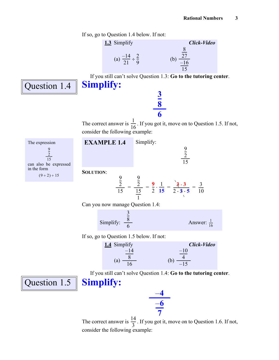

**SOLUTION**:

in the form

 $(9 \div 2) \div 15$ 

$$
\frac{\frac{9}{2}}{15} = \frac{\frac{9}{2}}{\frac{15}{1}} = \frac{9}{2} \cdot \frac{1}{15} = \frac{3 \cdot 3}{2 \cdot 3 \cdot 5} = \frac{3}{10}
$$

Can you now manage Question 1.4:

Simplify: 
$$
\frac{\frac{3}{8}}{6}
$$
 Answer:  $\frac{1}{16}$ 

If so, go to Question 1.5 below. If not:

| 1.4 Simplify | Click-Video |
|--------------|-------------|
|              | $-10$       |
| (a)          | $\Phi$      |
|              |             |

If you still can't solve Question 1.4: **Go to the tutoring center**.

 $-4$ 

–**6**

**---------------**

Question 1.5 
$$
\parallel
$$
 **Simplify:**

The correct answer is  $\frac{14}{2}$ . If you got it, move on to Question 1.6. If not, consider the following example: **7 -----** 3  $\frac{14}{2}$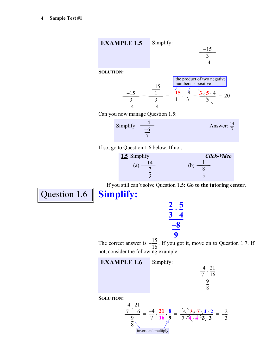

Can you now manage Question 1.5:

Simplify: 
$$
\frac{-4}{\frac{-6}{7}}
$$
 Answer:  $\frac{14}{3}$ 

If so, go to Question 1.6 below. If not:

1.5 Simplify  
\n(a) 
$$
-\frac{14}{\frac{7}{3}}
$$
 (b)  $\frac{1}{\frac{8}{5}}$ 

If you still can't solve Question 1.5: **Go to the tutoring center**.

Question 1.6

**Simplify:**

$$
\frac{\frac{2}{3} \cdot \frac{5}{4}}{-\frac{8}{9}}
$$

The correct answer is  $-\frac{13}{16}$ . If you got it, move on to Question 1.7. If not, consider the following example: 15 16  $-\frac{15}{16}$ 

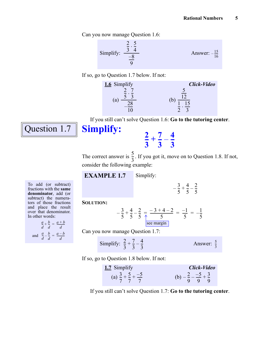Can you now manage Question 1.6:

Simplify: 
$$
\frac{\frac{2}{3} \cdot \frac{5}{4}}{\frac{-8}{9}}
$$
 Answer:  $-\frac{15}{16}$ 

If so, go to Question 1.7 below. If not:

**1.6** Simplify  
\n
$$
\frac{2}{5} \cdot \frac{7}{3}
$$
  
\n(a)  $\frac{-28}{10}$   
\n(b)  $\frac{5}{12}$   
\n $\frac{1}{2} \cdot \frac{15}{3}$ 

If you still can't solve Question 1.6: **Go to the tutoring center**.

Question 1.7 **<sup>2</sup>**

The correct answer is  $\frac{5}{2}$ . If you got it, move on to Question 1.8. If not, consider the following example: 3  $\frac{2}{2}$ 

**3**

 $\frac{7}{2} - \frac{4}{3}$ 

 $+\frac{7}{2}-\frac{4}{3}$ 

**3**

**3**

 $\frac{2}{2} + \frac{7}{2}$ 

**EXAMPLE 1.7** Simplify:

$$
-\frac{3}{5}+\frac{4}{5}-\frac{2}{5}
$$

**SOLUTION:**

**Simplify:**

$$
-\frac{3}{5} + \frac{4}{5} - \frac{2}{5} = \frac{-3 + 4 - 2}{5} = \frac{-1}{5} = -\frac{1}{5}
$$
  
see margin

Can you now manage Question 1.7:

Simplify: 
$$
\frac{2}{3} + \frac{7}{3} - \frac{4}{3}
$$
 Answer:  $\frac{5}{3}$ 

If so, go to Question 1.8 below. If not:

1.7 Simplify  
\n(a) 
$$
\frac{3}{7} + \frac{5}{7} + \frac{-5}{7}
$$
 (b)  $-\frac{2}{9} - \frac{-5}{9} + \frac{3}{9}$ 

If you still can't solve Question 1.7: **Go to the tutoring center**.

To add (or subtract) fractions with the **same denominator**, add (or subtract) the numerators of those fractions and place the result over that denominator. In other words:

$$
\frac{a}{d} + \frac{b}{d} = \frac{a+b}{d}
$$
  
and 
$$
\frac{a}{d} - \frac{b}{d} = \frac{a-b}{d}
$$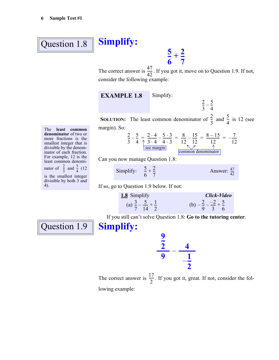Question 1.8

# **Simplify:**

The correct answer is  $\frac{47}{42}$ . If you got it, move on to Question 1.9. If not, consider the following example: **6 7** 42  $\frac{+1}{12}$ 

 $\frac{5}{2} + \frac{2}{7}$ 

**+ --**

**5**

The **least common denominator** of two or more fractions is the smallest integer that is divisible by the denominator of each fraction. For example, 12 is the least common denominator of  $\frac{2}{3}$  and  $\frac{5}{4}$  (12) is the smallest integer divisible by both 3 and 4).  $rac{2}{3}$  and  $rac{5}{4}$ 

margin). So: 2 3  $\frac{2}{3} - \frac{5}{4} = \frac{2 \cdot 4}{3 \cdot 4} - \frac{5 \cdot 3}{4 \cdot 3} = \frac{8}{12}$  $=\frac{2 \cdot 4}{1} - \frac{5 \cdot 3}{4 \cdot 3} = \frac{8}{12} - \frac{15}{12} = \frac{8 - 15}{12} = -\frac{7}{12}$ see margin  $\sqrt{\frac{1}{2}}$ 

**SOLUTION:** The least common denominator of  $\frac{2}{3}$  and  $\frac{5}{4}$  is 12 (see

2 3  $\frac{2}{3} - \frac{5}{4}$ 

3

 $rac{2}{5}$  and  $rac{5}{4}$ 

4  $\frac{3}{1}$ 

Can you now manage Question 1.8:

**EXAMPLE 1.8** Simplify:

$$
\frac{5}{4} (12 \t\t\t Simplify: \frac{5}{6} + \frac{2}{7} \t\t\t Answer: \frac{47}{42}
$$

If so, go to Question 1.9 below. If not:

**Simplify:**

1.8 Simplify  
\n(a) 
$$
\frac{3}{7} - \frac{5}{14} + \frac{1}{2}
$$
 (b)  $-\frac{2}{9} - \frac{-2}{3} + \frac{5}{6}$ 

If you still can't solve Question 1.8: **Go to the tutoring center**.

Question 1.9



The correct answer is  $\frac{17}{2}$ . If you got it, great. If not, consider the following example: 2  $\frac{1}{2}$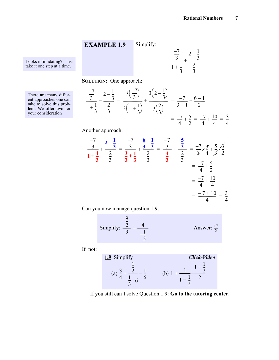**EXAMPLE 1.9** Simplify:

$$
\frac{-7}{3} + \frac{2 - \frac{1}{3}}{2}
$$

Looks intimidating? Just take it one step at a time.

There are many different approaches one can take to solve this problem. We offer two for your consideration

**SOLUTION:** One approach:

$$
\frac{-7}{\frac{3}{1+\frac{1}{3}}} + \frac{2-\frac{1}{3}}{\frac{2}{3}} = \frac{3(\frac{-7}{3})}{3(1+\frac{1}{3})} + \frac{3(2-\frac{1}{3})}{3(\frac{2}{3})} = \frac{-7}{3+1} + \frac{6-1}{2}
$$

$$
= \frac{-7}{4} + \frac{5}{2} = \frac{-7}{4} + \frac{10}{4} = \frac{3}{4}
$$

Another approach:

$$
\frac{-7}{\frac{3}{1+\frac{1}{3}}} + \frac{2 - \frac{1}{3}}{\frac{2}{3}} = \frac{-7}{\frac{3}{3} + \frac{1}{3}} + \frac{\frac{6}{3} - \frac{1}{3}}{\frac{2}{3}} = \frac{-7}{\frac{4}{3}} + \frac{\frac{5}{3}}{\frac{2}{3}} = \frac{-7}{3} \div \frac{3}{4} + \frac{5}{3} \times \frac{3}{2}
$$

$$
= \frac{-7}{4} + \frac{5}{2}
$$

$$
= \frac{-7}{4} + \frac{10}{4}
$$

$$
= \frac{-7 + 10}{4} = \frac{3}{4}
$$

Can you now manage question 1.9:

Simplify: 
$$
\frac{\frac{9}{2}}{\frac{9}{2}} - \frac{4}{-\frac{1}{2}}
$$
 Answer:  $\frac{17}{2}$ 

If not:

1.9 Simplify  
\n(a) 
$$
\frac{1}{4} + \frac{1}{2} - \frac{1}{6}
$$
 (b)  $1 + \frac{1}{1 + \frac{1}{2}} - \frac{1 + \frac{1}{2}}{2}$ 

If you still can't solve Question 1.9: **Go to the tutoring center**.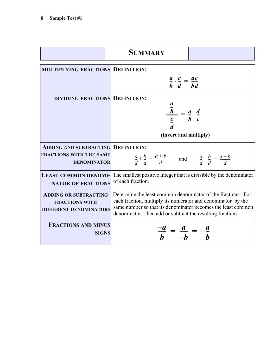|                                                                                                   | <b>SUMMARY</b>                                                                                                                                                                                                                                             |  |  |  |
|---------------------------------------------------------------------------------------------------|------------------------------------------------------------------------------------------------------------------------------------------------------------------------------------------------------------------------------------------------------------|--|--|--|
|                                                                                                   | <b>MULTIPLYING FRACTIONS DEFINITION:</b>                                                                                                                                                                                                                   |  |  |  |
|                                                                                                   | $\frac{a}{b} \cdot \frac{c}{d} = \frac{ac}{bd}$                                                                                                                                                                                                            |  |  |  |
| <b>DIVIDING FRACTIONS DEFINITION:</b>                                                             | $\frac{\overline{b}}{c} = \frac{a}{b} \cdot \frac{d}{c}$                                                                                                                                                                                                   |  |  |  |
|                                                                                                   | (invert and multiply)                                                                                                                                                                                                                                      |  |  |  |
| <b>ADDING AND SUBTRACTING DEFINITION:</b><br><b>FRACTIONS WITH THE SAME</b><br><b>DENOMINATOR</b> | $rac{a}{d} + \frac{b}{d} = \frac{a+b}{d}$ and $rac{a}{d} - \frac{b}{d} = \frac{a-b}{d}$                                                                                                                                                                    |  |  |  |
| <b>LEAST COMMON DENOMI-</b><br><b>NATOR OF FRACTIONS</b>                                          | The smallest positive integer that is divisible by the denominator<br>of each fraction.                                                                                                                                                                    |  |  |  |
| <b>ADDING OR SUBTRACTING</b><br><b>FRACTIONS WITH</b><br><b>DIFFERENT DENOMINATORS</b>            | Determine the least common denominator of the fractions. For<br>each fraction, multiply its numerator and denominator by the<br>same number so that its denominator becomes the least common<br>denominator. Then add or subtract the resulting fractions. |  |  |  |
| <b>FRACTIONS AND MINUS</b><br><b>SIGNS</b>                                                        | $\frac{-a}{b} = \frac{a}{-b} = -\frac{a}{b}$                                                                                                                                                                                                               |  |  |  |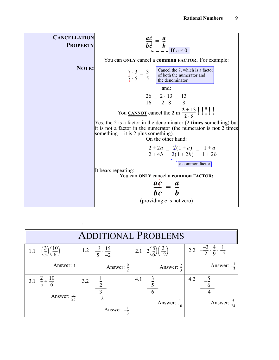| <b>CANCELLATION</b><br><b>PROPERTY</b> | $\frac{ac}{bc} = \frac{a}{b}$                                                                                                                                                                                                                                                                                                                                                                                                                    |  |
|----------------------------------------|--------------------------------------------------------------------------------------------------------------------------------------------------------------------------------------------------------------------------------------------------------------------------------------------------------------------------------------------------------------------------------------------------------------------------------------------------|--|
| NOTE:                                  | You can ONLY cancel a common FACTOR. For example:<br>$\frac{7 \cdot 3}{7 \cdot 5}$ = $\frac{3}{5}$<br>Cancel the 7, which is a factor<br>of both the numerator and<br>the denominator.                                                                                                                                                                                                                                                           |  |
|                                        | and:<br>$\frac{26}{16} = \frac{2 \cdot 13}{2 \cdot 8} = \frac{13}{8}$<br>You $\underline{\text{CANNOT}}$ cancel the 2 in $\frac{2+13}{2 \cdot 8}$ !!!!!                                                                                                                                                                                                                                                                                          |  |
|                                        | Yes, the 2 is a factor in the denominator $(2 \times 1)$ something) but<br>it is not a factor in the numerator (the numerator is <b>not</b> 2 times<br>something -- it is 2 plus something).<br>On the other hand:<br>$\frac{2+2a}{2+4b} = \frac{\cancel{2}(1+a)}{2(1+2b)} = \frac{1+a}{1+2b}$<br>a common factor<br>It bears repeating:<br>You can ONLY cancel a common FACTOR:<br>$\frac{ac}{bc} = \frac{a}{b}$<br>(providing $c$ is not zero) |  |
|                                        |                                                                                                                                                                                                                                                                                                                                                                                                                                                  |  |
|                                        |                                                                                                                                                                                                                                                                                                                                                                                                                                                  |  |
|                                        |                                                                                                                                                                                                                                                                                                                                                                                                                                                  |  |

| <b>DDITIONAL PROBLEMS</b> |                                              |     |                                        |     |                                                          |                        |     |                                                          |
|---------------------------|----------------------------------------------|-----|----------------------------------------|-----|----------------------------------------------------------|------------------------|-----|----------------------------------------------------------|
| 1.1                       | $\left(\frac{10}{6}\right)$<br>$\frac{3}{5}$ |     | 1.2 $\frac{-3}{5} \cdot \frac{15}{-2}$ |     | 2.1 $2\left(\frac{8}{6}\right)\left(\frac{3}{12}\right)$ |                        |     | 2.2 $-\frac{-3}{2} \cdot \frac{4}{9} \cdot \frac{1}{-2}$ |
|                           | Answer: 1                                    |     | Answer: $\frac{9}{2}$                  |     |                                                          | Answer: $\frac{2}{2}$  |     | Answer:                                                  |
| 3.1                       | $rac{2}{5} \div \frac{10}{6}$                | 3.2 | $\overline{2}$                         | 4.1 |                                                          |                        | 4.2 |                                                          |
|                           | Answer: $\frac{6}{25}$                       |     | $\frac{2}{\frac{3}{-2}}$               |     | 6                                                        | Answer: $\frac{1}{10}$ |     | Answer: $\frac{5}{24}$                                   |
|                           |                                              |     | Answer: $-\frac{1}{2}$                 |     |                                                          |                        |     |                                                          |

.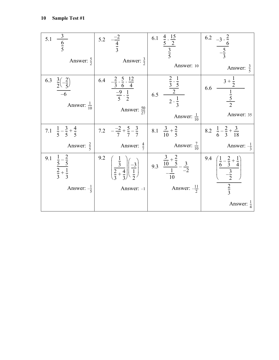| $rac{3}{6}$<br>5.1<br>Answer: $\frac{5}{2}$                                                 | $\frac{-2}{\frac{4}{3}}$<br>$5.2\,$<br>Answer: $\frac{3}{2}$                                                             | $rac{4}{5} \cdot \frac{15}{2}$<br>$rac{3}{5}$<br>6.1<br>Answer: 10                                               | 6.2 $-3 \cdot \frac{2}{6}$<br>$-5 \over 3$<br>Answer: $\frac{3}{5}$                              |
|---------------------------------------------------------------------------------------------|--------------------------------------------------------------------------------------------------------------------------|------------------------------------------------------------------------------------------------------------------|--------------------------------------------------------------------------------------------------|
| 6.3<br>$rac{3}{2} igg(-\frac{2}{5} igg)$<br>-6<br>Answer: $\frac{1}{10}$                    | $\frac{2}{3} \cdot \frac{5}{6} \cdot \frac{12}{4}$<br>$\frac{-9}{5} \cdot \frac{1}{2}$<br>6.4<br>Answer: $\frac{50}{27}$ | $\frac{\frac{2}{3} \cdot \frac{1}{5}}{2 \cdot \frac{1}{3}}$<br>6.5<br>Answer: $\frac{1}{10}$                     | $3+$<br>6.6<br>$\frac{1}{5}$<br>Answer: 35                                                       |
| $\frac{1}{5} - \frac{3}{5} + \frac{4}{5}$<br>$7.1\,$                                        | 7.2 $-\frac{-2}{7} + \frac{5}{7} - \frac{3}{7}$                                                                          | 8.1 $\frac{3}{10} + \frac{2}{5}$                                                                                 | 8.2 $\frac{1}{6} - \frac{2}{3} + \frac{3}{18}$                                                   |
| Answer: $\frac{2}{5}$                                                                       | Answer: $\frac{4}{7}$                                                                                                    | Answer: $\frac{7}{10}$                                                                                           | Answer: $-\frac{1}{3}$                                                                           |
| $\frac{1}{5} - \frac{2}{5}$<br>$\frac{2}{3} + \frac{1}{3}$<br>9.1<br>Answer: $-\frac{1}{5}$ | 9.2<br>$\left(\frac{\frac{1}{3}}{\frac{2}{3}+\frac{4}{3}}\right)\left(\frac{-3}{\frac{1}{2}}\right)$<br>Answer: -1       | 9.3 $rac{\frac{3}{10} + \frac{2}{5}}{\frac{1}{10} - \frac{3}{-2}}$<br>$\overline{10}$<br>Answer: $-\frac{11}{2}$ | 9.4<br>$\frac{\left(\frac{1}{6}-\frac{2}{3}+ \frac{1}{4}\right)}{-\frac{3}{2}}$<br>$\frac{2}{3}$ |
|                                                                                             |                                                                                                                          |                                                                                                                  | Answer: $\frac{1}{4}$                                                                            |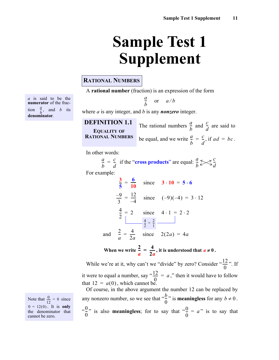# **Sample Test 1 Supplement**

#### **RATIONAL NUMBERS**

A **rational number** (fraction) is an expression of the form

$$
\frac{a}{b} \quad \text{or} \quad a/b
$$

*a* is said to be the **numerator** of the fraction  $\frac{a}{i}$ , and *b* its **denominator**. *a*  $\frac{a}{b}$ 

where *a* is any integer, and *b* is any *nonzero* integer.

**DEFINITION 1.1 EQUALITY OF RATIONAL NUMBERS** The rational numbers  $\frac{a}{b}$  and  $\frac{c}{c}$  are said to be equal, and we write  $\frac{a}{f} = \frac{c}{f}$ , if  $ad = bc$ . *b*  $rac{a}{7}$  and  $rac{c}{7}$ *d*  $\frac{c}{1}$ *b*  $\frac{a}{b} = \frac{c}{d}$ , if  $ad = bc$ 

In other words:

$$
\frac{a}{b} = \frac{c}{d}
$$
 if the "**cross products**" are equal:  $\frac{a}{b} \leq \frac{c}{d}$ 

For example:

$$
\frac{3}{5} = \frac{6}{10} \text{ since } 3 \cdot 10 = 5 \cdot 6
$$
  

$$
\frac{-9}{3} = \frac{12}{-4} \text{ since } (-9)(-4) = 3 \cdot 12
$$
  

$$
\frac{4}{2} = 2 \text{ since } 4 \cdot 1 = 2 \cdot 2
$$
  
and 
$$
\frac{2}{a} = \frac{4}{2a} \text{ since } 2(2a) = 4a
$$

When we write  $\frac{2}{\epsilon} = \frac{4}{2}$ , it is understood that  $a \neq 0$ . *a*  $\frac{2}{a} = \frac{4}{2a}$ , it is understood that  $a \neq 0$ 

While we're at it, why can't we "divide" by zero? Consider " $\frac{12}{9}$ ". If it were to equal a number, say " $\frac{12}{0}$  = a," then it would have to follow that  $12 = a(0)$ , which cannot be. 0  $\frac{12}{2}$ 0  $\frac{12}{0} = a$ 

Of course, in the above argument the number 12 can be replaced by any nonzero number, so we see that  $\frac{b}{0}$  is **meaningless** for any  $b \neq 0$ .  $\frac{a_0}{b_0}$  is also **meaningless**; for to say that  $\frac{a_0}{b_0} = a$  is to say that  $\frac{b}{0}$ " is **meaningless** for any  $b \neq 0$ 0  $\frac{0}{6}$ " is also **meaningless**; for to say that " $\frac{0}{6}$ " 0  $\frac{0}{6}$  = a

Note that  $\frac{0}{12} = 0$  since  $0 = 12(0)$ . It is only the denominator that cannot be zero.  $\frac{0}{12} = 0$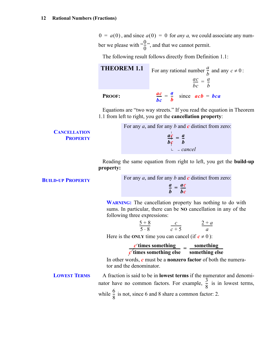#### **12 Rational Numbers (Fractions)**

 $0 = a(0)$ , and since  $a(0) = 0$  for *any a*, we could associate any number we please with  $\frac{0}{6}$ , and that we cannot permit. 0  $\frac{v}{\alpha}$ 

The following result follows directly from Definition 1.1:

| <b>THEOREM 1.1</b> | For any rational number $\frac{a}{b}$ and any $c \neq 0$ :<br>$\frac{ac}{a} = \frac{a}{a}$<br>$\overline{bc}$ $\overline{b}$ |  |
|--------------------|------------------------------------------------------------------------------------------------------------------------------|--|
| <b>PROOF:</b>      | $\frac{ac}{bc} = \frac{a}{b}$ since $acb = bca$                                                                              |  |

Equations are "two way streets." If you read the equation in Theorem 1.1 from left to right, you get the **cancellation property**:

| For any $a$ , and for any $b$ and $c$ distinct from zero: |
|-----------------------------------------------------------|
|                                                           |
| $\frac{ac}{bc} = \frac{a}{b}$                             |
| $L$ - cancel                                              |
|                                                           |

Reading the same equation from right to left, you get the **build-up property:**

**BUILD-UP PROPERTY**

**CANCELLATION PROPERTY**

For any *a*, and for any *b* and *c* distinct from zero:

*a b*  $\frac{a}{b} = \frac{ac}{bc}$ 

**WARNING:** The cancellation property has nothing to do with sums. In particular, there can be **NO** cancellation in any of the following three expressions:

| $5 + 8$     |       | $2 + a$ |  |
|-------------|-------|---------|--|
|             |       |         |  |
| $5 \cdot 8$ | $c+5$ |         |  |

Here is the ONLY time you can cancel (if  $c \neq 0$ ):

*c* **times something** *c* **times something else**  $\frac{c' \text{times something}}{\frac{c' \text{times something}}{\text{something else}}} = \frac{\text{something}}{\text{something else}}$ 

In other words, *c* must be a **nonzero factor** of both the numerator and the denominator.

**LOWEST TERMS** A fraction is said to be in **lowest terms** if the numerator and denominator have no common factors. For example,  $\frac{3}{6}$  is in lowest terms, 8  $\frac{1}{2}$ 

while  $\frac{6}{8}$  is not, since 6 and 8 share a common factor: 2. 8  $\frac{0}{2}$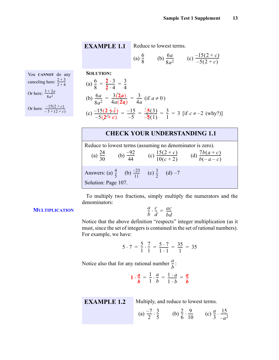

**SOLUTION:**

(a) 
$$
\frac{6}{8}
$$
 (b)  $\frac{6a}{8a^2}$  (c)  $\frac{-15(2+c)}{-5(2+c)}$ 

You **CANNOT** do any canceling here:  $\frac{2+3}{2+4}$ Or here:  $\frac{3+2a}{8a^2}$ Or here:  $\frac{-15(2+c)}{-5+(2+c)}$ 

(a) 
$$
\frac{6}{8} = \frac{2 \cdot 3}{2 \cdot 4} = \frac{3}{4}
$$
  
\n(b)  $\frac{6a}{8a^2} = \frac{3(2a)}{4a(2a)} = \frac{3}{4a}$  (if  $a \ne 0$ )  
\n(c)  $\frac{-15(2 \pm c)}{-5(2 \pm c)} = \frac{-15}{-5} = \frac{5}{-5}(3) = \frac{3}{1} = 3$  [if  $c \ne -2$  (why?)]

#### **CHECK YOUR UNDERSTANDING 1.1**

| Reduce to lowest terms (assuming no denominator is zero).                                            |  |  |  |  |
|------------------------------------------------------------------------------------------------------|--|--|--|--|
| (a) $\frac{24}{30}$ (b) $\frac{-92}{44}$ (c) $\frac{15(2+c)}{10(c+2)}$ (d) $\frac{7b(a+c)}{b(-a-c)}$ |  |  |  |  |
| Answers: (a) $\frac{4}{5}$ (b) $\frac{-23}{11}$ (c) $\frac{3}{2}$ (d) -7                             |  |  |  |  |
| Solution: Page 107.                                                                                  |  |  |  |  |

To multiply two fractions, simply multiply the numerators and the denominators:

#### **MULTIPLICATION**

$$
\frac{a}{b} \cdot \frac{c}{d} = \frac{ac}{bd}
$$

Notice that the above definition "respects" integer multiplication (as it must, since the set of integers is contained in the set of rational numbers). For example, we have:

$$
5 \cdot 7 = \frac{5}{1} \cdot \frac{7}{1} = \frac{5 \cdot 7}{1 \cdot 1} = \frac{35}{1} = 35
$$

Notice also that for any rational number  $\frac{a}{i}$ : *b*  $\frac{u}{\tau}$ 

$$
1 \cdot \frac{a}{b} = \frac{1}{1} \cdot \frac{a}{b} = \frac{1 \cdot a}{1 \cdot b} = \frac{a}{b}
$$

**EXAMPLE 1.2** Multiply, and reduce to lowest terms.

(a) 
$$
\frac{-7}{2} \cdot \frac{3}{5}
$$
 (b)  $\frac{2}{6} \cdot \frac{9}{10}$  (c)  $\frac{a}{3} \cdot \frac{15}{-a^2}$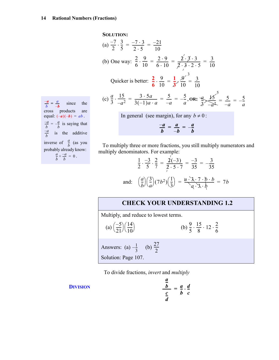**SOLUTION:**  
\n(a) 
$$
\frac{-7}{2} \cdot \frac{3}{5} = \frac{-7 \cdot 3}{2 \cdot 5} = \frac{-21}{10}
$$
  
\n(b) One way:  $\frac{2}{6} \cdot \frac{9}{10} = \frac{2 \cdot 9}{6 \cdot 10} = \frac{2 \cdot 3 \cdot 3}{7 \cdot 3 \cdot 2 \cdot 5} = \frac{3}{10}$   
\nQuicker is better:  $\frac{2}{6} \cdot \frac{9}{10} = \frac{1}{3} \cdot \frac{9}{10} = \frac{3}{10}$   
\n(c)  $\frac{a}{3} \cdot \frac{15}{-a^2} = \frac{3 \cdot 5a}{3(-1)a \cdot a} = \frac{5}{-a} = -\frac{5}{a}$ , **OR:**  $\frac{a}{3} \cdot \frac{15}{-a^2} = \frac{5}{-a} = -\frac{5}{a}$   
\nIn general (see margin), for any  $b \ne 0$ :  
\n $\frac{-a}{b} = \frac{a}{-b} = -\frac{a}{b}$ 

To multiply three or more fractions, you still multiply numerators and multiply denominators. For example:

$$
\frac{1}{2} \cdot \frac{-3}{5} \cdot \frac{2}{7} = \frac{2(-3)}{2 \cdot 5 \cdot 7} = \frac{-3}{35} = -\frac{3}{35}
$$
  
and: 
$$
\left(\frac{a}{b}\right)\left(\frac{3}{a}\right)(7b^2)\left(\frac{1}{3}\right) = \frac{a \cdot 3 \cdot 7 \cdot b \cdot b}{a \cdot 3 \cdot b} = 7b
$$

### **CHECK YOUR UNDERSTANDING 1.2**

Multiply, and reduce to lowest terms.

(a)  $\left(\frac{-5}{21}\right)\left(\frac{14}{10}\right)$  (b) Answers: (a)  $-\frac{1}{2}$  (b) Solution: Page 107.  $\left(\frac{-5}{21}\right)\left(\frac{14}{10}\right)$  $\left(\frac{14}{10}\right)$  (b)  $\frac{9}{5}$  $\frac{9}{5} \cdot \frac{15}{9}$  $\cdot \frac{15}{8} \cdot 12 \cdot \frac{2}{6}$  $-\frac{1}{3}$  (b)  $\frac{27}{2}$  $\frac{21}{2}$ 

To divide fractions, *invert* and *multiply*

**DIVISION**

$$
\frac{\frac{a}{b}}{\frac{c}{d}} = \frac{a}{b} \cdot \frac{d}{c}
$$

$$
\frac{-a}{b} = \frac{a}{-b}
$$
 since the  
\ncross products are  
\nequal:  $(-a)(-b) = ab$ .  
\n
$$
\frac{-a}{b} = -\frac{a}{b}
$$
 is saying that  
\n
$$
\frac{-a}{b}
$$
 is the additive  
\ninverse of  $\frac{a}{b}$  (as you  
\nprobably already know:  
\n $\frac{a}{b} + \frac{-a}{b} = 0$ .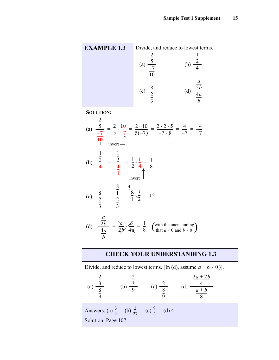

**EXAMPLE 1.3** Divide, and reduce to lowest terms.

(a) 
$$
\frac{\frac{2}{5}}{\frac{-7}{10}}
$$
 (b)  $\frac{\frac{1}{2}}{4}$   
(c)  $\frac{8}{\frac{2}{3}}$  (d)  $\frac{\frac{a}{2b}}{\frac{4a}{b}}$ 

**SOLUTION:**

*b*

(a) (b) (c) (d)  $rac{2}{5}$ –**7 10 -----**  $\frac{5}{-7} = \frac{2}{5}$  $\frac{2}{5} \cdot \frac{10}{-7} = \frac{2 \cdot 10}{5(-7)} = \frac{2 \cdot 2 \cdot 5}{-7 \cdot 5} = \frac{4}{-7}$  $=\frac{2}{5}\cdot\frac{10}{-7}=\frac{2\cdot10}{5(-7)}=\frac{2\cdot2\cdot5}{-7\cdot5}=\frac{4}{-7}=-\frac{4}{7}$ invert  $\frac{1}{2}$ **4**  $\frac{2}{\cdot}$  $\frac{1}{2}$ **4 1 --**  $\frac{2}{4} = \frac{1}{2}$  $\frac{1}{2} \cdot \frac{1}{4}$ **4**  $=\frac{2}{4} = \frac{1}{2} \cdot \frac{1}{4} = \frac{1}{8}$ invert 8 2 3  $\frac{2}{2}$  $\frac{\circ}{\circ}$  $\frac{8}{1}$ 2 3  $\frac{2}{2}$  $\frac{1}{2} = \frac{8}{1}$  $=\frac{1}{2}=\frac{8}{1}\sqrt{\frac{3}{2}}=12$ 4  $rac{a}{2b}$ 4*a*  $\frac{4u}{1}$  $\frac{2b}{4a} = \frac{a}{2b}$  $=\frac{Q}{2b} \cdot \frac{B}{4\alpha} = \frac{1}{8}$  (with the unerstanding)

#### **CHECK YOUR UNDERSTANDING 1.3**

| Divide, and reduce to lowest terms. [In (d), assume $a + b \ne 0$ )].                        |                                     |  |  |           |
|----------------------------------------------------------------------------------------------|-------------------------------------|--|--|-----------|
| (a)                                                                                          | (b) $\frac{3}{9}$ (c) $\frac{2}{8}$ |  |  | $2a + 2b$ |
| Answers: (a) $\frac{3}{4}$ (b) $\frac{2}{27}$ (c) $\frac{9}{4}$ (d) 4<br>Solution: Page 107. |                                     |  |  |           |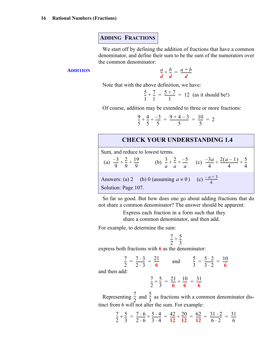### **ADDING FRACTIONS**

We start off by defining the addition of fractions that have a common denominator, and define their sum to be the sum of the numerators over the common denominator:

#### **ADDITION**

$$
\frac{a}{d} + \frac{b}{d} = \frac{a+b}{d}
$$

Note that with the above definition, we have:

5 1

$$
\frac{5}{1} + \frac{7}{1} = \frac{5+7}{1} = 12
$$
 (as it should be!)

Of course, addition may be extended to three or more fractions:

$$
\frac{9}{5} + \frac{4}{5} + \frac{-3}{5} = \frac{9+4-3}{5} = \frac{10}{5} = 2
$$

#### **CHECK YOUR UNDERSTANDING 1.4**

| Sum, and reduce to lowest terms.                                                                                                                    |  |  |  |
|-----------------------------------------------------------------------------------------------------------------------------------------------------|--|--|--|
| (a) $\frac{-3}{9} + \frac{2}{9} + \frac{19}{9}$ (b) $\frac{3}{a} + \frac{2}{a} + \frac{-5}{a}$ (c) $\frac{-3a}{4} + \frac{2(a-1)}{4} + \frac{5}{4}$ |  |  |  |
| Answers: (a) 2 (b) 0 (assuming $a \neq 0$ ) (c) $\frac{-a+3}{4}$<br>Solution: Page 107.                                                             |  |  |  |

So far so good. But how does one go about adding fractions that do not share a common denominator? The answer should be apparent:

> Express each fraction in a form such that they share a common denominator, and then add.

For example, to determine the sum:

$$
\frac{7}{2}+\frac{5}{3}
$$

express both fractions with **6** as the denominator:

$$
\frac{7}{2} = \frac{7 \cdot 3}{2 \cdot 3} = \frac{21}{6}
$$
 and 
$$
\frac{5}{3} = \frac{5 \cdot 2}{3 \cdot 2} = \frac{10}{6}
$$

and then add:

$$
\frac{7}{2} + \frac{5}{3} = \frac{21}{6} + \frac{10}{6} = \frac{31}{6}
$$

Representing  $\frac{7}{2}$  and  $\frac{5}{2}$  as fractions with a common denominator distinct from 6 will not alter the sum. For example: 2  $\frac{7}{2}$  and  $\frac{5}{3}$ 3  $\frac{5}{2}$ 

$$
\frac{7}{2} + \frac{5}{3} = \frac{7 \cdot 6}{2 \cdot 6} + \frac{5 \cdot 4}{3 \cdot 4} = \frac{42}{12} + \frac{20}{12} = \frac{62}{12} = \frac{31 \cdot 2}{6 \cdot 2} = \frac{31}{6}
$$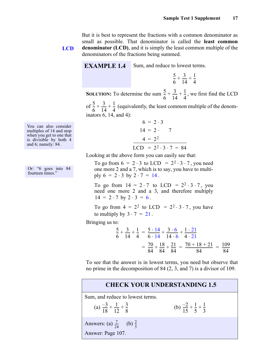But it is best to represent the fractions with a common denominator as small as possible. That denominator is called the **least common denominator (LCD)**, and it is simply the least common multiple of the denominators of the fractions being summed.

**EXAMPLE 1.4** Sum, and reduce to lowest terms.

$$
\frac{5}{6} + \frac{3}{14} + \frac{1}{4}
$$

**SOLUTION:** To determine the sum  $\frac{5}{5} + \frac{3}{11} + \frac{1}{4}$ , we first find the LCD 6  $\frac{5}{6} + \frac{3}{1}$ 14  $\frac{3}{14} + \frac{1}{4}$ 4  $+2+1$ 

of  $\frac{5}{5} + \frac{3}{11} + \frac{1}{12}$  (equivalently, the least common multiple of the denominators 6, 14, and 4): 6  $\frac{5}{6} + \frac{3}{10}$ 14  $\frac{3}{14} + \frac{1}{4}$ 4  $+2+1$ 

You can also consider multiples of 14 and stop when you get to one that is divisible by both 4 and 6; namely: 84.

**LCD**

Or: "6 goes into 84 fourteen times."

$$
6 = 2 \cdot 3
$$
  
14 = 2 \cdot 7  

$$
4 = 2^{2}
$$
  
LCD = 2<sup>2</sup> \cdot 3 \cdot 7 = 84

Looking at the above form you can easily see that:

To go from  $6 = 2 \cdot 3$  to LCD  $= 2^2 \cdot 3 \cdot 7$ , you need one more 2 and a 7, which is to say, you have to multiply  $6 = 2 \cdot 3$  by  $2 \cdot 7 = 14$ .

To go from  $14 = 2 \cdot 7$  to LCD =  $2^2 \cdot 3 \cdot 7$ , you need one more 2 and a 3, and therefore multiply  $14 = 2 \cdot 7$  by  $2 \cdot 3 = 6$ .  $14 = 2 \cdot 7$  to LCD =  $2^2 \cdot 3 \cdot 7$ 

To go from  $4 = 2^2$  to LCD =  $2^2 \cdot 3 \cdot 7$ , you have to multiply by  $3 \cdot 7 = 21$ .

Bringing us to:

5 6  $\frac{5}{6} + \frac{3}{1}$ 14  $\frac{3}{11} + \frac{1}{1}$ 4  $+\frac{3}{14}+\frac{1}{4}=\frac{5\cdot14}{6\cdot14}+\frac{3\cdot6}{14\cdot6}+\frac{1\cdot21}{4\cdot21}$ 70 84  $\frac{70}{94} + \frac{18}{94}$ 84  $\frac{18}{21} + \frac{21}{21}$ 84  $=$   $\frac{70}{84} + \frac{18}{84} + \frac{21}{84} = \frac{70 + 18 + 21}{84} = \frac{109}{84}$ 

To see that the answer is in lowest terms, you need but observe that no prime in the decomposition of 84 (2, 3, and 7) is a divisor of 109.

#### **CHECK YOUR UNDERSTANDING 1.5** Sum, and reduce to lowest terms. (a)  $\frac{-3}{10} + \frac{1}{12} + \frac{3}{8}$  (b) Answers: (a)  $\frac{7}{24}$  (b) Answer: Page 107. 18  $\frac{-3}{10} + \frac{1}{10}$ 12  $\frac{1}{12} + \frac{3}{8}$ 8  $+\frac{1}{12}+\frac{3}{6}$  (b)  $\frac{-2}{15}$ 15  $\frac{-2}{15} + \frac{1}{5}$ 5  $\frac{1}{7} + \frac{1}{7}$ 3  $+\frac{1}{7}+\frac{1}{2}$ 24  $\frac{7}{24}$  (b)  $\frac{2}{5}$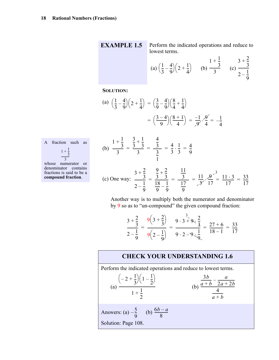**EXAMPLE 1.5** Perform the indicated operations and reduce to lowest terms.

(a) 
$$
\left(\frac{1}{3} - \frac{4}{9}\right)\left(2 + \frac{1}{4}\right)
$$
 (b)  $\frac{1 + \frac{1}{3}}{3}$  (c)  $\frac{3 + \frac{2}{3}}{2 - \frac{1}{9}}$ 

#### **SOLUTION:**

(a) 
$$
\left(\frac{1}{3} - \frac{4}{9}\right)\left(2 + \frac{1}{4}\right) = \left(\frac{3}{9} - \frac{4}{9}\right)\left(\frac{8}{4} + \frac{1}{4}\right)
$$
  

$$
= \left(\frac{3 - 4}{9}\right)\left(\frac{8 + 1}{4}\right) = \frac{-1}{9} \cdot \frac{9}{4} = -\frac{1}{4}
$$

A fraction such as  
\n
$$
\frac{1 + \frac{1}{3}}{\frac{3}{3}}
$$
\nwhose numerator or denominator contains fractions is said to be a **compound fraction**.

(b) 
$$
\frac{1+\frac{1}{3}}{3} = \frac{\frac{3}{3}+\frac{1}{3}}{3} = \frac{\frac{4}{3}}{\frac{3}{1}} = \frac{4}{3} \cdot \frac{1}{3} = \frac{4}{9}
$$

(c) One way: 
$$
\frac{3 + \frac{2}{3}}{2 - \frac{1}{9}} = \frac{\frac{9}{3} + \frac{2}{3}}{\frac{18}{9} - \frac{1}{9}} = \frac{\frac{11}{3}}{\frac{17}{9}} = \frac{11}{.3} \cdot \frac{9}{17} = \frac{11 \cdot 3}{17} = \frac{33}{17}
$$

Another way is to multiply both the numerator and denominator by 9 so as to "un-compound" the given compound fraction:

$$
\frac{3+\frac{2}{3}}{2-\frac{1}{9}} = \frac{9\left(3+\frac{2}{3}\right)}{9\left(2-\frac{1}{9}\right)} = \frac{9\cdot 3+\frac{3}{9}\cdot \frac{2}{3}}{9\cdot 2-9\cdot \frac{1}{9}} = \frac{27+6}{18-1} = \frac{33}{17}
$$

### **CHECK YOUR UNDERSTANDING 1.6**

Perform the indicated operations and reduce to lowest terms.

$$
\left(-2 + \frac{1}{3}\right)\left(1 - \frac{1}{2}\right)
$$
\n(a)

\n
$$
\frac{1 + \frac{1}{2}}{1 + \frac{1}{2}}
$$
\n(b)

\n
$$
\frac{3b}{a + b} - \frac{a}{2a + 2b}
$$
\nAnswer: (a)

\n
$$
-\frac{5}{9}
$$
\n(b)

\n
$$
\frac{6b - a}{8}
$$
\nSolution: Page 108.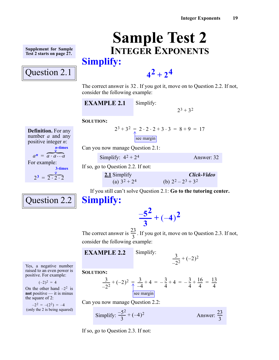# **<sup>2</sup> Sample Test 2 INTEGER EXPONENTS**

# **Simplify:**

# Question 2.1 **42 42 42 42 42 42 42 42 42 42 42 42 42 42 42 42 42 42 42 42 42 42 42 42 42 42 42 42 42 42**

The correct answer is 32. If you got it, move on to Question 2.2. If not, consider the following example:

**EXAMPLE 2.1** Simplify:

 $2^3 + 3^2$ 

#### **SOLUTION:**

**Definition.** For any number *a* and any positive integer *n*: For example:  $a^n = \overbrace{a \cdot a \cdots a}$  *n-***times**  $2^3 = 2 \cdot 2 \cdot 2$ 

**Supplement for Sample Test 2 starts on page 27.**

> $2^3 + 3^2 = 2 \cdot 2 \cdot 2 + 3 \cdot 3 = 8 + 9 = 17$ see margin

Can you now manage Question 2.1:

Simplify:  $4^2 + 2^4$  Answer: 32

If so, go to Question 2.2. If not:

| $2.1$ Simplify  | Click-Video           |
|-----------------|-----------------------|
| (a) $3^2 + 2^4$ | (b) $2^2 - 2^3 + 3^2$ |

If you still can't solve Question 2.1: **Go to the tutoring center.**



 $-5^2$ **3**  $\frac{-5^2}{3}$  +  $(-4)^2$ 

The correct answer is  $\frac{23}{2}$ . If you got it, move on to Question 2.3. If not, consider the following example: 3  $\frac{25}{2}$ 

**EXAMPLE 2.2** Simplify:

$$
\frac{3}{-2^2} + (-2)^2
$$

Yes, a negative number raised to an even power is positive. For example:

$$
(-2)^2 = 4
$$

On the other hand  $-2^2$  is **not** positive — it is minus the square of 2:

 $-2^2 = -(2^2) = -4$ (only the 2 is being squared) **SOLUTION:** 

**Simplify:**

$$
\frac{3}{-2^2} + (-2)^2 = \frac{3}{\frac{3}{2} + 4} + 4 = -\frac{3}{4} + 4 = -\frac{3}{4} + \frac{16}{4} = \frac{13}{4}
$$
  
see margin

Can you now manage Question 2.2:

Simplify: 
$$
\frac{-5^2}{3} + (-4)^2
$$
 Answer:  $\frac{23}{3}$ 

If so, go to Question 2.3. If not: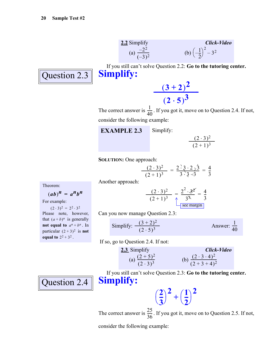2.2 Simplify  
\n(a) 
$$
\frac{-2^2}{(-3)^2}
$$
 (b)  $\left(-\frac{1}{2}\right)^2 - 3^2$ 

Question 2.3

If you still can't solve Question 2.2: **Go to the tutoring center. Simplify:**

$$
\frac{(3+2)^2}{(2\cdot 5)^3}
$$

The correct answer is  $\frac{1}{40}$ . If you got it, move on to Question 2.4. If not, consider the following example: 40  $\frac{1}{10}$ 

**EXAMPLE 2.3** Simplify:

 $\frac{(2 \cdot 3)^2}{(2+1)^3}$ 

**SOLUTION:** One approach:

$$
\frac{(2\cdot 3)^2}{(2+1)^3} = \frac{2\cdot 3\cdot 2\cdot 3}{3\cdot 3\cdot 3} = \frac{4}{3}
$$

Another approach:

Theorem:

 $(a b)^n = a^n b^n$ 

For example:

 $(2 \cdot 3)^2 = 2^2 \cdot 3^2$ 

Please note, however, that  $(a + b)^n$  is generally **not equal to**  $a^n + b^n$ . In particular  $(2 + 3)^2$  is **not equal to**  $2^2 + 3^2$ .

$$
\frac{(2\cdot 3)^2}{(2+1)^3} = \frac{2^2 \cdot 3^2}{3^3} = \frac{4}{3}
$$
  
see margin

Can you now manage Question 2.3:

Simplify: 
$$
\frac{(3+2)^2}{(2\cdot 5)^3}
$$
 Answer:  $\frac{1}{40}$ 

If so, go to Question 2.4. If not:

2.3 Simplify  
\n(a) 
$$
\frac{(2+5)^2}{(2 \cdot 3)^3}
$$
 (b)  $\frac{(2 \cdot 3 \cdot 4)^2}{(2+3+4)^2}$ 

If you still can't solve Question 2.3: **Go to the tutoring center. Simplify:**

Question 2.4

$$
\left(\frac{2}{3}\right)^2 + \left(\frac{1}{2}\right)^2
$$

The correct answer is  $\frac{25}{26}$ . If you got it, move on to Question 2.5. If not, 36  $\frac{25}{25}$ 

consider the following example: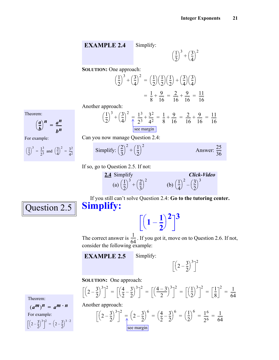**SOLUTION:** One approach:

**EXAMPLE 2.4** Simplify:

$$
\left(\frac{1}{2}\right)^3 + \left(\frac{3}{4}\right)^2 = \left(\frac{1}{2}\right)\left(\frac{1}{2}\right)\left(\frac{1}{2}\right) + \left(\frac{3}{4}\right)\left(\frac{3}{4}\right)
$$

$$
= \frac{1}{8} + \frac{9}{16} = \frac{2}{16} + \frac{9}{16} = \frac{11}{16}
$$

1

 $\left(\frac{1}{2}\right)^3 + \left(\frac{3}{4}\right)^2$ 

Another approach:

$$
\left(\frac{1}{2}\right)^3 + \left(\frac{3}{4}\right)^2 = \frac{1^3}{2^3} + \frac{3^2}{4^2} = \frac{1}{8} + \frac{9}{16} = \frac{2}{16} + \frac{9}{16} = \frac{11}{16}
$$
  
see margin

For example:  $\left(\frac{a}{b}\right)^n = \frac{a^n}{b^n}$ 

*a*

Theorem:

1

Can you now manage Question 2.4:

$$
\left(\frac{1}{2}\right)^3 = \frac{1^3}{2^3}
$$
 and  $\left(\frac{3}{4}\right)^2 = \frac{3^2}{4^2}$  Simplify:  $\left(\frac{2}{3}\right)^2 + \left(\frac{1}{2}\right)^2$  Answer:  $\frac{25}{36}$ 

If so, go to Question 2.5. If not:

2.4 Simplify  
\n(a) 
$$
\left(\frac{1}{2}\right)^3 + \left(\frac{2}{3}\right)^2
$$
 (b)  $\left(\frac{1}{4}\right)^2 - \left(\frac{3}{2}\right)^3$ 



If you still can't solve Question 2.4: **Go to the tutoring center. Simplify:**

 $\left(1-\frac{1}{2}\right)^2\right]^3$ 

The correct answer is  $\frac{1}{64}$ . If you got it, move on to Question 2.6. If not, consider the following example: 1 64  $\frac{1}{\sqrt{4}}$ 

**EXAMPLE 2.5** Simplify:

$$
\left[\left(2-\frac{3}{2}\right)^3\right]^2
$$

**SOLUTION:** One approach:

$$
\left[\left(2-\frac{3}{2}\right)^3\right]^2 = \left[\left(\frac{4}{2}-\frac{3}{2}\right)^3\right]^2 = \left[\left(\frac{4-3}{2}\right)^3\right]^2 = \left[\left(\frac{1}{2}\right)^3\right]^2 = \left[\frac{1}{8}\right]^2 = \frac{1}{64}
$$

Theorem:

For example:  $(a^m)^n = a^m \cdot n$  $\left(2-\frac{3}{2}\right)^3\Big]^2 = \left(2-\frac{3}{2}\right)^{3-2}$  Another approach:

$$
\left[\left(2-\frac{3}{2}\right)^3\right]^2 = \left(2-\frac{3}{2}\right)^6 = \left(\frac{4}{2}-\frac{3}{2}\right)^6 = \left(\frac{1}{2}\right)^6 = \frac{16}{2^6} = \frac{1}{64}
$$
  
see margin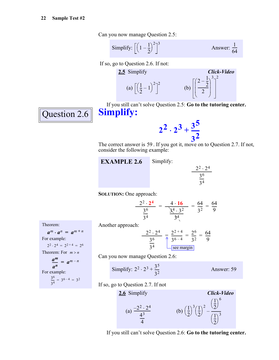Can you now manage Question 2.5:

Simplify: 
$$
\left[\left(1-\frac{1}{2}\right)^2\right]^3
$$
 Answer:  $\frac{1}{64}$ 

If so, go to Question 2.6. If not:

**2.5** Simplify *Click-Video* (a)  $\left[ \left( \frac{1}{2} - 1 \right)^2 \right]^2$  (b) 2  $\left(\frac{1}{2} - 1\right)^2$  (b)  $\left[\frac{2 - \frac{1}{2}}{2}\right]$  $\frac{2}{2}$  $\left(\frac{2-\frac{1}{2}}{2}\right)^3$ 



If you still can't solve Question 2.5: **Go to the tutoring center. Simplify:**



The correct answer is 59. If you got it, move on to Question 2.7. If not, consider the following example:



**SOLUTION:** One approach:

$$
\frac{2^2 \cdot 2^4}{\frac{3^6}{3^4}} = \frac{4 \cdot 16}{\frac{3^4 \cdot 3^2}{3^4}} = \frac{64}{3^2} = \frac{64}{9}
$$

Theorem:

 $a^m \cdot a^n = a^{m+n}$ 

For example:  $2^2 \cdot 2^4 = 2^{2+4} = 2^6$ 

Theorem: For  $m > n$ 

$$
\frac{a^m}{a^n} = a^{m-n}
$$
  
For example:  

$$
\frac{3^6}{3^4} = 3^{6-4} = 3^2
$$

Another approach:

$$
\frac{2^2 \cdot 2^4}{\frac{3^6}{3^4}} = \frac{2^{2+4}}{\frac{3^{6-4}}{\text{see margin}}} = \frac{2^6}{9} = \frac{64}{9}
$$

Can you now manage Question 2.6:

Simplify: 
$$
2^2 \cdot 2^3 + \frac{3^5}{3^2}
$$
 Answer: 59

If so, go to Question 2.7. If not

2.6 Simplify  
\n(a) 
$$
\frac{-2^2 \cdot 2^4}{\frac{4^3}{4}}
$$
 (b)  $(\frac{1}{2})^3 (\frac{1}{2})^2 - (\frac{1}{2})^6$ 

If you still can't solve Question 2.6: **Go to the tutoring center.**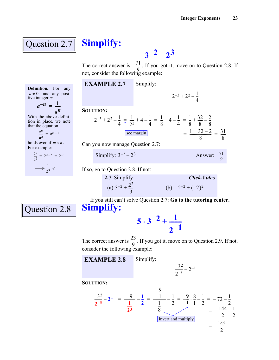# **Simplify:**

 $3^{-2} - 2^3$ 

The correct answer is  $-\frac{71}{9}$ . If you got it, move on to Question 2.8. If not, consider the following example:

**Definition.** For any  $a \neq 0$  and any positive integer *n*:  $a^{-n} = \frac{1}{a^n}$ 

Question 2.7

With the above definition in place, we note that the equation

$$
\frac{a^m}{a^n} = a^{m-n}
$$

holds even if  $m < n$ . For example:

22  $\frac{2^2}{2^5}$  = 2<sup>2-5</sup> = 2<sup>-3</sup> 1  $\frac{1}{2^3}$ 

**EXAMPLE 2.7** Simplify:

**SOLUTION:**

$$
2^{-3} + 2^{2} - \frac{1}{4} = \frac{1}{2^{3}} + 4 - \frac{1}{4} = \frac{1}{8} + 4 - \frac{1}{4} = \frac{1}{8} + \frac{32}{8} - \frac{2}{8}
$$
  
=  $\frac{1 + 32 - 2}{8} = \frac{31}{8}$ 

Can you now manage Question 2.7:

Simplify:  $3^{-2} - 2^{3}$  Answer:  $-\frac{71}{9}$  $-\frac{11}{9}$ 

If so, go to Question 2.8. If not:

2.7 Simplify  
\n(a) 
$$
3^{-2} + \frac{2^2}{9}
$$
 \t\t (b)  $-2^{-2} + (-2)^2$ 

Question 2.8

If you still can't solve Question 2.7: **Go to the tutoring center. Simplify:**

$$
5\cdot 3^{-2} + \frac{1}{2^{-1}}
$$

The correct answer is  $\frac{23}{9}$ . If you got it, move on to Question 2.9. If not, consider the following example: 9  $\frac{25}{2}$ 

**EXAMPLE 2.8** Simplify:

$$
\frac{-3^2}{2^{-3}}-2^{-1}
$$

**SOLUTION:**

$$
\frac{-3^2}{2^{-3}} - 2^{-1} = \frac{-9}{\frac{1}{2^{3}}} - \frac{1}{2} = \frac{-\frac{9}{1}}{\frac{1}{8}} - \frac{1}{2} = \frac{-9}{1} \cdot \frac{8}{1} - \frac{1}{2} = -72 - \frac{1}{2}
$$
  
\n
$$
= -\frac{144}{2} - \frac{1}{2}
$$
  
\n
$$
= -\frac{145}{2}
$$

$$
AAW1LE2.7 = 9m
$$

$$
\frac{+32-2}{8} =
$$

 $2^{-3} + 2^2 - \frac{1}{4}$ 

4  $+2^2-\frac{1}{7}$ 

Answer: 
$$
-\frac{7}{2}
$$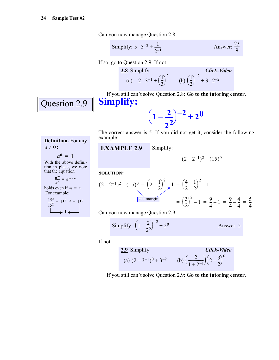Can you now manage Question 2.8:

Simplify: 
$$
5 \cdot 3^{-2} + \frac{1}{2^{-1}}
$$
 Answer:  $\frac{23}{9}$ 

If so, go to Question 2.9. If not:

2.8 Simplify  
\n(a) 
$$
-2 \cdot 3^{-1} + (\frac{1}{3})^2
$$
 (b)  $(\frac{1}{2})^{-2} + 3 \cdot 2^{-2}$ 

If you still can't solve Question 2.8: **Go to the tutoring center. Simplify:**

Question 2.9

$$
\left(1-\frac{2}{2^2}\right)^{-2}+2^0
$$

The correct answer is 5. If you did not get it, consider the following example:

**Definition.** For any  $a \neq 0$ :

$$
a^0 = 1
$$

With the above definition in place, we note that the equation

$$
\frac{a^m}{a^n} = a^{m-n}
$$
  
holds even if  $m = n$ .

 For example: 15<sup>2</sup> 15<sup>2</sup>  $= 15^{2-2} = 15^{0}$ 

 $\cdot$  1  $\leftarrow$ 

**EXAMPLE 2.9** Simplify:

$$
(2-2^{-1})^2 - (15)^0
$$

**SOLUTION:**

$$
(2-2^{-1})^2 - (15)^0 = \left(2 - \frac{1}{2}\right)^2 - 1 = \left(\frac{4}{2} - \frac{1}{2}\right)^2 - 1
$$
  
see margin 
$$
= \left(\frac{3}{2}\right)^2 - 1 = \frac{9}{4} - 1 = \frac{9}{4} - \frac{4}{4} = \frac{5}{4}
$$

Can you now manage Question 2.9:

Simplify: 
$$
\left(1 - \frac{2}{2^2}\right)^{-2} + 2^0
$$
 Answer: 5

If not:

2.9 Simplify  
\n(a) 
$$
(2-3^{-1})^0 + 3^{-2}
$$
 (b)  $\left(\frac{2}{1+2^{-1}}\right) \left(2-\frac{3}{2}\right)^0$ 

If you still can't solve Question 2.9: **Go to the tutoring center.**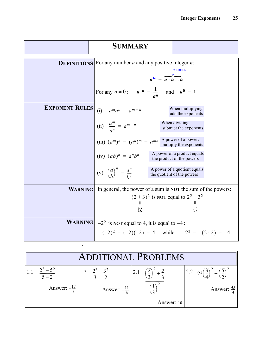|                       | <b>SUMMARY</b>                                                                      |                                                            |
|-----------------------|-------------------------------------------------------------------------------------|------------------------------------------------------------|
|                       | <b>DEFINITIONS</b> For any number a and any positive integer $n$ .                  | $n$ -times                                                 |
|                       | $a^n = \overbrace{a \cdot a \cdots a}^{\vee}$                                       |                                                            |
|                       | For any $a \neq 0$ : $a^{-n} = \frac{1}{a^n}$ and $a^0 = 1$                         |                                                            |
| <b>EXPONENT RULES</b> | (i) $a^m a^n = a^{m+n}$                                                             | When multiplying<br>add the exponents                      |
|                       | (ii) $\frac{a^m}{a^n} = a^{m-n}$                                                    | When dividing<br>subtract the exponents                    |
|                       | (iii) $(a^m)^n = (a^n)^m = a^{mn}$ A power of a power:                              | multiply the exponents                                     |
|                       | (iv) $(ab)^n = a^n b^n$                                                             | A power of a product equals<br>the product of the powers   |
|                       | (v) $\left(\frac{a}{b}\right)^n = \frac{a^n}{b^n}$                                  | A power of a quotient equals<br>the quotient of the powers |
| <b>WARNING</b>        | In general, the power of a sum is NOT the sum of the powers:                        |                                                            |
|                       | $(2 + 3)^2$ is NOT equal to $2^2 + 3^2$                                             |                                                            |
|                       | 52                                                                                  | $\vec{u}$                                                  |
|                       | <b>WARNING</b> $\vert$ -2 <sup>2</sup> is <b>NOT</b> equal to 4, it is equal to -4: |                                                            |
|                       | $(-2)^2 = (-2)(-2) = 4$ while $-2^2 = -(2 \cdot 2) = -4$                            |                                                            |

| <b>ADDITIONAL PROBLEMS</b> |                           |  |                                     |            |                                                                                      |
|----------------------------|---------------------------|--|-------------------------------------|------------|--------------------------------------------------------------------------------------|
|                            | $\frac{2^3 - 5^2}{5 - 2}$ |  | 1.2 $\frac{2^3}{3} - \frac{3^2}{2}$ | 2.1        | $\left 2.2 \quad 2^3 \left(\frac{3}{4}\right)^2 + \left(\frac{5}{2}\right)^2\right $ |
|                            | Answer: $-\frac{17}{3}$   |  | Answer: $-\frac{11}{4}$             |            | Answer: $\frac{43}{4}$                                                               |
|                            |                           |  |                                     | Answer: 10 |                                                                                      |

.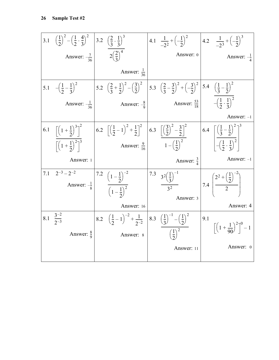| 3.1 $\left(\frac{1}{2}\right)^2 - \left(\frac{1}{2} \cdot \frac{4}{3}\right)^2$ 3.2 $\left(\frac{2}{3} \cdot \frac{1}{3}\right)^3$                                                                             |                                                                                                                                                                                              | 4.1 $\frac{1}{2^2} + \left(-\frac{1}{2}\right)^2$                                        |     | $4.2 \frac{1}{2^3} + \left(-\frac{1}{2}\right)^3$                                                             |
|----------------------------------------------------------------------------------------------------------------------------------------------------------------------------------------------------------------|----------------------------------------------------------------------------------------------------------------------------------------------------------------------------------------------|------------------------------------------------------------------------------------------|-----|---------------------------------------------------------------------------------------------------------------|
| Answer: $-\frac{7}{26}$ $2\left(\frac{2}{2}\right)^4$                                                                                                                                                          |                                                                                                                                                                                              | Answer: 0                                                                                |     | Answer: $-\frac{1}{4}$                                                                                        |
|                                                                                                                                                                                                                | Answer: $\frac{1}{36}$                                                                                                                                                                       |                                                                                          |     |                                                                                                               |
| 5.1 $-\left(\frac{1}{2} - \frac{1}{3}\right)^2$                                                                                                                                                                | $5.2\left(\frac{2}{3}+\frac{1}{2}\right)^2-\left(\frac{3}{2}\right)^2$ 5.3 $\left(\frac{2}{3}-\frac{3}{2}\right)^2+\left(-\frac{3}{2}\right)^2$ 5.4 $\left(\frac{1}{3}-\frac{1}{2}\right)^2$ |                                                                                          |     |                                                                                                               |
| Answer: $-\frac{1}{36}$                                                                                                                                                                                        | Answer: $-\frac{8}{9}$                                                                                                                                                                       | Answer: $\frac{53}{18}$ $-\left(\frac{1}{2} \cdot \frac{1}{2}\right)^2$                  |     |                                                                                                               |
|                                                                                                                                                                                                                |                                                                                                                                                                                              |                                                                                          |     | Answer: -1                                                                                                    |
| 6.1 $\left[ \left( 1 + \frac{1}{2} \right)^3 \right]^2$                                                                                                                                                        | 6.2 $\left[\left(\frac{1}{2}-1\right)^2 + \frac{1}{2}\right]^2$ 6.3 $\left[\left(\frac{3}{2}\right)^2 - \frac{3}{2}\right]^2$<br>Answer: $\frac{9}{16}$ $1 - \left(\frac{1}{2}\right)^2$     |                                                                                          |     | 6.4 $\left[\frac{\left(\frac{1}{3}-\frac{1}{2}\right)^2}{-\left(\frac{1}{2}\cdot\frac{1}{3}\right)^2}\right]$ |
| $\left[\left(1+\frac{1}{2}\right)^2\right]^3$                                                                                                                                                                  |                                                                                                                                                                                              |                                                                                          |     |                                                                                                               |
| Answer: 1                                                                                                                                                                                                      |                                                                                                                                                                                              | Answer: $\frac{3}{4}$                                                                    |     | Answer: -1                                                                                                    |
| $7.1 \t 2^{-3} - 2^{-2}$<br>$\begin{bmatrix} 2^{-2} \\ \text{Answer: } -\frac{1}{8} \end{bmatrix}$ $\begin{bmatrix} 7.2 & \left(1 - \frac{1}{2}\right)^{-2} \\ \left(1 - \frac{1}{2}\right)^{2} \end{bmatrix}$ |                                                                                                                                                                                              | 7.3 $3^2 \left(\frac{1}{3}\right)^{-1}$<br>$3^2$<br>Answer: 3                            |     | 7.4 $\left( \frac{2^2 + (\frac{1}{2})^{-2}}{2} \right)$                                                       |
|                                                                                                                                                                                                                | Answer: 16                                                                                                                                                                                   |                                                                                          |     | Answer: 4                                                                                                     |
| 8.1 $\frac{3^{-2}}{2^{-3}}$<br>Answer: $\frac{8}{9}$                                                                                                                                                           | 8.2 $\left(\frac{1}{2}-1\right)^{-2}+\frac{1}{2-2}$<br>Answer: 8                                                                                                                             | 8.3 $\left(\frac{1}{3}\right)^{-1} - \left(\frac{1}{2}\right)^2$<br>$\sqrt{\frac{1}{2}}$ | 9.1 | $\left[ \left( 1 + \frac{1}{90} \right)^2 \right]^0 - 1$                                                      |
|                                                                                                                                                                                                                |                                                                                                                                                                                              | Answer: 11                                                                               |     | Answer: 0                                                                                                     |
|                                                                                                                                                                                                                |                                                                                                                                                                                              |                                                                                          |     |                                                                                                               |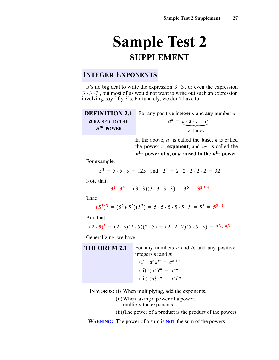# **Sample Test 2 SUPPLEMENT**

## **INTEGER EXPONENTS**

It's no big deal to write the expression  $3 \cdot 3$ , or even the expression  $3 \cdot 3 \cdot 3$ , but most of us would not want to write out such an expression involving, say fifty 3's. Fortunately, we don't have to:

|                                                        | <b>DEFINITION 2.1</b> For any positive integer <i>n</i> and any number <i>a</i> : |
|--------------------------------------------------------|-----------------------------------------------------------------------------------|
| <b><i>a</i></b> RAISED TO THE<br>$n^{\text{th}}$ POWER | $a^n = a \cdot a \cdot \ldots \cdot a$<br>RAMAN MENDE<br>$n$ -times               |

In the above, *a* is called the **base**, *n* is called the **power** or **exponent**, and  $a^n$  is called the  $n<sup>th</sup>$  power of *a*, or *a* raised to the  $n<sup>th</sup>$  power.

For example:

$$
5^3 = 5 \cdot 5 \cdot 5 = 125
$$
 and  $2^5 = 2 \cdot 2 \cdot 2 \cdot 2 \cdot 2 = 32$ 

Note that:

$$
32 \cdot 34 = (3 \cdot 3)(3 \cdot 3 \cdot 3 \cdot 3) = 36 = 32+4
$$

That:

$$
(52)3 = (52)(52)(52) = 5 \cdot 5 \cdot 5 \cdot 5 \cdot 5 \cdot 5 = 56 = 52 \cdot 3
$$

And that:

$$
(2 \cdot 5)^3 = (2 \cdot 5)(2 \cdot 5)(2 \cdot 5) = (2 \cdot 2 \cdot 2)(5 \cdot 5 \cdot 5) = 2^3 \cdot 5^3
$$

Generalizing, we have:

**THEOREM 2.1** For any numbers *a* and *b*, and any positive integers *m* and *n*: (i)  $a^n a^m = a^{n+m}$  $(ii)$   $(a^n)^m = a^{nm}$  $(iii) (ab)^n = a^n b^n$ 

 **IN WORDS:** (i) When multiplying, add the exponents.

- (ii)When taking a power of a power,
	- multiply the exponents.
- (iii)The power of a product is the product of the powers.

**WARNING:** The power of a sum is **NOT** the sum of the powers.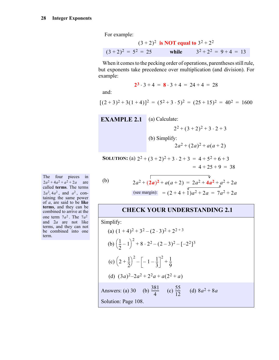For example:

$$
(3+2)^2
$$
 is NOT equal to  $3^2 + 2^2$   

$$
(3+2)^2 = 5^2 = 25
$$
 while  $3^2 + 2^2 = 9 + 4 = 13$ 

When it comes to the pecking order of operations, parentheses still rule, but exponents take precedence over multiplication (and division). For example:

$$
2^3 \cdot 3 + 4 = 8 \cdot 3 + 4 = 24 + 4 = 28
$$

and:

$$
[(2+3)^2 + 3(1+4)]^2 = (5^2 + 3 \cdot 5)^2 = (25+15)^2 = 40^2 = 1600
$$

**EXAMPLE 2.1** (a) Calculate:

$$
2^2 + (3+2)^2 + 3 \cdot 2 + 3
$$

(b) Simplify:

Г

$$
2a^2 + (2a)^2 + a(a+2)
$$

SOLUTION: (a) 
$$
2^2 + (3+2)^2 + 3 \cdot 2 + 3 = 4 + 5^2 + 6 + 3
$$
  
= 4 + 25 + 9 = 38

(b)

$$
b) \quad
$$

$$
^{0)}
$$

$$
^{2)}
$$

$$
y =
$$

$$
y =
$$

$$
0\leq \frac{1}{2}
$$

$$
y = \frac{1}{2}
$$

$$
y_{\rm max}
$$

$$
y_{\rm max}
$$

$$
y_{\rm max}
$$

$$
\mathcal{L}_{\mathcal{L}_{\mathcal{L}}}
$$

$$
f_{\rm{max}}
$$

$$
f_{\rm{max}}
$$

$$
2a^{2} + (2a)^{2} + a(a+2) = 2a^{2} + 4a^{2} + a^{2} + 2a
$$
  
(see margin): 
$$
= (2+4+1)a^{2} + 2a = 7a^{2} + 2a
$$

### **CHECK YOUR UNDERSTANDING 2.1**

Simplify:  
\n(a) 
$$
(1+4)^2 + 3^2 - (2 \cdot 3)^2 + 2^{2+3}
$$
  
\n(b)  $\left(\frac{1}{2}-1\right)^2 + 8 \cdot 2^2 - (2-3)^2 - [-2^2]^3$   
\n(c)  $\left(2+\frac{1}{2}\right)^2 - \left[-1-\frac{1}{3}\right]^2 + \frac{1}{9}$   
\n(d)  $(3a)^2 - 2a^2 + 2^2a + a(2^2 + a)$   
\nAnswers: (a) 30 (b)  $\frac{381}{4}$  (c)  $\frac{55}{12}$  (d)  $8a^2 + 8a$   
\nSolution: Page 108.

The four pieces in  $2a^2 + 4a^2 + a^2 + 2a$  are called **terms**. The terms  $2a^2$ ,  $4a^2$ , and  $a^2$ , containing the same power of *a*, are said to be **like terms**, and they can be combined to arrive at the one term  $7a^2$ . The  $7a^2$ and 2*a* are not like terms, and they can not be combined into one term.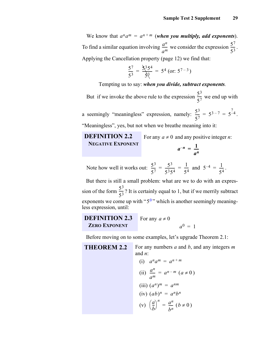We know that  $a^n a^m = a^{n+m}$  (when you multiply, add exponents). To find a similar equation involving  $\frac{a^n}{a^m}$  we consider the expression  $\frac{5^7}{5^3}$ . Applying the Cancellation property (page 12) we find that:

$$
\frac{5^7}{5^3} = \frac{\cancel{5}^3 \cancel{5}^4}{\cancel{5}^3} = 5^4 \text{ (or: } 5^{7-3}\text{)}
$$

Tempting us to say: *when you divide, subtract exponents.*

But if we invoke the above rule to the expression  $\frac{5^3}{5^7}$  we end up with

a seemingly "meaningless" expression, namely:  $\frac{5^3}{2} = 5^{3-7} = 5^{24}$ . 57  $\frac{5^3}{2^7}$  = 5<sup>3</sup> - 7 = 5<sup>2</sup> - 4

"Meaningless", yes, but not when we breathe meaning into it:

**DEFINITION 2.2 NEGATIVE EXPONENT** For any  $a \neq 0$  and any positive integer *n*:  $a^{-n} = \frac{1}{a^n}$ 

Note how well it works out:  $\frac{5^3}{5^7} = \frac{5^3}{5^3 5^4} = \frac{1}{5^4}$  and  $5^{-4} = \frac{1}{5^4}$ .

But there is still a small problem: what are we to do with an expression of the form  $\frac{5^3}{5^3}$ ? It is certainly equal to 1, but if we merrily subtract exponents we come up with " $5<sup>0</sup>$ " which is another seemingly meaningless expression, until:

**DEFINITION 2.3 ZERO EXPONENT** For any  $a \neq 0$  $a^0 = 1$ 

Before moving on to some examples, let's upgrade Theorem 2.1:

**THEOREM 2.2** For any numbers *a* and *b*, and any integers *m* and *n*: (i)  $a^n a^m = a^{n+m}$ (ii)  $\frac{a^n}{a^m} = a^{n-m} (a \neq 0)$  $(iii) (a^n)^m = a^{nm}$  $(iv) (ab)^n = a^n b^n$ (v)  $\left(\frac{a}{b}\right)^n = \frac{a^n}{b^n} (b \neq 0)$  $\left(\frac{a}{b}\right)^n = \frac{a^n}{b^n}$   $(b \neq 0)$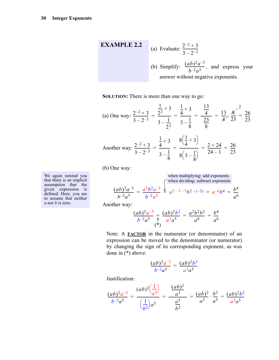**EXAMPLE 2.2**  
\n(a) Evaluate: 
$$
\frac{2^{-2} + 3}{3 - 2^{-3}}
$$
  
\n(b) Simplify:  $\frac{(ab)^2 a^{-3}}{b^{-2} a^5}$ , and express your answer without negative exponents.

**SOLUTION:** There is more than one way to go:

(a) One way: 
$$
\frac{2^{-2}+3}{3-2^{-3}} = \frac{\frac{1}{2^2}+3}{3-\frac{1}{2^3}} = \frac{\frac{1}{4}+3}{3-\frac{1}{8}} = \frac{\frac{13}{4}}{\frac{23}{8}} = \frac{13}{4} \times \frac{8}{23} = \frac{26}{23}
$$

Another way: 
$$
\frac{2^{-2}+3}{3-2^{-3}} = \frac{\frac{1}{4}+3}{3-\frac{1}{8}} = \frac{8(\frac{1}{4}+3)}{8(3-\frac{1}{8})} = \frac{2+24}{24-1} = \frac{26}{23}
$$

(b) One way:

when multiplying: add exponents  
\n
$$
\frac{(ab)^2a^{-3}}{b^{-2}a^5} = \frac{a^2b^2a^{-3}}{b^{-2}a^5} \n\searrow{\text{when dividing: subtract exponents}}
$$
\n
$$
a^{2-3-5}b^{2-(-2)} = a^{-6}b^4 = \frac{b^4}{a^6}
$$

Another way:

$$
\frac{(ab)^2a^{-3}}{b^{-2}a^5} = \frac{(ab)^2b^2}{a^3a^5} = \frac{a^2b^2b^2}{a^8} = \frac{b^4}{a^6}
$$

Note: A **FACTOR** in the numerator (or denominator) of an expression can be moved to the denominator (or numerator) by changing the sign of its corresponding exponent, as was done in (\*) above:

$$
\frac{(ab)^2a^{-3}}{b^{-2}a^5} = \frac{(ab)^2b^2}{a^3a^5}
$$

Justification:

$$
\frac{(ab)^2a^{-3}}{b^{-2}a^5} = \frac{(ab)^2\left(\frac{1}{a^3}\right)}{\left(\frac{1}{b^2}\right)a^5} = \frac{\frac{(ab)^2}{a^3}}{\frac{a^5}{b^2}} = \frac{(ab)^2}{a^3} \cdot \frac{b^2}{a^5} = \frac{(ab)^2b^2}{a^3a^5}
$$

We again remind you that there is an implicit assumption that the given expression is defined. Here, you are to assume that neither *a* nor *b* is zero.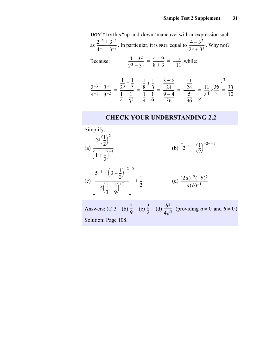**DON'T** try this "up-and-down" maneuver with an expression such as  $\frac{2^{-3} + 3^{-1}}{4^{-1} - 3^{-2}}$ . In particular, it is **NOT** equal to  $\frac{4 - 3^{2}}{2^{3} + 3^{1}}$ . Why not? Because:  $\frac{4-3^2}{2^3+3^1} = \frac{4-9}{8+3} = -\frac{5}{11}$ , while:  $\overline{2}$ 

$$
\frac{2^{-3} + 3^{-1}}{4^{-1} - 3^{-2}} = \frac{\frac{1}{2^3} + \frac{1}{3}}{\frac{1}{4} - \frac{1}{3^2}} = \frac{\frac{1}{8} + \frac{1}{3}}{\frac{1}{4} - \frac{1}{9}} = \frac{\frac{3+8}{24}}{\frac{9-4}{36}} = \frac{\frac{11}{24}}{\frac{5}{36}} = \frac{11}{24} \times \frac{36}{5} = \frac{33}{10}
$$

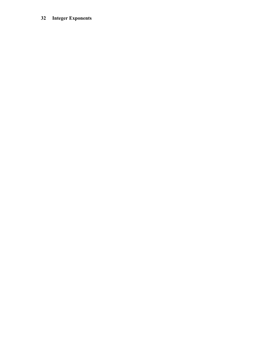#### **32 Integer Exponents**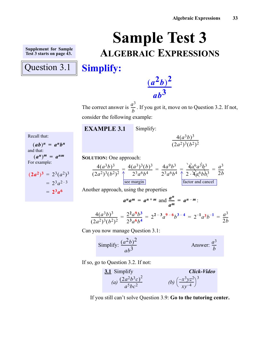## **<sup>3</sup> Sample Test 3 ALGEBRAIC EXPRESSIONS**

 $(a^2b)^2$ 

 $\frac{(a \ b)}{ab^3}$ 

**Supplement for Sample Test 3 starts on page 43.**

#### **Simplify:** Question 3.1

The correct answer is  $\frac{a^3}{l}$ . If you got it, move on to Question 3.2. If not, consider the following example: *b*  $\frac{a}{\tau}$ 

 $\frac{4(a^3b)^3}{(2a^2)^3(b^2)^2}$ 

**EXAMPLE 3.1** Simplify:

Recall that:

and that: For example:  $(a\,)^n = a^n b^n$  $(a^n)^m = a^{nm}$ 

$$
(2a2)3 = 23(a2)3
$$
  
= 2<sup>3</sup>a<sup>2</sup>·3  
= 2<sup>3</sup>a<sup>6</sup>

**SOLUTION:** One approach:

$$
\frac{4(a^3b)^3}{(2a^2)^3(b^2)^2} = \frac{4(a^3)^3(b)^3}{2^3a^6b^4} = \frac{4a^9b^3}{2^3a^6b^4} = \frac{4a^6a^3b^3}{2 \cdot 4a^6b^3b^3} = \frac{a^3}{2b}
$$
  
see margin

Another approach, using the properties

$$
a^n a^m = a^{n+m} \text{ and } \frac{a^n}{a^m} = a^{n-m}:
$$

$$
\frac{4(a^3b)^3}{(2a^2)^3(b^2)^2} = \frac{2^2a^9b^3}{2^3a^6b^4} = 2^{2-3}a^{9-6}b^{3-4} = 2^{-1}a^3b^{-1} = \frac{a^3}{2b}
$$

Can you now manage Question 3.1:

Simplify: 
$$
\frac{(a^2b)^2}{ab^3}
$$
 Answer: 
$$
\frac{a^3}{b}
$$

If so, go to Question 3.2. If not:

3.1 Simplify *Click-Video*  
\n(a) 
$$
\frac{(2a^2b^3c)^2}{a^5bc^2}
$$
\n(b) 
$$
\left(\frac{-x^3yz^2}{xy^{-4}}\right)^3
$$

If you still can't solve Question 3.9: **Go to the tutoring center.**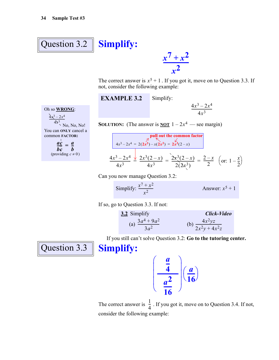Question 3.2

## **Simplify:**

$$
\frac{x^7+x^2}{x^2}
$$

The correct answer is  $x^5 + 1$ . If you got it, move on to Question 3.3. If not, consider the following example:

**EXAMPLE 3.2** Simplify:

$$
\frac{4x^3 - 2x^4}{4x^3}
$$

Oh so **WRONG**:

You can **ONLY** cancel a common **FACTOR:**   $4x^3 - 2x^4$  $\frac{4x^3-2x}{4x^3}$  No, No, No! *ac*  $\frac{ac}{b} = \frac{a}{b}$  $\frac{a}{b}$ 

*bc* (providing  $c \neq 0$ ) **SOLUTION:** (The answer is **<u>NOT</u>**  $1 - 2x^4$  — see margin)

$$
\frac{\text{pull out the common factor}}{4x^3 - 2x^4} = 2(2x^3) - x(2x^3) = 2x^3(2-x)
$$
\n
$$
\frac{4x^3 - 2x^4}{4x^3} \stackrel{\text{def}}{=} \frac{2x^3(2-x)}{4x^3} = \frac{2x^3(2-x)}{2(2x^3)} = \frac{2-x}{2} \quad \text{(or: } 1 - \frac{x}{2}\text{)}
$$

Can you now manage Question 3.2:

Simplify: 
$$
\frac{x^7 + x^2}{x^2}
$$
 Answer:  $x^5 + 1$ 

If so, go to Question 3.3. If not:

3.2 Simplify  
\n(a) 
$$
\frac{3a^4 + 9a^2}{3a^2}
$$
\n(b) 
$$
\frac{4x^2yz}{2x^2y + 4x^2z}
$$

Question 3.3

If you still can't solve Question 3.2: **Go to the tutoring center.**

## **Simplify:**



The correct answer is  $\frac{1}{4}$ . If you got it, move on to Question 3.4. If not, consider the following example: 4  $\frac{1}{1}$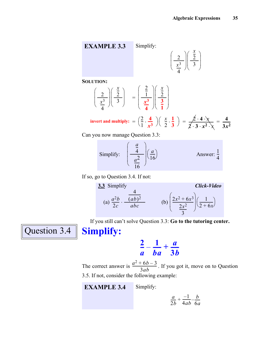$\frac{x}{2}$ 3



**SOLUTION:** 

$$
\left(\frac{2}{x^3}\right)\left(\frac{\frac{x}{2}}{3}\right) = \left(\frac{\frac{2}{1}}{x^3}\right)\left(\frac{\frac{x}{2}}{3}\right)
$$

$$
invert \text{ and multiply: } = \left(\frac{2}{1} \cdot \frac{4}{x^3}\right) \left(\frac{x}{2} \cdot \frac{1}{3}\right) = \frac{\cancel{2} \cdot 4 \cdot x}{\cancel{2} \cdot 3 \cdot x^2 \cdot x} = \frac{4}{3x^2}
$$

Can you now manage Question 3.3:

Simplify: 
$$
\left(\frac{\frac{a}{4}}{\frac{a^2}{16}}\right)\left(\frac{a}{16}\right)
$$
 Answer:  $\frac{1}{4}$ 

If so, go to Question 3.4. If not:

**Simplify:**

3.3 Simplify  
\n(a) 
$$
\frac{a^2b}{2c} \cdot \frac{\frac{4}{(ab)^2}}{abc}
$$
 (b)  $\left(\frac{2x^2 + 6x^3}{\frac{2x^2}{3}}\right)\left(\frac{1}{2 + 6x}\right)$ 

If you still can't solve Question 3.3: **Go to the tutoring center.**

Question 3.4

$$
\frac{2}{a}-\frac{1}{ba}+\frac{a}{3b}
$$

The correct answer is  $\frac{a^2 + 6b - 3}{3ab}$ . If you got it, move on to Question 3.5. If not, consider the following example:

**EXAMPLE 3.4** Simplify:

$$
\frac{a}{2b}+\frac{-1}{4ab}\frac{b}{6a}
$$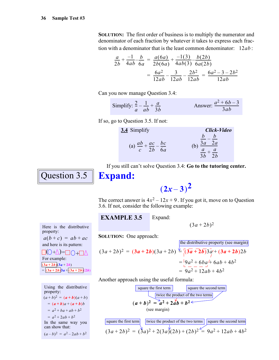**SOLUTION:** The first order of business is to multiply the numerator and denominator of each fraction by whatever it takes to express each fraction with a denominator that is the least common denominator:  $12ab$ :

$$
\frac{a}{2b} + \frac{-1}{4ab} - \frac{b}{6a} = \frac{a(6a)}{2b(6a)} + \frac{-1(3)}{4ab(3)} - \frac{b(2b)}{6a(2b)}
$$

$$
= \frac{6a^2}{12ab} - \frac{3}{12ab} - \frac{2b^2}{12ab} = \frac{6a^2 - 3 - 2b^2}{12ab}
$$

Can you now manage Question 3.4:

Simplify: 
$$
\frac{2}{a} - \frac{1}{ab} + \frac{a}{3b}
$$
 Answer:  $\frac{a^2 + 6b - 3}{3ab}$ 

If so, go to Question 3.5. If not:

3.4 Simplify  
\n(a) 
$$
\frac{ab}{c} + \frac{ac}{2b} - \frac{bc}{6a}
$$
 (b)  $\frac{\frac{b}{3a} - \frac{b}{2a}}{\frac{a}{3b} + \frac{a}{2b}}$ 

If you still can't solve Question 3.4: **Go to the tutoring center.**

Question 3.5

**Expand:**

 $(2x-3)^2$ 

The correct answer is  $4x^2 - 12x + 9$ . If you got it, move on to Question 3.6. If not, consider the following example:

```
EXAMPLE 3.5 Expand:
```
 $(3a+2b)^2$ 

**SOLUTION:** One approach:

$$
(3a+2b)^2 = (3a+2b)(3a+2b) \stackrel{\text{the distributive property (see margin)}}{=} \frac{\sqrt{3a+2b}}{3a+2b} \stackrel{\text{the distributive property (see margin)}}{=} \frac{19a^2 + 6ba^2 + 6ab + 4b^2}{6ab+4b^2} = \frac{19a^2 + 12ab + 4b^2}{9a^2 + 12ab + 4b^2}
$$

Another approach using the useful formula:

 $(a + b)^2 = a^2 + 2ab + b^2$ square the first term square the second term twice the product of the two terms (see margin)

 $(3a+2b)^2 = (3a)^2 + 2(3a)(2b) + (2b)^2 = 9a^2 + 12ab + 4b^2$ square the first term twice the product of the two terms square the second term

Here is the distributive property: and here is its pattern: For example:  $a(b+c) = ab + ac$  $\square(\bigcirc + \triangle) = \square \cap + \square \wedge$  $(3a + 2b)(3a + 2b)$  $=$   $(3a+2b)3a+(3a+2b)(2b)$ 

Using the distributive property: In the same way you can show that:  $(a + b)^2 = (a + b)(a + b)$  $= (a + b)a + (a + b)b$  $= a^2 + ba + ab + b^2$  $= a^2 + 2ab + b^2$  $(a - b)^2 = a^2 - 2ab + b^2$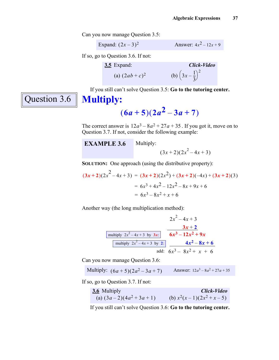Can you now manage Question 3.5:

Expand:  $(2x-3)^2$ Answer:  $4x^2 - 12x + 9$ 

If so, go to Question 3.6. If not:

3.5 Expand:  
\n(a) 
$$
(2ab + c)^2
$$
  
\n(b)  $\left(3x - \frac{1}{3}\right)^2$ 

If you still can't solve Question 3.5: **Go to the tutoring center.**

## **Multiply:**

Question 3.6

$$
(6a+5)(2a^2-3a+7)
$$

The correct answer is  $12a^3 - 8a^2 + 27a + 35$ . If you got it, move on to Question 3.7. If not, consider the following example:

**EXAMPLE 3.6** Multiply:

$$
(3x+2)(2x^2-4x+3)
$$

**SOLUTION:** One approach (using the distributive property):

$$
(3x+2)(2x2 - 4x + 3) = (3x+2)(2x2) + (3x+2)(-4x) + (3x+2)(3)
$$
  
= 6x<sup>3</sup> + 4x<sup>2</sup> - 12x<sup>2</sup> - 8x + 9x + 6  
= 6x<sup>3</sup> - 8x<sup>2</sup> + x + 6

Another way (the long multiplication method):

$$
\frac{2x^2 - 4x + 3}{3x + 2}
$$
\nmultiply  $2x^2 - 4x + 3$  by  $3x$ :

\n

| Multiply $2x^2 - 4x + 3$ by $3x$ : | $6x^3 - 12x^2 + 9x$   |
|------------------------------------|-----------------------|
| multiply $2x^2 - 4x + 3$ by $2$ :  | $4x^2 - 8x + 6$       |
| add:                               | $6x^3 - 8x^2 + x + 6$ |

Can you now manage Question 3.6:

Multiply:  $(6a + 5)(2a^2 - 3a + 7)$  Answer:  $12a^3 - 8a^2 + 27a + 35$ 

If so, go to Question 3.7. If not:

| <b>3.6</b> Multiply     | Click-Video              |
|-------------------------|--------------------------|
| (a) $(3a-2)(4a^2+3a+1)$ | (b) $x^2(x-1)(2x^2+x-5)$ |

If you still can't solve Question 3.6: **Go to the tutoring center.**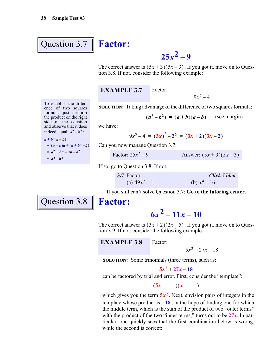Question 3.7

### **Factor:**

 $25x^2 - 9$ 

The correct answer is  $(5x + 3)(5x - 3)$ . If you got it, move on to Question 3.8. If not, consider the following example:

#### **EXAMPLE 3.7** Factor:

 $9x^2 - 4$ 

**SOLUTION:** Taking advantage of the difference of two squares formula: To establish the difference of two squares formula, just perform the product on the right

$$
(a2 - b2) = (a + b)(a - b)
$$
 (see margin)

we have:

$$
9x^2 - 4 = (3x)^2 - 2^2 = (3x + 2)(3x - 2)
$$

Can you now manage Question 3.7:

 $(a + b)(a - b)$  $= (a + b)a + (a + b)(-b)$  $a^2 + ba - ab - b^2$  $a^2 - b^2$ 

side of the equation and observe that it does indeed equal  $a^2 - b^2$ :

Factor:  $25x^2-9$ 

Answer:  $(5x + 3)(5x - 3)$ 

If so, go to Question 3.8. If not:

| 3.7 Factor      | Click-Video    |
|-----------------|----------------|
| (a) $49x^2 - 1$ | (b) $x^4$ – 16 |

If you still can't solve Question 3.7: **Go to the tutoring center.**

Question 3.8 
$$
\parallel
$$

### **Factor:**

$$
6x^2-11x-10
$$

The correct answer is  $(3x + 2)(2x - 5)$ . If you got it, move on to Question 3.9. If not, consider the following example:

**EXAMPLE 3.8** Factor:

 $5x^2 + 27x - 18$ 

**SOLUTION:** Some trinomials (three terms), such as:

$$
5x^2+27x-18
$$

can be factored by trial and error. First, consider the "template":

 $(5x)$   $(x)$ 

which gives you the term  $5x^2$ . Next, envision pairs of integers in the template whose product is  $-18$ , in the hope of finding one for which the middle term, which is the sum of the product of two "outer terms" with the product of the two "inner terms," turns out to be  $27x$ . In particular, one quickly sees that the first combination below is wrong, while the second is correct: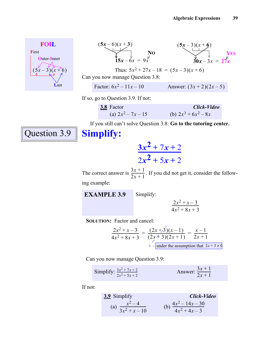

$$
(5x-6)(x+3)
$$
  
\n
$$
15x-6x = 9x
$$
\n
$$
(5x-3)(x+6)
$$
\n
$$
30x-3x = 27x
$$

Thus:  $5x^2 + 27x - 18 = (5x - 3)(x + 6)$ 

Can you now manage Question 3.8:

Last Factor: 
$$
6x^2 - 11x - 10
$$
 Answer:  $(3x + 2)(2x - 5)$ 

If so, go to Question 3.9. If not:

**Simplify:**

| 3.8 Factor           | Click-Video            |
|----------------------|------------------------|
| (a) $2x^2 - 7x - 15$ | (b) $2x^3 + 6x^2 - 8x$ |

If you still can't solve Question 3.8: **Go to the tutoring center.**



$$
\frac{3x^2+7x+2}{2}
$$

$$
\overline{2x^2+5x+2}
$$

The correct answer is  $\frac{3x+1}{2x+1}$ . If you did not get it, consider the following example:

**EXAMPLE 3.9** Simplify:

$$
\frac{2x^2 + x - 3}{4x^2 + 8x + 3}
$$

**SOLUTION:** Factor and cancel:

$$
\frac{2x^2 + x - 3}{4x^2 + 8x + 3} = \frac{(2x + 3)(x - 1)}{(2x + 3)(2x + 1)} = \frac{x - 1}{2x + 1}
$$
  
  $\angle$  - under the assumption that  $2x + 3 \neq 0$ 

Can you now manage Question 3.9:

Simplify: 
$$
\frac{3x^2 + 7x + 2}{2x^2 + 5x + 2}
$$
 Answer:  $\frac{3x + 1}{2x + 1}$ 

If not:

3.9 Simplify  
\n(a) 
$$
\frac{x^2 - 4}{3x^2 + x - 10}
$$
 (b)  $\frac{4x^2 - 14x - 30}{4x^2 + 4x - 3}$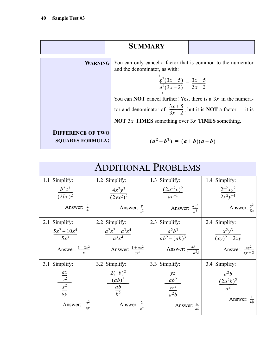|                                                     | <b>SUMMARY</b>                                                                                |  |
|-----------------------------------------------------|-----------------------------------------------------------------------------------------------|--|
| <b>WARNING</b>                                      | You can only cancel a factor that is common to the numerator<br>and the denominator, as with: |  |
|                                                     | $\frac{x^2(3x+5)}{x^2(3x-2)} = \frac{3x+5}{3x-2}$                                             |  |
|                                                     | You can <b>NOT</b> cancel further! Yes, there is a $3x$ in the numera-                        |  |
|                                                     | tor and denominator of $\frac{3x+5}{3x-2}$ , but it is <b>NOT</b> a factor — it is            |  |
|                                                     | <b>NOT 3x TIMES</b> something over $3x$ <b>TIMES</b> something.                               |  |
| <b>DIFFERENCE OF TWO</b><br><b>SQUARES FORMULA:</b> | $(a^{2}-b^{2}) = (a+b)(a-b)$                                                                  |  |

| <b>ADDITIONAL PROBLEMS</b>                        |                                         |                                       |                                                             |  |  |  |  |  |  |
|---------------------------------------------------|-----------------------------------------|---------------------------------------|-------------------------------------------------------------|--|--|--|--|--|--|
| Simplify:<br>1.1                                  | 1.2 Simplify:                           | 1.3 Simplify:                         | 1.4 Simplify:                                               |  |  |  |  |  |  |
| $\frac{b^2c^3}{(2bc)^2}$                          | $\frac{4x^2y^3}{(2yx^2)^2}$             | $\frac{(2a^{-2}c)^2}{ac^{-1}}$        | $\frac{2^{-2}xy^2}{2x^2y^{-1}}$                             |  |  |  |  |  |  |
| Answer: $\frac{c}{4}$                             | Answer: $\frac{y}{r^2}$                 | Answer: $\frac{4c^3}{a^5}$            | Answer: $\frac{y^3}{8x}$                                    |  |  |  |  |  |  |
| Simplify:<br>2.1                                  | 2.2 Simplify:                           | 2.3 Simplify:                         | 2.4 Simplify:                                               |  |  |  |  |  |  |
| $\frac{5x^2-10x^4}{5x^3}$                         | $\frac{a^2x^2 + a^3x^4}{a^3x^4}$        | $\frac{a^2b^3}{ab^2-(ab)^3}$          | $x^2y^3$<br>$\frac{1}{(xy)^2+2xy}$                          |  |  |  |  |  |  |
| Answer: $\frac{1-2x^2}{x}$                        | Answer: $\frac{1+ax^2}{ax^2}$           | Answer: $\frac{ab}{1-a^2b}$           | Answer: $\frac{xy^2}{xy+2}$                                 |  |  |  |  |  |  |
| Simplify:<br>3.1                                  | 3.2 Simplify:                           | 3.3 Simplify:                         | 3.4 Simplify:                                               |  |  |  |  |  |  |
| $\frac{ax}{y^2}$ $\frac{x^2}{x^2}$<br>$\tilde{a}$ | $2(-b)^2$<br>$(ab)^3$<br>$rac{ab}{b^2}$ | $\frac{yz}{ab^2}$ $\frac{yz^2}{a^2b}$ | $a^2b$<br>$\frac{(2a^2b)^2}{a^2}$<br>Answer: $\frac{1}{4b}$ |  |  |  |  |  |  |
| $rac{a^2}{xy}$<br>Answer:                         | Answer: $\frac{2}{a^4}$                 | Answer: $\frac{a}{zb}$                |                                                             |  |  |  |  |  |  |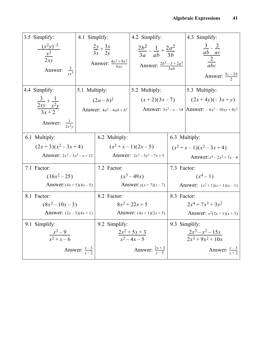| 3.5 Simplify:                    | 4.1 Simplify:              |                                                                    | 4.2 Simplify:                                                                               |                               | 4.3 Simplify:                                         |  |  |
|----------------------------------|----------------------------|--------------------------------------------------------------------|---------------------------------------------------------------------------------------------|-------------------------------|-------------------------------------------------------|--|--|
| $\frac{(x^2y)^{-2}}{x^2}$        |                            | $\frac{2y}{3x} + \frac{3x}{2y}$<br>Answer: $\frac{4y^2+9x^2}{6xy}$ | $\frac{2b^2}{3a} - \frac{1}{ab} + \frac{2a^2}{3b}$<br>Answer: $\frac{2b^3 - 3 + 2a^3}{3ab}$ |                               | $\frac{\frac{3}{ab}-\frac{2}{ac}}{\frac{2}{abc}}$     |  |  |
| Answer: $\frac{2}{yx^5}$         |                            |                                                                    |                                                                                             |                               | Answer: $\frac{3c-2b}{2}$                             |  |  |
| 4.4 Simplify:                    | 5.1 Multiply:              |                                                                    | 5.2 Multiply:                                                                               |                               | 5.3 Multiply:                                         |  |  |
| $\frac{3}{2xy} + \frac{1}{x^2y}$ |                            | $(2a-b)^2$                                                         |                                                                                             |                               | $(x+2)(3x-7)$ $(2x+4y)(-3x+y)$                        |  |  |
|                                  |                            | Answer: $4a^2 - 4ab + b^2$                                         |                                                                                             |                               | Answer: $3x^2 - x - 14$ Answer: $-6x^2 - 10xy + 4y^2$ |  |  |
| Answer: $\frac{1}{2x^2y}$        |                            |                                                                    |                                                                                             |                               |                                                       |  |  |
| 6.1 Multiply:                    |                            | 6.2 Multiply:                                                      |                                                                                             |                               | 6.3 Multiply:                                         |  |  |
| $(2x+3)(x^2-3x+4)$               |                            | $(x^2+x-1)(2x-5)$                                                  |                                                                                             | $(x^2 + x - 1)(x^2 - 3x + 4)$ |                                                       |  |  |
| Answer: $2x^3 - 3x^2 - x + 12$   |                            |                                                                    | Answer: $2x^3 - 3x^2 - 7x + 5$                                                              |                               | Answer: $x^4 - 2x^3 + 7x - 4$                         |  |  |
| 7.1 Factor:                      |                            | 7.2 Factor:                                                        |                                                                                             | 7.3 Factor:                   |                                                       |  |  |
| $(16x^2-25)$                     |                            | $(x^3-49x)$                                                        |                                                                                             | $(x^4-1)$                     |                                                       |  |  |
|                                  | Answer: $(4x + 5)(4x - 5)$ | Answer: $x(x + 7)(x - 7)$                                          |                                                                                             | Answer: $(x^2+1)(x+1)(x-1)$   |                                                       |  |  |
| 8.1 Factor:                      |                            | 8.2 Factor:                                                        |                                                                                             |                               | 8.3 Factor:                                           |  |  |
| $(8x^2-10x-3)$                   |                            |                                                                    | $8x^2 + 22x + 5$                                                                            |                               | $2x^4 + 7x^3 + 3x^2$                                  |  |  |
| Answer: $(2x-3)(4x+1)$           |                            |                                                                    | Answer: $(4x+1)(2x+5)$                                                                      |                               | Answer: $x^2(2x+1)(x+3)$                              |  |  |
| 9.1 Simplify:                    |                            | 9.2 Simplify:                                                      |                                                                                             |                               | 9.3 Simplify:                                         |  |  |
| $\frac{x^2-9}{x^2+x-6}$          |                            | $\frac{2x^2+5x+3}{x^2-4x-5}$                                       |                                                                                             |                               | $\frac{2x^3 - x^2 - 15x}{2x^3 + 9x^2 + 10x}$          |  |  |
|                                  | Answer: $\frac{x-3}{x-2}$  |                                                                    | Answer: $\frac{2x+3}{x-5}$                                                                  |                               | Answer: $\frac{x-3}{x+2}$                             |  |  |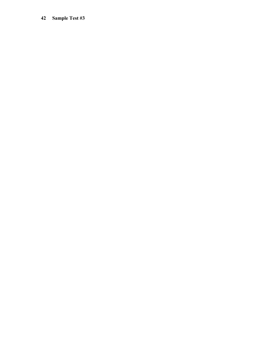#### **42 Sample Test #3**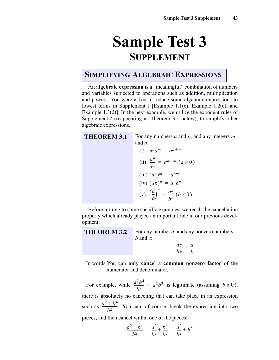# **Sample Test 3 SUPPLEMENT**

### **SIMPLIFYING ALGEBRAIC EXPRESSIONS**

An **algebraic expression** is a "meaningful" combination of numbers and variables subjected to operations such as addition, multiplication and powers. You were asked to reduce some algebraic expressions to lowest terms in Supplement 1 [Example 1.1(c), Example 1.2(c), and Example 1.3(d)]. In the next example, we utilize the exponent rules of Supplement 2 (reappearing as Theorem 3.1 below), to simplify other algebraic expressions.

| <b>THEOREM 3.1</b> | For any numbers $a$ and $b$ , and any integers $m$            |
|--------------------|---------------------------------------------------------------|
|                    | and $n$ :                                                     |
|                    | (i) $a^na^m = a^{n+m}$                                        |
|                    | (ii) $\frac{a^n}{a^m} = a^{n-m} (a \neq 0)$                   |
|                    | (iii) $(a^n)^m = a^{nm}$                                      |
|                    | (iv) $(ab)^n = a^n b^n$                                       |
|                    | (v) $\left(\frac{a}{b}\right)^n = \frac{a^n}{b^n} (b \neq 0)$ |

Before turning to some specific examples, we recall the cancellation property which already played an important role in our previous development:

**THEOREM 3.2** For any number *a*, and any nonzero numbers *b* and *c*:

$$
\frac{ac}{bc} = \frac{a}{b}
$$

In words:You can **only cancel** a **common nonzero factor** of the numerator and denominator.

For example, while  $\frac{a^2b^4}{b^2} = a^2b^2$  is legitimate (assuming  $b \neq 0$ ), there is absolutely no canceling that can take place in an expression such as  $\frac{a^2 + b^4}{b^2}$ . You can, of course, break the expression into two pieces, and then cancel within one of the pieces:

$$
\frac{a^2 + b^4}{b^2} = \frac{a^2}{b^2} + \frac{b^4}{b^2} = \frac{a^2}{b^2} + b^2
$$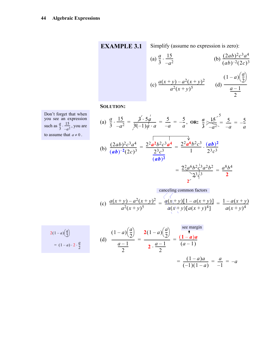**EXAMPLE 3.1** Simplify (assume no expression is zero):

(a) 
$$
\frac{a}{3} \cdot \frac{15}{-a^2}
$$
 (b)  $\frac{(2ab)^2 c^3 a^4}{(ab)^{-2} (2c)^3}$   
(c)  $\frac{a(x+y) - a^2 (x+y)^2}{a^2 (x+y)^5}$  (d)  $\frac{(1-a) \left(\frac{a}{2}\right)}{\frac{a-1}{2}}$ 

**SOLUTION:**

Don't forget that when you see an expression such as  $\frac{a}{2} \cdot \frac{15}{2}$ , you are to assume that  $a \neq 0$ .  $rac{a}{3} \cdot \frac{15}{-a^2}$ 

(a) 
$$
\frac{a}{3} \cdot \frac{15}{-a^2} = \frac{3 \cdot 5a}{3(-1)a \cdot a} = \frac{5}{-a} = -\frac{5}{a}
$$
, **or:**  $\frac{a}{3} > \frac{15}{-a^2} = \frac{5}{-a} = -\frac{5}{a}$   
\n(b)  $\frac{(2ab)^2c^3a^4}{(ab)^{-2}(2c)^3} = \frac{2^2a^2b^2c^3a^4}{2^3c^3} = \frac{2^2a^6b^2c^3}{1} \cdot \frac{(ab)^2}{2^3c^3}$   
\n $= \frac{2^2a^6b^2c^3a^2b^2}{2^3c^3} = \frac{a^8b^4}{2}$ 

canceling common factors

**2**

(c) 
$$
\frac{a(x+y)-a^2(x+y)^2}{a^2(x+y)^5} = \frac{a(x+y)[1-a(x+y)]}{a(x+y)[a(x+y)^4]} = \frac{1-a(x+y)}{a(x+y)^4}
$$

$$
2(1-a)\left(\frac{a}{2}\right)
$$
\n
$$
= (1-a)\cdot 2\cdot \frac{a}{2}
$$
\n
$$
= \frac{(1-a)\left(\frac{a}{2}\right)}{2} = \frac{2(1-a)\left(\frac{a}{2}\right)}{2 \cdot \frac{a-1}{2}} = \frac{(1-a)a}{(a-1)}
$$
\n
$$
= \frac{(1-a)a}{(-1)(1-a)} = \frac{a}{-1} = -a
$$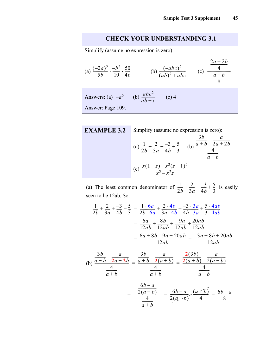### **CHECK YOUR UNDERSTANDING 3.1**

Simplify (assume no expression is zero): (a)  $\frac{(-2a)^2}{5b} \cdot \frac{-b^2}{10} \cdot \frac{50}{4b}$  (b)  $\frac{(-abc)^2}{(ab)^2 + abc}$  (c) Answers: (a)  $-a^2$  (b)  $\frac{abc^2}{ab+c}$  (c) 4 Answer: Page 109.  $-\frac{-b^2}{10} \cdot \frac{50}{4b}$  (b)  $\frac{(-abc)^2}{(ab)^2 + abc}$  $\frac{2a+2b}{4}$  $rac{a+b}{8}$  $\frac{4}{1}$ 

**EXAMPLE 3.2** Simplify (assume no expression is zero):  
\n(a) 
$$
\frac{1}{2b} + \frac{2}{3a} + \frac{-3}{4b} + \frac{5}{3}
$$
 (b)  $\frac{\frac{3b}{a+b} - \frac{a}{2a+2b}}{\frac{4}{a+b}}$   
\n(c)  $\frac{x(1-z) - x^2(z-1)^2}{x^2 - x^2z}$ 

(a) The least common denominator of  $\frac{1}{2} + \frac{2}{3} + \frac{-3}{4} + \frac{5}{3}$  is easily seen to be 12ab. So: 2*b*  $\frac{1}{2!} + \frac{2}{3}$ 3*a*  $\frac{2}{3} + \frac{-3}{11}$ 4*b*  $\frac{-3}{11} + \frac{5}{2}$ 3  $+\frac{2}{2}+\frac{-3}{11}+\frac{3}{2}$ 

$$
\frac{1}{2b} + \frac{2}{3a} + \frac{-3}{4b} + \frac{5}{3} = \frac{1 \cdot 6a}{2b \cdot 6a} + \frac{2 \cdot 4b}{3a \cdot 4b} + \frac{-3 \cdot 3a}{4b \cdot 3a} + \frac{5 \cdot 4ab}{3 \cdot 4ab}
$$

$$
= \frac{6a}{12ab} + \frac{8b}{12ab} + \frac{-9a}{12ab} + \frac{20ab}{12ab}
$$

$$
= \frac{6a + 8b - 9a + 20ab}{12ab} = \frac{-3a + 8b + 20ab}{12ab}
$$

(b) 
$$
\frac{\frac{3b}{a+b} - \frac{a}{2a+2b}}{\frac{4}{a+b}} = \frac{\frac{3b}{a+b} - \frac{a}{2(a+b)}}{\frac{4}{a+b}} = \frac{\frac{2(3b)}{2(a+b)} - \frac{a}{2(a+b)}}{\frac{4}{a+b}}
$$

$$
= \frac{\frac{6b-a}{2(a+b)}}{\frac{4}{a+b}} = \frac{6b-a}{2(a+b)} \cdot \frac{(a+b)}{4} = \frac{6b-a}{8}
$$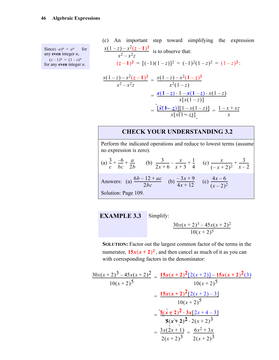$Since (-a)^n = a^n$  for any **even** integer *n*, for any **even** integer *n*.  $(z-1)^n = (1-z)^n$ 

(c) An important step toward simplifying the expression  
\n
$$
\frac{x(1-z) - x^2(z-1)^2}{x^2 - x^2z}
$$
\nis to observe that:  
\n
$$
(z-1)^2 = [(-1)(1-z)]^2 = (-1)^2(1-z)^2 = (1-z)^2:
$$
\n
$$
\frac{x(1-z) - x^2(z-1)^2}{x^2 - x^2z} = \frac{x(1-z) - x^2(1-z)^2}{x^2(1-z)}
$$
\n
$$
= \frac{x(1-z) \cdot 1 - x(1-z) \cdot x(1-z)}{x[x(1-z)]}
$$
\n
$$
= \frac{\overline{x}(1-z)[1-x(1-z)]}{x[x(1-z)]} = \frac{1-x+xz}{x}
$$

#### **CHECK YOUR UNDERSTANDING 3.2**

Perform the indicated operations and reduce to lowest terms (assume no expression is zero).

(a) 
$$
\frac{3}{c} + \frac{-6}{bc} + \frac{a}{2b}
$$
 (b)  $\frac{3}{2x + 6} - \frac{x}{x + 3} + \frac{1}{4}$  (c)  $\frac{x}{(-x + 2)^2} + \frac{3}{x - 2}$   
Answers: (a)  $\frac{6b - 12 + ac}{2bc}$  (b)  $\frac{-3x + 9}{4x + 12}$  (c)  $\frac{4x - 6}{(x - 2)^2}$   
Solution: Page 109.

**EXAMPLE 3.3** Simplify:  $\frac{30x(x+2)^3-45x(x+2)^2}{10(x+2)^5}$ 

**SOLUTION:** Factor out the largest common factor of the terms in the numerator,  $15x(x+2)^2$ , and then cancel as much of it as you can with corresponding factors in the denominator:

$$
\frac{30x(x+2)^3 - 45x(x+2)^2}{10(x+2)^5} = \frac{15x(x+2)^2[2(x+2)] - 15x(x+2)^2(3)}{10(x+2)^5}
$$

$$
= \frac{15x(x+2)^2[2(x+2)-3]}{10(x+2)^5}
$$

$$
= \frac{5(x+2)^2 \cdot 3x[2x+4-3]}{5(x+2)^2 \cdot 2(x+2)^3}
$$

$$
= \frac{3x(2x+1)}{2(x+2)^3} = \frac{6x^2 + 3x}{2(x+2)^3}
$$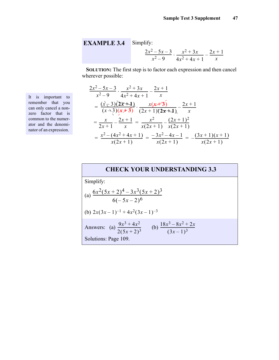**EXAMPLE 3.4** Simplify:

$$
\frac{2x^2 - 5x - 3}{x^2 - 9} \cdot \frac{x^2 + 3x}{4x^2 + 4x + 1} - \frac{2x + 1}{x}
$$

**SOLUTION:** The first step is to factor each expression and then cancel wherever possible:

$$
\frac{2x^2 - 5x - 3}{x^2 - 9} \cdot \frac{x^2 + 3x}{4x^2 + 4x + 1} - \frac{2x + 1}{x}
$$
\n
$$
= \frac{(x-3)(2x+1)}{(x-3)(x+3)} \cdot \frac{x(x+3)}{(2x+1)(2x+1)} - \frac{2x+1}{x}
$$
\n
$$
= \frac{x}{2x+1} - \frac{2x+1}{x} = \frac{x^2}{x(2x+1)} - \frac{(2x+1)^2}{x(2x+1)}
$$
\n
$$
= \frac{x^2 - (4x^2 + 4x + 1)}{x(2x+1)} = \frac{-3x^2 - 4x - 1}{x(2x+1)} = -\frac{(3x+1)(x+1)}{x(2x+1)}
$$

| <b>CHECK YOUR UNDERSTANDING 3.3</b>                                                                                  |
|----------------------------------------------------------------------------------------------------------------------|
| Simplify:                                                                                                            |
| (a) $\frac{6x^2(5x+2)^4-3x^3(5x+2)^3}{6(-5x-2)^6}$                                                                   |
| (b) $2x(3x-1)^{-1} + 4x^2(3x-1)^{-3}$                                                                                |
| (b) $\frac{18x^3 - 8x^2 + 2x}{(3x - 1)^3}$<br>Answers: (a) $\frac{9x^3 + 4x^2}{2(5x + 2)^3}$<br>Solutions: Page 109. |

It is important to remember that you can only cancel a nonzero factor that is common to the numerator and the denominator of an expression.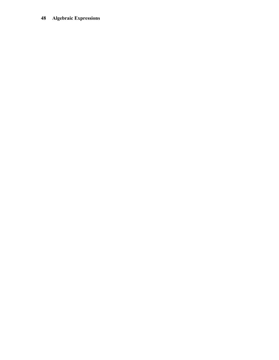#### **48 Algebraic Expressions**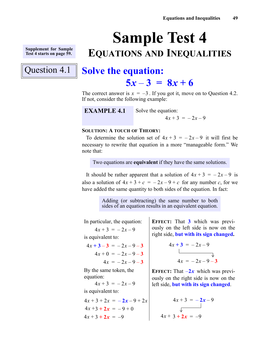## **<sup>4</sup> Sample Test 4 EQUATIONS AND INEQUALITIES**

**Supplement for Sample Test 4 starts on page 59.**

Question 4.1

## **Solve the equation:**  $5x-3 = 8x+6$

The correct answer is  $x = -3$ . If you got it, move on to Question 4.2. If not, consider the following example:

**EXAMPLE 4.1** Solve the equation:

 $4x + 3 = -2x - 9$ 

#### **SOLUTION: A TOUCH OF THEORY:**

To determine the solution set of  $4x + 3 = -2x - 9$  it will first be necessary to rewrite that equation in a more "manageable form." We note that:

Two equations are **equivalent** if they have the same solutions.

It should be rather apparent that a solution of  $4x + 3 = -2x - 9$  is also a solution of  $4x + 3 + c = -2x - 9 + c$  for any number *c*, for we have added the same quantity to both sides of the equation. In fact:

> Adding (or subtracting) the same number to both sides of an equation results in an equivalent equation.

In particular, the equation:

 $4x + 3 = -2x - 9$ 

is equivalent to:

 $4x + 3 - 3 = -2x - 9 - 3$  $4x + 0 = -2x - 9 - 3$  $4x = -2x - 9 - 3$ 

By the same token, the equation:

 $4x + 3 = -2x - 9$ 

is equivalent to:

 $4x + 3 + 2x = -2x - 9 + 2x$  $4x + 3 + 2x = -9 + 0$  $4x + 3 + 2x = -9$ 

**EFFECT:** That **3** which was previously on the left side is now on the right side, **but with its sign changed.**

$$
4x + 3 = -2x - 9
$$
  
4x = -2x - 9 - 3

**EFFECT:** That  $-2x$  which was previously on the right side is now on the left side, **but with its sign changed**.

$$
4x + 3 = -2x - 9
$$
  
4x + 3 + 2x = -9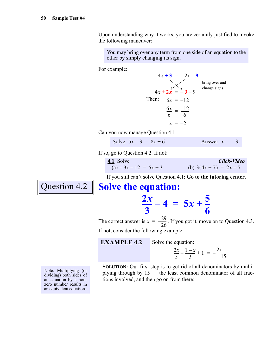Upon understanding why it works, you are certainly justified to invoke the following maneuver:

You may bring over any term from one side of an equation to the other by simply changing its sign.

For example:

|                          |                                         | $4x+3 = -2x-9$<br>$4x + 2x = -3 - 9$<br>Then: $6x = -12$          | bring over and<br>change signs                                                       |
|--------------------------|-----------------------------------------|-------------------------------------------------------------------|--------------------------------------------------------------------------------------|
|                          | Can you now manage Question 4.1:        | $\frac{6x}{6} = \frac{-12}{6}$<br>$x = -2$                        |                                                                                      |
|                          | Solve: $5x-3 = 8x+6$                    |                                                                   | Answer: $x = -3$                                                                     |
|                          | If so, go to Question 4.2. If not:      |                                                                   |                                                                                      |
|                          | 4.1 Solve                               | (a) $-3x-12 = 5x+3$ (b) $3(4x+7) = 2x-5$                          | Click-Video                                                                          |
| Question 4.2 $\parallel$ | <b>Solve the equation:</b>              | If you still can't solve Question 4.1: Go to the tutoring center. |                                                                                      |
|                          |                                         | $\frac{2x}{3} - 4 = 5x + \frac{5}{6}$                             |                                                                                      |
|                          | If not, consider the following example: |                                                                   | The correct answer is $x = -\frac{29}{26}$ . If you got it, move on to Question 4.3. |
|                          | <b>EXAMPLE 4.2</b>                      | Solve the equation:                                               | $\frac{2x}{5} - \frac{1-x}{3} + 1 = -\frac{2x-1}{15}$                                |

**SOLUTION:** Our first step is to get rid of all denominators by multiplying through by 15 — the least common denominator of all fractions involved, and then go on from there:

Note: Multiplying (or dividing) both sides of an equation by a nonzero number results in an equivalent equation.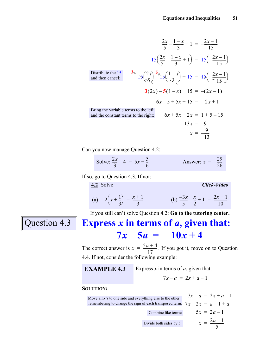$$
\frac{2x}{5} - \frac{1-x}{3} + 1 = -\frac{2x-1}{15}
$$
  
\n
$$
15\left(\frac{2x}{5} - \frac{1-x}{3} + 1\right) = 15\left(-\frac{2x-1}{15}\right)
$$
  
\nDistribute the 15  
\nand then cancel:  
\n
$$
3\sqrt[3]{5} \left(\frac{2x}{5}\right) - 5\left(\frac{1-x}{3}\right) + 15 = -15\left(-\frac{2x-1}{5}\right)
$$
  
\n
$$
3(2x) - 5(1-x) + 15 = -(2x-1)
$$
  
\n
$$
6x - 5 + 5x + 15 = -2x + 1
$$
  
\nBring the variable terms to the left  
\nand the constant terms to the right:  
\n
$$
6x + 5x + 2x = 1 + 5 - 15
$$
  
\n
$$
13x = -9
$$
  
\n
$$
x = -\frac{9}{13}
$$

Can you now manage Question 4.2:

Solve: 
$$
\frac{2x}{3} - 4 = 5x + \frac{5}{6}
$$
 Answer:  $x = -\frac{29}{26}$ 

If so, go to Question 4.3. If not:

**4.2** Solve *Click-Video* (a)  $2\left(x+\frac{1}{2}\right) = \frac{x+1}{2}$  (b)  $\left(x + \frac{1}{3}\right) = \frac{x+1}{3}$  (b)  $\frac{-3x}{5}$  $\frac{-3x}{5} - \frac{x}{2}$ 2  $-\frac{x}{2} + 1 = \frac{2x + 1}{10}$ 

If you still can't solve Question 4.2: **Go to the tutoring center.**

## Question 4.3

## **Express** *x* **in terms of** *a***, given that:**  $7x - 5a = -10x + 4$

The correct answer is  $x = \frac{5a+4}{17}$ . If you got it, move on to Question 4.4. If not, consider the following example:

**EXAMPLE 4.3** Express *x* in terms of *a*, given that:

$$
7x - a = 2x + a - 1
$$

#### **SOLUTION:**

|                                                                               | $7x-a = 2x + a - 1$  |
|-------------------------------------------------------------------------------|----------------------|
| Move all $x$ 's to one side and everything else to the other                  |                      |
| remembering to change the sign of each transposed term: $7x - 2x = a - 1 + a$ |                      |
| Combine like terms:                                                           | $5x = 2a - 1$        |
| Divide both sides by 5:                                                       | $x = \frac{2a-1}{5}$ |
|                                                                               |                      |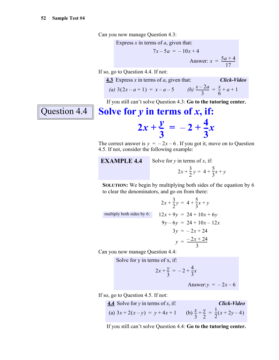Can you now manage Question 4.3:

Express  $x$  in terms of  $a$ , given that:

 $7x -$ 

$$
5a = -10x + 4
$$
  
Answer: 
$$
x = \frac{5a + 4}{17}
$$

5*a* + 4

If so, go to Question 4.4. If not:

4.3 Express x in terms of a, given that:  
\n(a) 
$$
3(2x - a + 1) = x - a - 5
$$
 (b)  $\frac{x - 2a}{3} = \frac{x}{6} + a + 1$ 

Question 4.4

If you still can't solve Question 4.3: **Go to the tutoring center.**

## **Solve for** *y* **in terms of** *x***, if:**

| $2x + \frac{y}{2} = -2 + \frac{4}{5}x$ |  |  |
|----------------------------------------|--|--|
|                                        |  |  |

The correct answer is  $y = -2x - 6$ . If you got it, move on to Question 4.5. If not, consider the following example:

**EXAMPLE 4.4** Solve for y in terms of x, if:  

$$
2x + \frac{3}{2}y = 4 + \frac{5}{3}x + y
$$

**SOLUTION:** We begin by multiplying both sides of the equation by 6 to clear the denominators, and go on from there:

 $2x + \frac{3}{2}y = 4 + \frac{5}{3}x + y$ 

multiply both sides by 6:

$$
12x + 9y = 24 + 10x + 6y
$$
  
\n
$$
9y - 6y = 24 + 10x - 12x
$$
  
\n
$$
3y = -2x + 24
$$
  
\n
$$
y = \frac{-2x + 24}{3}
$$

Can you now manage Question 4.4:

Solve for y in terms of x, if:

 $2x +$ 

$$
+\frac{y}{3} = -2 + \frac{4}{3}x
$$
  
Answer:  $y = -2x - 6$ 

If so, go to Question 4.5. If not:

**4.4** Solve for *y* in terms of *x*, if: *Click-Video* (a)  $3x + 2(x - y) = y + 4x + 1$  (b)  $\frac{x}{2}$ 3  $\frac{x}{2} + \frac{y}{2}$ 2  $+\frac{y}{2} = \frac{1}{2}(x+2y-4)$ 

If you still can't solve Question 4.4: **Go to the tutoring center.**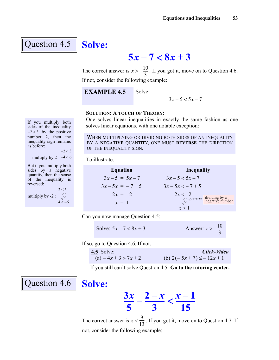#### **Solve:** Question 4.5

 $5x - 7 < 8x + 3$ 

The correct answer is  $x > -\frac{10}{2}$ . If you got it, move on to Question 4.6. If not, consider the following example: 3  $> -\frac{10}{2}$ 

**EXAMPLE 4.5** Solve:

 $3x - 5 < 5x - 7$ 

#### **SOLUTION: A TOUCH OF THEORY:**

One solves linear inequalities in exactly the same fashion as one solves linear equations, with one notable exception:

WHEN MULTIPLYING OR DIVIDING BOTH SIDES OF AN INEQUALITY BY A **NEGATIVE** QUANTITY, ONE MUST **REVERSE** THE DIRECTION OF THE INEQUALITY SIGN.

To illustrate:

**Equation Inequality**  $3x - 5 = 5x - 7$  $3x - 5x = -7 + 5$  $-2x = -2$  $x = 1$  $3x - 5 < 5x - 7$  $3x - 5x < -7 + 5$  $-2x < -2$ <br>*z z everse* dividing by a *reverse* dividing by a negative number  $x > 1$ 

Can you now manage Question 4.5:

Solve: 
$$
5x - 7 < 8x + 3
$$
 Answer: x

Answer: 
$$
x > -\frac{10}{3}
$$

If so, go to Question 4.6. If not:

4.5 Solve:  
\n(a) 
$$
-4x + 3 > 7x + 2
$$
  
\n(b)  $2(-5x + 7) \le -12x + 1$ 

If you still can't solve Question 4.5: **Go to the tutoring center.**

Question 4.6

**Solve:**

$$
\frac{3x}{5} - \frac{2-x}{3} < \frac{x-1}{15}
$$

The correct answer is  $x < \frac{9}{13}$ . If you got it, move on to Question 4.7. If not, consider the following example:

If you multiply both sides of the inequality  $-2 < 3$  by the positive number 2, then the inequality sign remains as before:

$$
-2 < 3
$$

multiply by 2: 
$$
-4 < 6
$$

But if you multiply both sides by a negative quantity, then the sense of the inequality is reversed:

 $-2 \le 3$  $4 \ge -6$ multiply by -2 :  $\sqrt{ }$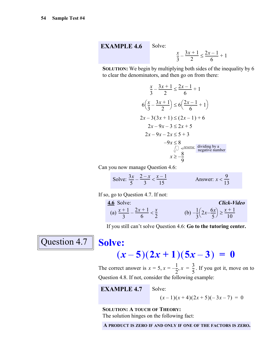#### **EXAMPLE 4.6** Solve: *x* 3  $\frac{x}{3} - \frac{3x+1}{2} \le \frac{2x-1}{6} + 1$

**SOLUTION:** We begin by multiplying both sides of the inequality by 6 to clear the denominators, and then go on from there:

$$
\frac{x}{3} - \frac{3x+1}{2} \le \frac{2x-1}{6} + 1
$$
  
\n
$$
6\left(\frac{x}{3} - \frac{3x+1}{2}\right) \le 6\left(\frac{2x-1}{6} + 1\right)
$$
  
\n
$$
2x - 3(3x+1) \le (2x-1) + 6
$$
  
\n
$$
2x - 9x - 3 \le 2x + 5
$$
  
\n
$$
2x - 9x - 2x \le 5 + 3
$$
  
\n
$$
-9x \le 8
$$
  
\n
$$
\bigcirc
$$
 *geverse* dividing by a negative number  
\n
$$
x \ge -\frac{8}{9}
$$

Can you now manage Question 4.6:

Solve: 
$$
\frac{3x}{5} - \frac{2-x}{3} < \frac{x-1}{15}
$$
 Answer:  $x < \frac{9}{13}$ 

#### If so, go to Question 4.7. If not:

4.6 Solve:  
\n(a) 
$$
\frac{x+1}{3} - \frac{2x+1}{6} < \frac{x}{2}
$$
 (b)  $-\frac{1}{3}(2x - \frac{6x}{5}) \ge \frac{x+1}{10}$ 

If you still can't solve Question 4.6: **Go to the tutoring center.**

Question 4.7

## **Solve:**

## $(x-5)(2x+1)(5x-3) = 0$

The correct answer is  $x = 5$ ,  $x = -\frac{1}{2}$ ,  $x = \frac{3}{5}$ . If you got it, move on to Question 4.8. If not, consider the following example:

#### **EXAMPLE 4.7** Solve:

 $(x-1)(x+4)(2x+5)(-3x-7) = 0$ 

**SOLUTION: A TOUCH OF THEORY:** The solution hinges on the following fact:

**A PRODUCT IS ZERO IF AND ONLY IF ONE OF THE FACTORS IS ZERO.**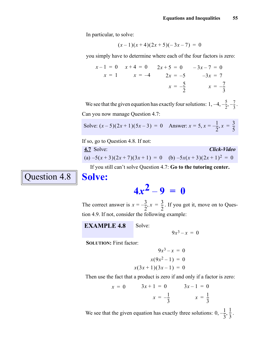In particular, to solve:

$$
(x-1)(x+4)(2x+5)(-3x-7) = 0
$$

you simply have to determine where each of the four factors is zero:

$$
x-1 = 0 \t x + 4 = 0 \t 2x + 5 = 0 \t -3x - 7 = 0
$$
  

$$
x = 1 \t x = -4 \t 2x = -5 \t -3x = 7
$$
  

$$
x = -\frac{5}{2} \t x = -\frac{7}{3}
$$

We see that the given equation has exactly four solutions:  $1, -4, -\frac{5}{2}, -\frac{7}{3}$ . Can you now manage Question 4.7:

Solve: 
$$
(x-5)(2x+1)(5x-3) = 0
$$
 Answer:  $x = 5, x = -\frac{1}{2}, x = \frac{3}{5}$ 

If so, go to Question 4.8. If not:

**4.7** Solve: *Click-Video*

(a) 
$$
-5(x+3)(2x+7)(3x+1) = 0
$$
 (b)  $-5x(x+3)(2x+1)^2 = 0$ 

If you still can't solve Question 4.7: **Go to the tutoring center.**

Question 4.8

### **Solve:**

$$
4x^2-9=0
$$

The correct answer is  $x = -\frac{3}{2}$ ,  $x = \frac{3}{2}$ . If you got it, move on to Question 4.9. If not, consider the following example:

**EXAMPLE 4.8** Solve:

$$
9x^3 - x = 0
$$

**SOLUTION:** First factor:

$$
9x3 - x = 0
$$
  

$$
x(9x2 - 1) = 0
$$
  

$$
x(3x + 1)(3x - 1) = 0
$$

Then use the fact that a product is zero if and only if a factor is zero:

$$
x = 0 \t 3x + 1 = 0 \t 3x - 1 = 0
$$

$$
x = -\frac{1}{3} \t x = \frac{1}{3}
$$

We see that the given equation has exactly three solutions:  $0, -\frac{1}{2}, \frac{1}{2}$ . 3  $,-\frac{1}{3},\frac{1}{3}$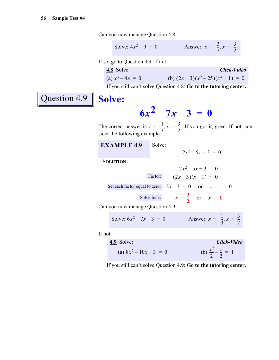Can you now manage Question 4.8:

Solve:  $4x^2 - 9 = 0$  Answer: *x*  $=-\frac{3}{2}, x = \frac{3}{2}$ 

If so, go to Question 4.9. If not:

|                                                             | $4.8$ Solve:     |  |                 |                              |                                 |  |  |  | Click-Video |  |
|-------------------------------------------------------------|------------------|--|-----------------|------------------------------|---------------------------------|--|--|--|-------------|--|
|                                                             | (a) $x^3-4x = 0$ |  |                 |                              | (b) $(2x+3)(x^2-25)(x^4+1) = 0$ |  |  |  |             |  |
| $\mathbf{r} \cdot \mathbf{r} = \mathbf{r} \cdot \mathbf{r}$ |                  |  | $\sim$ 1 $\sim$ | $\mathbf{A} \cap \mathbf{A}$ |                                 |  |  |  |             |  |

If you still can't solve Question 4.8: **Go to the tutoring center.**

Question 4.9

### **Solve:**

$$
6x^2 - 7x - 3 = 0
$$

The correct answer is  $x = -\frac{1}{2}$ ,  $x = \frac{3}{2}$ . If you got it, great. If not, consider the following example:  $x = -\frac{1}{3}, x = \frac{3}{2}$ 

**EXAMPLE 4.9** Solve:

 $2x^2 - 5x + 3 = 0$ 

**SOLUTION:**

|                                                        | $2x^2-5x+3=0$                             |  |
|--------------------------------------------------------|-------------------------------------------|--|
|                                                        | Factor: $(2x-3)(x-1) = 0$                 |  |
| Set each factor equal to zero: $2x-3 = 0$ or $x-1 = 0$ |                                           |  |
|                                                        | Solve for x: $x = \frac{3}{2}$ or $x = 1$ |  |
| you now manage Question 4.9:                           |                                           |  |

Can

Solve: 
$$
6x^2 - 7x - 3 = 0
$$
 Answer:  $x = -\frac{1}{3}, x = \frac{3}{2}$ 

If not:

| 4.9 Solve:               | Click-Video                           |
|--------------------------|---------------------------------------|
| (a) $8x^2 - 10x + 3 = 0$ | (b) $\frac{x^2}{2} - \frac{x}{2} = 1$ |

If you still can't solve Question 4.9: **Go to the tutoring center.**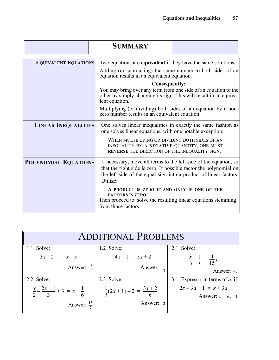|                             | <b>SUMMARY</b>                                                                                                                                                                                                          |  |
|-----------------------------|-------------------------------------------------------------------------------------------------------------------------------------------------------------------------------------------------------------------------|--|
| <b>EQUIVALENT EQUATIONS</b> | Two equations are <b>equivalent</b> if they have the same solutions.                                                                                                                                                    |  |
|                             | Adding (or subtracting) the same number to both sides of an<br>equation results in an equivalent equation.                                                                                                              |  |
|                             | Consequently:                                                                                                                                                                                                           |  |
|                             | You may bring over any term from one side of an equation to the<br>other by simply changing its sign. This will result in an equiva-<br>lent equation.                                                                  |  |
|                             | Multiplying (or dividing) both sides of an equation by a non-<br>zero number results in an equivalent equation.                                                                                                         |  |
| <b>LINEAR INEQUALITIES</b>  | One solves linear inequalities in exactly the same fashion as<br>one solves linear equations, with one notable exception:                                                                                               |  |
|                             | WHEN MULTIPLYING OR DIVIDING BOTH SIDES OF AN<br>INEQUALITY BY A NEGATIVE QUANTITY, ONE MUST<br>REVERSE THE DIRECTION OF THE INEQUALITY SIGN.                                                                           |  |
| <b>POLYNOMIAL EQUATIONS</b> | If necessary, move all terms to the left side of the equation, so<br>that the right side is zero. If possible factor the polynomial on<br>the left side of the equal sign into a product of linear factors.<br>Utilize: |  |
|                             | A PRODUCT IS ZERO IF AND ONLY IF ONE OF THE<br><b>FACTORS IS ZERO</b><br>Then proceed to solve the resulting linear equations stemming<br>from those factors.                                                           |  |

| <b>ADDITIONAL PROBLEMS</b>                                                     |                                                      |                                                           |
|--------------------------------------------------------------------------------|------------------------------------------------------|-----------------------------------------------------------|
| 1.1 Solve:                                                                     | 1.2 Solve:                                           | 2.1 Solve:                                                |
| $3x-2 = -x-5$<br>Answer: $-\frac{3}{4}$                                        | $-4x-1 = 5x+2$<br>Answer: $-\frac{1}{2}$             | $\frac{x}{5} - \frac{1}{3} = \frac{4}{15}x$<br>Answer: -5 |
| 2.2 Solve:                                                                     | 2.3 Solve:                                           | 3.1 Express x in terms of a, if:                          |
| $\frac{x}{2} - \frac{2x+1}{3} + 3 = x + \frac{1}{6}$<br>Answer: $\frac{15}{7}$ | $\frac{1}{3}(2x+1)-2 = \frac{3x+2}{6}$<br>Answer: 12 | $2x-3a+1 = x+3a$<br>Answer: $x = 6a-1$                    |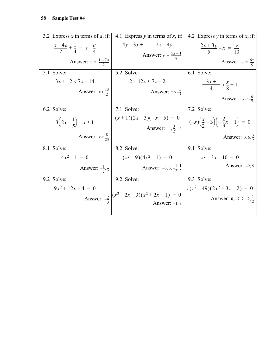| 3.2 Express x in terms of a, if:                 | 4.1 Express $y$ in terms of $x$ , if:                                                  | 4.2 Express y in terms of x, if:                                 |
|--------------------------------------------------|----------------------------------------------------------------------------------------|------------------------------------------------------------------|
| $\frac{x-4a}{2} + \frac{1}{4} = x - \frac{a}{4}$ | $4y-3x+1 = 2x-4y$<br>Answer: $y = \frac{5x-1}{8}$                                      | $\frac{2x+3y}{5} - x = \frac{y}{10}$                             |
| Answer: $x = \frac{1-7a}{2}$                     |                                                                                        | Answer: $y = \frac{6x}{5}$                                       |
| 5.1 Solve:                                       | 5.2 Solve:                                                                             | 6.1 Solve:                                                       |
| $3x + 12 < 7x - 14$                              | $2 + 12x \le 7x - 2$                                                                   | $\frac{-3x+1}{4} > \frac{x}{8} + 1$                              |
| Answer: $x > \frac{13}{2}$                       | Answer: $x \leq -\frac{4}{5}$                                                          |                                                                  |
|                                                  |                                                                                        | Answer: $x < -\frac{6}{7}$                                       |
| 6.2 Solve:                                       | 7.1 Solve:                                                                             | 7.2 Solve:                                                       |
| $3(2x-\frac{1}{5})-x \geq 1$                     | $(x+1)(2x-3)(-x-5) = 0$<br>Answer: $-1, \frac{3}{2}, -5$                               | $(-x)\left(\frac{x}{2}-3\right)\left(-\frac{2}{3}x+1\right) = 0$ |
| Answer: $x \ge \frac{8}{25}$                     |                                                                                        | Answer: 0, 6, $\frac{3}{2}$                                      |
| 8.1 Solve:                                       | 8.2 Solve:                                                                             | 9.1 Solve:                                                       |
| $4x^2-1 = 0$                                     | $(x^2-9)(4x^2-1) = 0$                                                                  | $x^2-3x-10 = 0$                                                  |
| Answer: $-\frac{1}{2}, \frac{1}{2}$              | Answer: $-3, 3, -\frac{1}{2}, \frac{1}{2}$                                             | Answer: $-2$ , 5                                                 |
| 9.2 Solve:                                       | 9.2 Solve:                                                                             | 9.3 Solve:                                                       |
| $9x^2 + 12x + 4 = 0$                             |                                                                                        | $x(x^2-49)(2x^2+3x-2) = 0$                                       |
|                                                  | Answer: $-\frac{2}{3}\left  (x^2 - 2x - 3)(x^2 + 2x + 1) \right  = 0$<br>Answer: -1, 3 | Answer: 0, -7, 7, -2, $\frac{1}{2}$                              |
|                                                  |                                                                                        |                                                                  |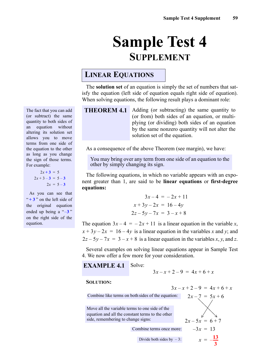# **Sample Test 4 SUPPLEMENT**

### **LINEAR EQUATIONS**

The **solution set** of an equation is simply the set of numbers that satisfy the equation (left side of equation equals right side of equation). When solving equations, the following result plays a dominant role:

**THEOREM 4.1** Adding (or subtracting) the same quantity to (or from) both sides of an equation, or multiplying (or dividing) both sides of an equation by the same nonzero quantity will not alter the solution set of the equation.

As a consequence of the above Theorem (see margin), we have:

You may bring over any term from one side of an equation to the other by simply changing its sign.

The following equations, in which no variable appears with an exponent greater than 1, are said to be **linear equations** or **first-degree equations:**

$$
3x-4 = -2x+11
$$
  

$$
x+3y-2x = 16-4y
$$
  

$$
2z-5y-7x = 3-x+8
$$

The equation  $3x - 4 = -2x + 11$  is a linear equation in the variable *x*,  $x + 3y - 2x = 16 - 4y$  is a linear equation in the variables *x* and *y*; and  $2z - 5y - 7x = 3 - x + 8$  is a linear equation in the variables *x*, *y*, and *z*.

Several examples on solving linear equations appear in Sample Test 4. We now offer a few more for your consideration.

**EXAMPLE 4.1** Solve:

$$
3x - x + 2 - 9 = 4x + 6 + x
$$

#### **SOLUTION:**

$$
3x - x + 2 - 9 = 4x + 6 + x
$$
  
Combine like terms on both sides of the equation:  $2x - 7 = 5x + 6$   
Move all the variable terms to one side of the  
equation and all the constant terms to the other  
side, remembering to change signs:  $2x - 5x = 6 + 7$   
Combine terms once more:  $-3x = 13$   
Divide both sides by -3:  $x = -\frac{13}{3}$ 

The fact that you can add (or subtract) the same quantity to both sides of an equation without altering its solution set allows you to move terms from one side of the equation to the other as long as you change the sign of those terms. For example:

$$
2x + 3 = 5
$$
  

$$
2x + 3 - 3 = 5 - 3
$$
  

$$
2x = 5 - 3
$$

 As you can see that " $+3$ " on the left side of the original equation ended up being a  $-3$ " on the right side of the equation.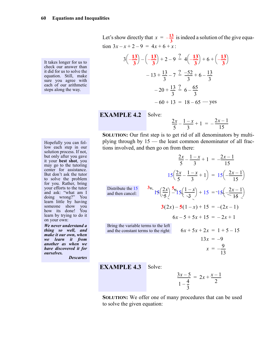It takes longer for us to check our answer than it did for us to solve the equation. Still, make sure you agree with each of our arithmetic steps along the way.

Let's show directly that  $x = -\frac{13}{3}$  is indeed a solution of the give equa- $\text{tion } 3x - x + 2 - 9 = 4x + 6 + x$ 

$$
3\left(-\frac{13}{3}\right) - \left(-\frac{13}{3}\right) + 2 - 9 \stackrel{?}{=} 4\left(-\frac{13}{3}\right) + 6 + \left(-\frac{13}{3}\right) - 13 + \frac{13}{3} - 7 \stackrel{?}{=} \frac{-52}{3} + 6 - \frac{13}{3} - 20 + \frac{13}{3} \stackrel{?}{=} 6 - \frac{65}{3} - 60 + 13 = 18 - 65 \text{ } \rightarrow \text{yes}
$$

**EXAMPLE 4.2** Solve:

$$
\frac{2x}{5} - \frac{1-x}{3} + 1 = -\frac{2x-1}{15}
$$

 $-\frac{1-x}{3}+1 = -\frac{2x-1}{15}$ 

 $\left(\frac{2x}{5} - \frac{1-x}{3} + 1\right) = 15\left(-\frac{2x-1}{15}\right)$ 

 $3(2x) - 5(1-x) + 15 = -(2x-1)$ 

 $6x - 5 + 5x + 15 = -2x + 1$ 

 $6x + 5x + 2x = 1 + 5 - 15$  $13x = -9$ 

 $x = -\frac{9}{13}$ 

**SOLUTION:** Our first step is to get rid of all denominators by multiplying through by 15 — the least common denominator of all fractions involved, and then go on from there:

> $15\left(\frac{2x}{5}\right)$ 5

2*x* 5

 $\frac{2x}{5} - \frac{1-x}{2}$ 3

 $\frac{2x}{5} - \frac{1-x}{2}$ 

Distribute the 15  $3\pi$   $15\left(\frac{2x}{5}\right)$   $\frac{5}{5}$   $15\left(\frac{1-x}{3}\right) + 15 = -15\left(\frac{2x-1}{5}\right)$ and then cancel:

Bring the variable terms to the left

and the constant terms to the right:

**EXAMPLE 4.3** Solve:

$$
\frac{3x-5}{1-\frac{4}{3}} = 2x + \frac{x-1}{2}
$$

**SOLUTION:** We offer one of many procedures that can be used to solve the given equation:

Hopefully you can follow each step in our solution process. If not, but only after you gave it your **best shot**, you may go to the tutoring center for assistance. But don't ask the tutor to solve the problem for you. Rather, bring your efforts to the tutor and ask: "what am I doing wrong?" You learn little by having someone show you how its done! You learn by trying to do it on your own:

*We never understand a thing so well, and make it our own, when we learn it from another as when we have discovered it for ourselves.*

*Descartes*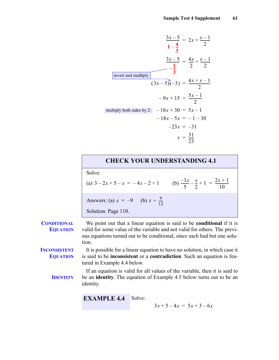$$
\frac{3x-5}{1-\frac{4}{3}} = 2x + \frac{x-1}{2}
$$
  

$$
\frac{3x-5}{1-\frac{1}{3}} = \frac{4x}{2} + \frac{x-1}{2}
$$
  
invert and multiply  

$$
(3x-5)(-3) = \frac{4x+x-1}{2}
$$
  

$$
-9x + 15 = \frac{5x-1}{2}
$$
  
multiply both sides by 2:  $-18x + 30 = 5x - 1$   

$$
-18x - 5x = -1 - 30
$$
  

$$
-23x = -31
$$
  

$$
x = \frac{31}{23}
$$

|                                       | <b>CHECK YOUR UNDERSTANDING 4.1</b>                                                                                                                                                                                                             |  |
|---------------------------------------|-------------------------------------------------------------------------------------------------------------------------------------------------------------------------------------------------------------------------------------------------|--|
|                                       | Solve:<br>(a) $3 - 2x + 5 - x = -4x - 2 + 1$<br>(b) $\frac{-3x}{5} - \frac{x}{2} + 1 = \frac{2x + 1}{10}$                                                                                                                                       |  |
|                                       | Answers: (a) $x = -9$ (b) $x = \frac{9}{13}$<br>Solution: Page 110.                                                                                                                                                                             |  |
| <b>CONDITIONAL</b><br><b>EQUATION</b> | We point out that a linear equation is said to be <b>conditional</b> if it is<br>valid for some value of the variable and not valid for others. The previ-<br>ous equations turned out to be conditional, since each had but one solu-<br>tion. |  |

**INCONSISTENT EQUATION**

It is possible for a linear equation to have no solution, in which case it is said to be **inconsistent** or a **contradiction**. Such an equation is featured in Example 4.4 below.

**IDENTITY** If an equation is valid for all values of the variable, then it is said to be an **identity**. The equation of Example 4.5 below turns out to be an identity.

**EXAMPLE 4.4** Solve:

 $3x + 5 - 4x = 5x + 3 - 6x$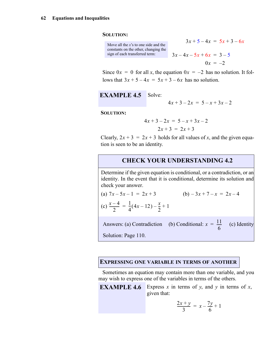#### **SOLUTION:**

Move all the *x*'s to one side and the constants on the other, changing the sign of each transferred term:

$$
3x + 5 - 4x = 5x + 3 - 6x
$$

 $3x - 4x - 5x + 6x = 3 - 5$  $0x = -2$ 

Since  $0x = 0$  for all *x*, the equation  $0x = -2$  has no solution. It follows that  $3x + 5 - 4x = 5x + 3 - 6x$  has no solution.

#### **EXAMPLE 4.5** Solve:

$$
4x + 3 - 2x = 5 - x + 3x - 2
$$

**SOLUTION:**

$$
4x + 3 - 2x = 5 - x + 3x - 2
$$
  

$$
2x + 3 = 2x + 3
$$

Clearly,  $2x + 3 = 2x + 3$  holds for all values of *x*, and the given equation is seen to be an identity.

### **CHECK YOUR UNDERSTANDING 4.2**

Determine if the given equation is conditional, or a contradiction, or an identity. In the event that it is conditional, determine its solution and check your answer.

(a)  $7x - 5x - 1 = 2x + 3$  (b)  $-3x + 7 - x = 2x - 4$ (c)  $\frac{x-4}{2} = \frac{1}{4}(4x-12) - \frac{x}{2} + 1$ Answers: (a) Contradiction (b) Conditional:  $x = \frac{11}{6}$  (c) Identity Solution: Page 110.

#### **EXPRESSING ONE VARIABLE IN TERMS OF ANOTHER**

Sometimes an equation may contain more than one variable, and you may wish to express one of the variables in terms of the others.

**EXAMPLE 4.6** Express *x* in terms of *y*, and *y* in terms of *x*, given that:

$$
\frac{2x + y}{3} = x - \frac{7y}{6} + 1
$$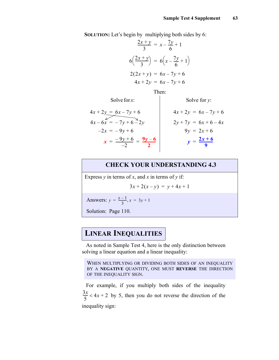**SOLUTION:** Let's begin by multiplying both sides by 6:

$$
\frac{2x + y}{3} = x - \frac{7y}{6} + 1
$$
  

$$
6\left(\frac{2x + y}{3}\right) = 6\left(x - \frac{7y}{6} + 1\right)
$$
  

$$
2(2x + y) = 6x - 7y + 6
$$
  

$$
4x + 2y = 6x - 7y + 6
$$

Then:

| Solve for $y$ :         |
|-------------------------|
| $4x + 2y = 6x - 7y + 6$ |
| $2y + 7y = 6x + 6 - 4x$ |
| $9y = 2x + 6$           |
| $y = \frac{2x+6}{0}$    |
|                         |

#### **CHECK YOUR UNDERSTANDING 4.3**

Express  $y$  in terms of  $x$ , and  $x$  in terms of  $y$  if:

$$
3x + 2(x - y) = y + 4x + 1
$$

Answers: 
$$
y = \frac{x-1}{3}, x = 3y + 1
$$

Solution: Page 110.

### **LINEAR INEQUALITIES**

As noted in Sample Test 4, here is the only distinction between solving a linear equation and a linear inequality:

WHEN MULTIPLYING OR DIVIDING BOTH SIDES OF AN INEQUALITY BY A **NEGATIVE** QUANTITY, ONE MUST **REVERSE** THE DIRECTION OF THE INEQUALITY SIGN.

For example, if you multiply both sides of the inequality  $\frac{3x}{5}$  < 4x + 2 by 5, then you do not reverse the direction of the inequality sign:  $\frac{3x}{5}$  < 4*x* + 2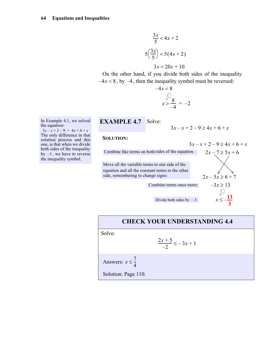3*x*  $\frac{3x}{5}$  < 4*x* + 2  $5\left(\frac{3x}{5}\right) < 5(4x+2)$  $3x < 20x + 10$ 

On the other hand, if you divide both sides of the inequality  $-4x < 8$ , by  $-4$ , then the inequality symbol must be reversed:

$$
-4x < 8
$$
  

$$
\sqrt[3]{8}
$$
  

$$
x > \frac{8}{-4} = -2
$$

**EXAMPLE 4.7** Solve:

$$
3x - x + 2 - 9 \ge 4x + 6 + x
$$

**SOLUTION:**

the equation: The only difference in that solution process and this one, is that when we divide both sides of the inequality by  $-3$ , we have to reverse  $3x - x + 2 - 9 = 4x + 6 + x$ 

the inequality symbol.

In Example 4.1, we solved



## **CHECK YOUR UNDERSTANDING 4.4** Solve: Answers:  $x \leq \frac{7}{4}$ Solution: Page 110.  $\frac{2x+5}{-2} \leq -3x+1$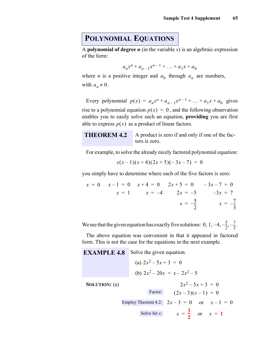### **POLYNOMIAL EQUATIONS**

A **polynomial of degree**  $n$  (in the variable  $x$ ) is an algebraic expression of the form:

$$
a_n x^n + a_{n-1} x^{n-1} + \dots + a_1 x + a_0
$$

where *n* is a positive integer and  $a_0$  through  $a_n$  are numbers, with  $a_n \neq 0$ .

Every polynomial  $p(x) = a_n x^n + a_{n-1} x^{n-1} + ... + a_1 x + a_0$  gives rise to a polynomial equation  $p(x) = 0$ , and the following observation enables you to easily solve such an equation, **providing** you are first able to express  $p(x)$  as a product of linear factors.

**THEOREM 4.2** A product is zero if and only if one of the factors is zero.

For example, to solve the already nicely factored polynomial equation:

$$
x(x-1)(x+4)(2x+5)(-3x-7) = 0
$$

you simply have to determine where each of the five factors is zero:

$$
x = 0 \t x - 1 = 0 \t x + 4 = 0 \t 2x + 5 = 0 \t -3x - 7 = 0
$$
  

$$
x = 1 \t x = -4 \t 2x = -5 \t -3x = 7
$$
  

$$
x = -\frac{5}{2} \t x = -\frac{7}{3}
$$

We see that the given equation has exactly five solutions: 0, 1, -4,  $-\frac{5}{2}$ ,  $-\frac{7}{3}$ .

The above equation was convenient in that it appeared in factored form. This is not the case for the equations in the next example.

**EXAMPLE 4.8** Solve the given equation.

**SOLUTION:** (a) (a)  $2x^2 - 5x + 3 = 0$ (b)  $2x^2 - 20x = x - 2x^2 - 5$  $2x^2 - 5x + 3 = 0$ Factor:  $(2x-3)(x-1) = 0$ Employ Theorem 4.2:  $2x - 3 = 0$  or  $x - 1 = 0$ Solve for *x*:  $x = \frac{3}{2}$  or  $x = 1$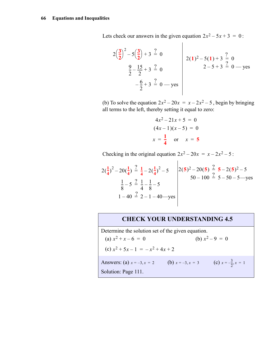#### **66 Equations and Inequalities**

Lets check our answers in the given equation  $2x^2 - 5x + 3 = 0$ :

$$
2\left(\frac{3}{2}\right)^2 - 5\left(\frac{3}{2}\right) + 3 \stackrel{?}{=} 0
$$
  

$$
\frac{9}{2} - \frac{15}{2} + 3 \stackrel{?}{=} 0
$$
  

$$
-\frac{6}{2} + 3 \stackrel{?}{=} 0 \longrightarrow \text{yes}
$$
  

$$
2(1)^2 - 5(1) + 3 \stackrel{?}{=} 0
$$
  

$$
2 - 5 + 3 \stackrel{?}{=} 0 \longrightarrow \text{yes}
$$

 $\mathbf{L}$ 

(b) To solve the equation  $2x^2 - 20x = x - 2x^2 - 5$ , begin by bringing all terms to the left, thereby setting it equal to zero:

$$
4x2-21x+5 = 0
$$
  
(4x-1)(x-5) = 0  

$$
x = \frac{1}{4} \text{ or } x = 5
$$

Checking in the original equation  $2x^2 - 20x = x - 2x^2 - 5$ :

$$
2\left(\frac{1}{4}\right)^2 - 20\left(\frac{1}{4}\right) \stackrel{?}{=} \frac{1}{4} - 2\left(\frac{1}{4}\right)^2 - 5
$$
\n
$$
\frac{1}{8} - 5 \stackrel{?}{=} \frac{1}{4} - \frac{1}{8} - 5
$$
\n
$$
1 - 40 \stackrel{?}{=} 2 - 1 - 40 \text{—yes}
$$
\n
$$
\left|\n \begin{array}{c}\n 2(5)^2 - 20(5) \stackrel{?}{=} 5 - 2(5)^2 - 5 \\
50 - 100 \stackrel{?}{=} 5 - 50 - 5 \text{—yes}\n \end{array}\n \right|
$$

 $\overline{1}$ 

#### **CHECK YOUR UNDERSTANDING 4.5**

Determine the solution set of the given equation. (a)  $x^2 + x - 6 = 0$ (c)  $x^2 + 5x - 1 = -x^2 + 4x + 2$ Answers: (a)  $x = -3, x = 2$  <br> (b)  $x = -3, x = 3$  <br> (c)  $x = -\frac{3}{2}, x = 1$ Solution: Page 111. *(b)*  $x^2 - 9 = 0$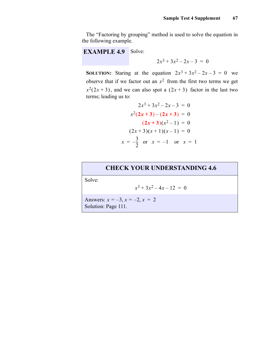The "Factoring by grouping" method is used to solve the equation in the following example.

**EXAMPLE 4.9** Solve:

$$
2x^3 + 3x^2 - 2x - 3 = 0
$$

**SOLUTION:** Staring at the equation  $2x^3 + 3x^2 - 2x - 3 = 0$  we observe that if we factor out an  $x^2$  from the first two terms we get  $x^2(2x+3)$ , and we can also spot a  $(2x+3)$  factor in the last two terms; leading us to:

$$
2x3 + 3x2 - 2x - 3 = 0
$$
  

$$
x2(2x + 3) - (2x + 3) = 0
$$
  

$$
(2x + 3)(x2 - 1) = 0
$$
  

$$
(2x + 3)(x + 1)(x - 1) = 0
$$
  

$$
x = -\frac{3}{2} \text{ or } x = -1 \text{ or } x = 1
$$

## **CHECK YOUR UNDERSTANDING 4.6** Solve: Answers:  $x = -3$ ,  $x = -2$ ,  $x = 2$  $x^3 + 3x^2 - 4x - 12 = 0$

Solution: Page 111.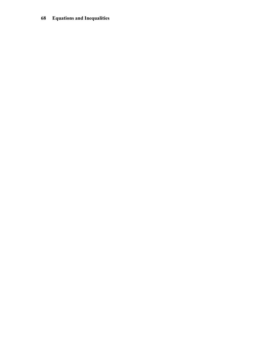### **68 Equations and Inequalities**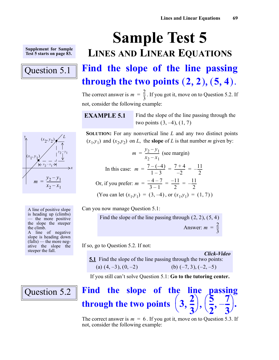**Supplement for Sample Test 5 starts on page 83.**

Question 5.1

# **<sup>5</sup> Sample Test 5 LINES AND LINEAR EQUATIONS Find the slope of the line passing through the two points**  $(2, 2), (5, 4)$ **.**

The correct answer is  $m = \frac{2}{3}$ . If you got it, move on to Question 5.2. If not, consider the following example:

**EXAMPLE 5.1** Find the slope of the line passing through the two points  $(3, -4)$ ,  $(1, 7)$ 

**SOLUTION:** For any nonvertical line *L* and any two distinct points  $(x_1, y_1)$  and  $(x_2, y_2)$  on *L*, the **slope** of *L* is that number *m* given by:

$$
m = \frac{y_2 - y_1}{x_2 - x_1} \text{ (see margin)}
$$
  
In this case:  $m = \frac{7 - (-4)}{1 - 3} = \frac{7 + 4}{-2} = -\frac{11}{2}$   
Or, if you prefer:  $m = \frac{-4 - 7}{3 - 1} = \frac{-11}{2} = -\frac{11}{2}$   
(You can let  $(x_1, y_1) = (3, -4)$ , or  $(x_1, y_1) = (1, 7)$ )

Can you now manage Question 5.1:

Find the slope of the line passing through  $(2, 2)$ ,  $(5, 4)$ Answer:  $m = \frac{2}{3}$ 

If so, go to Question 5.2. If not:



If you still can't solve Question 5.1: **Go to the tutoring center.**



Find the slope of the line passing  
through the two points 
$$
\left(3, \frac{2}{3}\right), \left(\frac{5}{2}, -\frac{7}{3}\right)
$$
.

The correct answer is  $m = 6$ . If you got it, move on to Question 5.3. If not, consider the following example:



A line of positive slope is heading up (climbs) — the more positive the slope the steeper the climb. A line of negative slope is heading down (falls) — the more neg-

ative the slope the steeper the fall.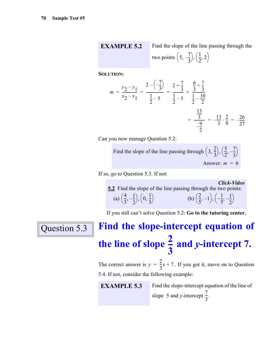**EXAMPLE 5.2** Find the slope of the line passing through the two points  $\left(5, -\frac{7}{3}\right), \left(\frac{1}{2}, 2\right)$ 

**SOLUTION:**

$$
m = \frac{y_2 - y_1}{x_2 - x_1} = \frac{2 - \left(-\frac{7}{3}\right)}{\frac{1}{2} - 5} = \frac{2 + \frac{7}{3}}{\frac{1}{2} - 5} = \frac{\frac{6}{3} + \frac{7}{3}}{\frac{1}{2} - \frac{10}{2}} = \frac{\frac{13}{3}}{\frac{3}{2}} = \frac{-\frac{13}{3}}{\frac{9}{2}} = \frac{-\frac{26}{3}}{-\frac{9}{2}} = -\frac{26}{3}
$$

Can you now manage Question 5.2:

Find the slope of the line passing through 
$$
\left(3, \frac{2}{3}\right), \left(\frac{5}{2}, -\frac{7}{3}\right)
$$
  
Answer:  $m = 6$ 

If so, go to Question 5.3. If not:

|                                                                           | Click-Video                                                               |
|---------------------------------------------------------------------------|---------------------------------------------------------------------------|
|                                                                           | 5.2 Find the slope of the line passing through the two points:            |
| (a) $\left(\frac{4}{3}, -\frac{1}{2}\right), \left(0, \frac{1}{3}\right)$ | (b) $\left(\frac{2}{5},-1\right), \left(-\frac{1}{5},-\frac{1}{2}\right)$ |

If you still can't solve Question 5.2: **Go to the tutoring center.**

#### **Find the slope-intercept equation of** the line of slope  $\frac{2}{3}$  and *y*-intercept 7. Question 5.3 **2 3 --**

The correct answer is  $y = \frac{2}{3}x + 7$ . If you got it, move on to Question 5.4. If not, consider the following example:

**EXAMPLE 5.3** Find the slope-intercept equation of the line of slope 5 and *y*-intercept  $\frac{7}{2}$ . 3  $\frac{1}{2}$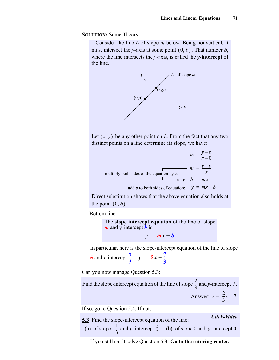**SOLUTION:** Some Theory:

Consider the line *L* of slope *m* below. Being nonvertical, it must intersect the *y*-axis at some point  $(0, b)$ . That number *b*, where the line intersects the *y*-axis, is called the *y***-intercept** of the line.



Let  $(x, y)$  be any other point on *L*. From the fact that any two distinct points on a line determine its slope, we have:

$$
m = \frac{y-b}{x-0}
$$
  
multiply both sides of the equation by x:  

$$
m = \frac{y-b}{x}
$$
  

$$
y-b = mx
$$
  
add b to both sides of equation:  $y = mx + b$ 

Direct substitution shows that the above equation also holds at the point  $(0, b)$ .

Bottom line:

The **slope-intercept equation** of the line of slope *m* and y-intercept *b* is  $y = mx + b$ 

In particular, here is the slope-intercept equation of the line of slope **5** and *y*-intercept  $\frac{7}{2}$ :  $y = 5x + \frac{7}{2}$ . **3**  $\frac{7}{3}$   $y = 5x + \frac{7}{3}$ 

Can you now manage Question 5.3:

Find the slope-intercept equation of the line of slope  $\frac{2}{5}$  and *y*-intercept 7. Answer:  $y = \frac{2}{3}x + 7$  $\frac{2}{3}$  and y-intercept 7

If so, go to Question 5.4. If not:

**5.3** Find the slope-intercept equation of the line: Click-Video (a) of slope  $-\frac{1}{2}$  and *y*- intercept  $\frac{2}{7}$ . (b) of slope 0 and *y*- intercept 0. 3  $-\frac{1}{3}$  and y- intercept  $\frac{2}{7}$ 

If you still can't solve Question 5.3: **Go to the tutoring center.**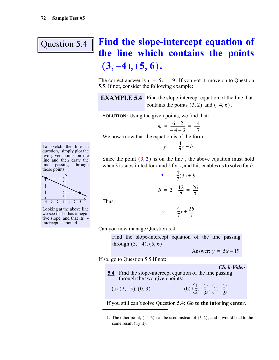## Question 5.4 ||

# **Find the slope-intercept equation of the line which contains the points**  $(3, -4), (5, 6).$

The correct answer is  $y = 5x - 19$ . If you got it, move on to Question 5.5. If not, consider the following example:

**EXAMPLE 5.4** Find the slope-intercept equation of the line that contains the points  $(3, 2)$  and  $(-4, 6)$ .

**SOLUTION:** Using the given points, we find that:

$$
m = \frac{6-2}{-4-3} = -\frac{4}{7}
$$

We now know that the equation is of the form:

 $y = -\frac{4}{7}x + b$ 

Since the point  $(3, 2)$  is on the line<sup>1</sup>, the above equation must hold when 3 is substituted for *x* and 2 for *y*, and this enables us to solve for *b*:

$$
2 = -\frac{4}{7}(3) + b
$$

$$
b = 2 + \frac{12}{7} = \frac{26}{7}
$$

Thus:

 $y = -\frac{4}{7}x + \frac{26}{7}$ 

Can you now manage Question 5.4:

Find the slope-intercept equation of the line passing through  $(3, -4)$ ,  $(5, 6)$ 

Answer:  $y = 5x - 19$ 

If so, go to Question 5.5 If not:

- *Click-Video* **5.4** Find the slope-intercept equation of the line passing through the two given points: (a)  $(2, -5)$ ,  $(0, 3)$  (b)  $\left(\frac{1}{2}\right)$  $\left(\frac{1}{2}, -\frac{1}{3}\right), \left(2, -\frac{1}{2}\right)$
- If you still can't solve Question 5.4: **Go to the tutoring center.**

2



To sketch the line in question, simply plot the two given points on the line and then draw the

Looking at the above line we see that it has a negative slope, and that its *y*- intercept is about 4.

<sup>1.</sup> The other point,  $(-4, 6)$  can be used instead of  $(3, 2)$ , and it would lead to the same result (try it).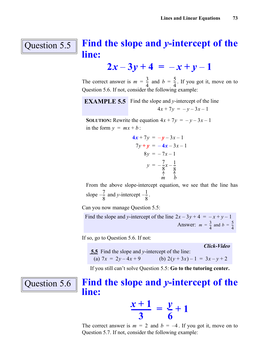Question 5.5

### **Find the slope and** *y***-intercept of the line:**

## $2x-3y+4 = -x+y-1$

The correct answer is  $m = \frac{3}{4}$  and  $b = \frac{5}{4}$ . If you got it, move on to Question 5.6. If not, consider the following example:

**EXAMPLE 5.5** Find the slope and *y*-intercept of the line  $4x + 7y = -y - 3x - 1$ 

**SOLUTION:** Rewrite the equation  $4x + 7y = -y - 3x - 1$ in the form  $y = mx + b$ :

$$
4x + 7y = -y - 3x - 1
$$
  
\n
$$
7y + y = -4x - 3x - 1
$$
  
\n
$$
8y = -7x - 1
$$
  
\n
$$
y = -\frac{7}{8}x - \frac{1}{8}
$$
  
\n
$$
\uparrow \uparrow
$$
  
\n
$$
m \quad b
$$

From the above slope-intercept equation, we see that the line has slope  $-\frac{7}{9}$  and *y*-intercept  $-\frac{1}{9}$ . 8  $-\frac{7}{8}$  and y-intercept  $-\frac{1}{8}$ 8  $-\frac{1}{2}$ 

Can you now manage Question 5.5:

Find the slope and *y*-intercept of the line  $2x - 3y + 4 = -x + y - 1$ Answer:  $m = \frac{3}{4}$  and  $b = \frac{5}{4}$ 

If so, go to Question 5.6. If not:

*Click-Video*

 **5.5** Find the slope and *y*-intercept of the line: (a)  $7x = 2y - 4x + 9$  <br> (b)  $2(y + 3x) - 1 = 3x - y + 2$ 

If you still can't solve Question 5.5: **Go to the tutoring center.**

Question 5.6

### **Find the slope and** *y***-intercept of the line:**

$$
\frac{x+1}{3}=\frac{y}{6}+1
$$

The correct answer is  $m = 2$  and  $b = -4$ . If you got it, move on to Question 5.7. If not, consider the following example: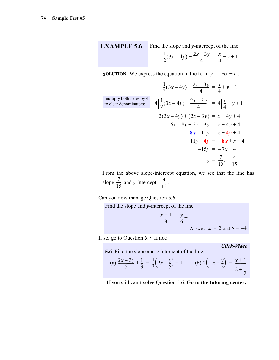**EXAMPLE 5.6** Find the slope and *y*-intercept of the line 1  $\frac{1}{2}(3x-4y)+\frac{2x-3y}{4}$ 4  $+\frac{2x-3y}{4} = \frac{x}{4} + y + 1$ 

**SOLUTION:** We express the equation in the form  $y = mx + b$ :

$$
\frac{1}{2}(3x - 4y) + \frac{2x - 3y}{4} = \frac{x}{4} + y + 1
$$
\nmultiply both sides by 4

\nto clear denominators:

\n
$$
4\left[\frac{1}{2}(3x - 4y) + \frac{2x - 3y}{4}\right] = 4\left[\frac{x}{4} + y + 1\right]
$$
\n
$$
2(3x - 4y) + (2x - 3y) = x + 4y + 4
$$
\n
$$
6x - 8y + 2x - 3y = x + 4y + 4
$$
\n
$$
8x - 11y = x + 4y + 4
$$
\n
$$
-11y - 4y = -8x + x + 4
$$
\n
$$
-15y = -7x + 4
$$
\n
$$
y = \frac{7}{15}x - \frac{4}{15}
$$

From the above slope-intercept equation, we see that the line has slope  $\frac{7}{16}$  and *y*-intercept  $-\frac{4}{16}$ . 15  $\frac{7}{15}$  and y-intercept  $-\frac{4}{15}$ 15  $-\frac{4}{15}$ 

Can you now manage Question 5.6:

Find the slope and *y*-intercept of the line

$$
\frac{x+1}{3} = \frac{y}{6} + 1
$$
  
Answer:  $m = 2$  and  $b = -4$ 

If so, go to Question 5.7. If not:

*Click-Video* **5.6** Find the slope and *y*-intercept of the line: (a)  $\frac{2x-3y}{5} + \frac{1}{3} = \frac{1}{3} \left( 2x - \frac{y}{5} \right) + 1$  (b)  $+\frac{1}{3} = \frac{1}{3} \left(2x - \frac{y}{5}\right) + 1$  (b)  $2\left(-x + \frac{y}{5}\right) = \frac{x+1}{2+1}$  $2 + \frac{1}{2}$ 2  $+\frac{1}{2}$  $=$   $\frac{\lambda + 1}{1}$ 

If you still can't solve Question 5.6: **Go to the tutoring center.**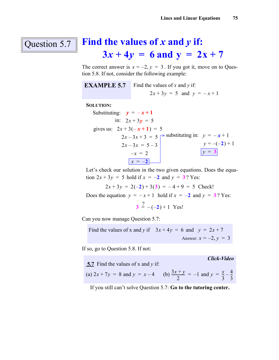## **Find the values of** *x* **and** *y* **if:**   $3x + 4y = 6$  and  $y = 2x + 7$

The correct answer is  $x = -2$ ,  $y = 3$ . If you got it, move on to Question 5.8. If not, consider the following example:

**EXAMPLE 5.7** Find the values of *x* and *y* if:  $2x + 3y = 5$  and  $y = -x + 1$ 

#### **SOLUTION:**

Substituting:  $y = -x + 1$ in:  $2x + 3y = 5$ gives us:  $2x + 3(-x + 1) = 5$  $2x-3x+3 = 5$   $\Rightarrow$  substituting in:  $y = -x+1$  $2x - 3x = 5 - 3$  $-x = 2$  $x = -2$  $y = -(-2) + 1$ *y* = **3**

Let's check our solution in the two given equations. Does the equa- $\text{tion } 2x + 3y = 5 \text{ hold if } x = -2 \text{ and } y = 3$ ? Yes:

 $2x + 3y = 2(-2) + 3(3) = -4 + 9 = 5$  Check!

Does the equation  $y = -x + 1$  hold if  $x = -2$  and  $y = 3$ ? Yes:

 $3\frac{?}{=} -(-2) + 1$  Yes!

Can you now manage Question 5.7:

Find the values of x and y if  $3x + 4y = 6$  and  $y = 2x + 7$ Answer:  $x = -2, y = 3$ 

If so, go to Question 5.8. If not:

*Click-Video*  **5.7** Find the values of x and *y* if: (a)  $2x + 7y = 8$  and  $y = x - 4$  (b)  $\frac{3x + y}{2} = -1$  and  $y = \frac{x}{3}$ 3  $= -1$  and  $y = \frac{x}{3} - \frac{4}{3}$ 

If you still can't solve Question 5.7: **Go to the tutoring center.**

### Question 5.7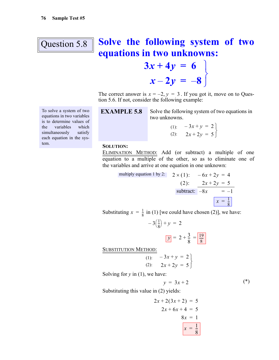

## **Solve the following system of two equations in two unknowns:**

 $3x + 4y = 6$  $x-2y = -8$  $\left\{ \right.$  $\mathbf{I}$ 

The correct answer is  $x = -2$ ,  $y = 3$ . If you got it, move on to Question 5.6. If not, consider the following example:

To solve a system of two equations in two variables is to determine values of the variables which simultaneously satisfy each equation in the system.

**EXAMPLE 5.8** Solve the following system of two equations in two unknowns.

(1): 
$$
-3x + y = 2
$$
  
(2):  $2x + 2y = 5$ }

#### **SOLUTION:**

ELIMINATION METHOD: Add (or subtract) a multiple of one equation to a multiple of the other, so as to eliminate one of the variables and arrive at one equation in one unknown:

multiply equation 1 by 2: 
$$
2 \times (1)
$$
:  $-6x + 2y = 4$   
(2):  $2x + 2y = 5$   
subtract:  $-8x = -1$   
 $x = \frac{1}{8}$ 

Substituting  $x = \frac{1}{8}$  in (1) [we could have chosen (2)], we have:

 $-3\left(\frac{1}{8}\right) + y = 2$ 

$$
y = 2 + \frac{3}{8} = \boxed{\frac{19}{8}}
$$

SUBSTITUTION METHOD:

(1): 
$$
-3x + y = 2
$$
  
(2):  $2x + 2y = 5$ }

Solving for  $y$  in (1), we have:

$$
y = 3x + 2 \tag{*}
$$

Substituting this value in (2) yields:

$$
2x + 2(3x + 2) = 5
$$
  

$$
2x + 6x + 4 = 5
$$
  

$$
8x = 1
$$
  

$$
x = \frac{1}{8}
$$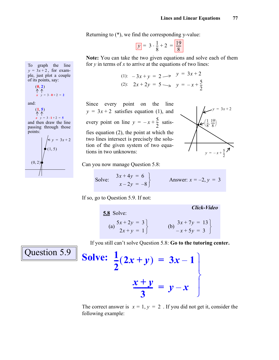Returning to (\*), we find the corresponding y-value:

$$
y = 3 \cdot \frac{1}{8} + 2 = \frac{19}{8}
$$

**Note:** You can take the two given equations and solve each of them for  $y$  in terms of  $x$  to arrive at the equations of two lines:

(1): 
$$
-3x + y = 2 \rightarrow y = 3x + 2
$$
  
\n(2):  $2x + 2y = 5 \rightarrow y = -x + \frac{5}{2}$ 

Since every point on the line  $y = 3x + 2$  satisfies equation (1), and every point on line  $y = -x + \frac{5}{2}$  satisfies equation (2), the point at which the two lines intersect is precisely the solution of the given system of two equations in two unknowns:

Can you now manage Question 5.8:

Solve:  $\left\{\n \begin{array}{ccc}\n 3 & 3 \\
 2 & 3\n \end{array}\n \right\}$  Answer:  $3x + 4y = 6$  $x - 2y = -8$  $\vert$ 

Answer: 
$$
x = -2
$$
,  $y = 3$ 

 $= 3x + 2$ 

 $y = -x + \frac{5}{2}$  $= -x + \frac{3}{2}$ 

 $\left( \frac{1}{8}, \frac{19}{8} \right)$ 

If so, go to Question 5.9. If not:

| <b>5.8</b> Solve: | <b>Click-Video</b> |
|-------------------|--------------------|
| (a) $5x + 2y = 3$ | (b) $3x + 7y = 13$ |
| $2x + y = 1$      | (c) $3x + 7y = 13$ |

If you still can't solve Question 5.8: **Go to the tutoring center.**

$$
\frac{1}{2} \text{Solve: } \frac{1}{2}(2x+y) = 3x-1
$$

$$
\frac{x+y}{3} = y-x
$$

The correct answer is  $x = 1$ ,  $y = 2$ . If you did not get it, consider the following example:

To graph the line  $y = 3x + 2$ , for example, just plot a couple of its points, say:

 $(0, 2)$ <br>  $($  $x^2 + y^2 = 3 \cdot 0 + 2 = 2$ 

and:



Question 5.9 **1**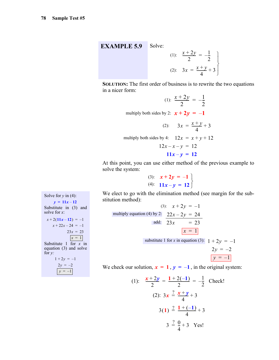# **EXAMPLE 5.9** Solve:

(1): 
$$
\frac{x+2y}{2} = -\frac{1}{2}
$$
  
(2): 
$$
3x = \frac{x+y}{4} + 3
$$

**SOLUTION:** The first order of business is to rewrite the two equations in a nicer form:

(1): 
$$
\frac{x+2y}{2} = -\frac{1}{2}
$$

multiply both sides by 2:  $x + 2y = -1$ 

(2): 
$$
3x = \frac{x+y}{4} + 3
$$
  
\nmultiply both sides by 4:  $12x = x + y + 12$   
\n $12x - x - y = 12$   
\n $11x - y = 12$ 

At this point, you can use either method of the previous example to solve the system:

(3): 
$$
x + 2y = -1
$$
  
(4):  $11x - y = 12$ 

We elect to go with the elimination method (see margin for the substitution method):

$$
(3): \t x + 2y = -1
$$
\nmultiply equation (4) by 2: 
$$
\begin{array}{rcl}\n & 22x - 2y = 24 \\
 & 23x = 23\n \end{array}
$$
\n
$$
x = 1
$$

substitute 1 for *x* in equation (3):  $1 + 2y = -1$ 

$$
2y = -2
$$

$$
y = -1
$$

We check our solution,  $x = 1$ ,  $y = -1$ , in the original system:

(1): 
$$
\frac{x+2y}{2} = \frac{1+2(-1)}{2} = -\frac{1}{2}
$$
 Check!  
(2): 
$$
3x \stackrel{?}{=} \frac{x+y}{4} + 3
$$

$$
3(1) \stackrel{?}{=} \frac{1+(-1)}{4} + 3
$$

$$
3 \stackrel{?}{=} \frac{0}{4} + 3
$$
 Yes!

Solve for  $y$  in (4): Substitute in (3) and solve for *x*: Substitute 1 for  $\overline{x}$  in equation (3) and solve for *y*:  $y = 11x - 12$  $x + 2(11x - 12) = -1$  $x + 22x - 24 = -1$  $23x = 23$ *x* = 1  $1 + 2y = -1$  $2y = -2$  $y = -1$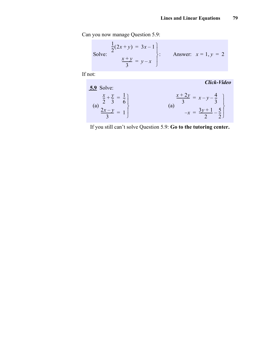Can you now manage Question 5.9:

Solve: 
$$
\begin{cases}\n\frac{1}{2}(2x+y) = 3x-1 \\
\frac{x+y}{3} = y-x\n\end{cases}
$$
: Answer:  $x = 1, y = 2$ 

If not:

| <b>5.9</b> Solve:                             | <b>Click-Video</b>                         |
|-----------------------------------------------|--------------------------------------------|
| (a) $\frac{x}{2} + \frac{y}{3} = \frac{1}{6}$ | (a) $\frac{x+2y}{3} = x - y - \frac{4}{3}$ |
| (b) $\frac{2x-y}{3} = 1$                      | (b) $-x = \frac{3y+1}{2} - \frac{5}{2}$    |

If you still can't solve Question 5.9: **Go to the tutoring center.**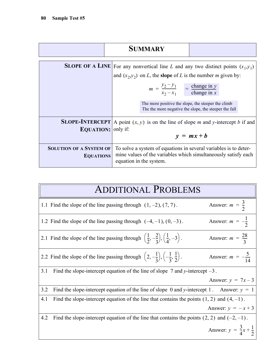|                                                    | <b>SUMMARY</b>                                                                                                                                                |                                                       |
|----------------------------------------------------|---------------------------------------------------------------------------------------------------------------------------------------------------------------|-------------------------------------------------------|
|                                                    | <b>SLOPE OF A LINE</b> For any nonvertical line L and any two distinct points $(x_1, y_1)$<br>and $(x_2, y_2)$ on L, the slope of L is the number m given by: |                                                       |
|                                                    | $m = \frac{y_2 - y_1}{x_2 - x_1}$ = $\frac{\text{change in } y}{\text{change in } x}$                                                                         |                                                       |
|                                                    | The more positive the slope, the steeper the climb                                                                                                            | The the more negative the slope, the steeper the fall |
|                                                    | <b>SLOPE-INTERCEPT</b> A point $(x, y)$ is on the line of slope <i>m</i> and <i>y</i> -intercept <i>b</i> if and                                              |                                                       |
| <b>EQUATION:</b> only if:                          | $y = mx + b$                                                                                                                                                  |                                                       |
| <b>SOLUTION OF A SYSTEM OF</b><br><b>EQUATIONS</b> | To solve a system of equations in several variables is to deter-<br>mine values of the variables which simultaneously satisfy each<br>equation in the system. |                                                       |

| <b>ADDITIONAL PROBLEMS</b> |                                                                                                                         |                                          |
|----------------------------|-------------------------------------------------------------------------------------------------------------------------|------------------------------------------|
|                            | 1.1 Find the slope of the line passing through $(1, -2)$ , $(7, 7)$ .                                                   | Answer: $m = \frac{3}{2}$                |
|                            | 1.2 Find the slope of the line passing through $(-4, -1)$ , $(0, -3)$ .                                                 | Answer: $m = -\frac{1}{2}$               |
|                            | 2.1 Find the slope of the line passing through $\left(\frac{1}{2}, -\frac{2}{3}\right), \left(\frac{1}{4}, -3\right)$ . | Answer: $m = \frac{28}{3}$               |
|                            | 2.2 Find the slope of the line passing through $\left(2, -\frac{1}{3}\right), \left(-\frac{1}{3}, \frac{1}{2}\right)$ . | Answer: $m = -\frac{5}{14}$              |
| 3.1                        | Find the slope-intercept equation of the line of slope 7 and y-intercept $-3$ .                                         |                                          |
|                            |                                                                                                                         | Answer: $y = 7x-3$                       |
| 3.2                        | Find the slope-intercept equation of the line of slope $0$ and $y$ -intercept $1$ .                                     | Answer: $y = 1$                          |
| 4.1                        | Find the slope-intercept equation of the line that contains the points $(1, 2)$ and $(4, -1)$ .                         |                                          |
|                            |                                                                                                                         | Answer: $y = -x + 3$                     |
| 4.2                        | Find the slope-intercept equation of the line that contains the points $(2, 2)$ and $(-2, -1)$ .                        |                                          |
|                            |                                                                                                                         | Answer: $y = \frac{3}{4}x + \frac{1}{2}$ |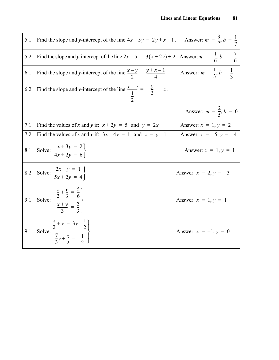| 5.1 | Find the slope and y-intercept of the line $4x - 5y = 2y + x - 1$ . Answer: $m = \frac{3}{7}, b = \frac{1}{7}$          |                                            |
|-----|-------------------------------------------------------------------------------------------------------------------------|--------------------------------------------|
| 5.2 | Find the slope and y-intercept of the line $2x-5 = 3(x+2y) + 2$ . Answer: $m = -\frac{1}{6}$ , $b = -\frac{7}{6}$       |                                            |
| 6.1 | Find the slope and y-intercept of the line $\frac{x-y}{2} = \frac{y+x-1}{4}$ .                                          | Answer: $m = \frac{1}{3}, b = \frac{1}{3}$ |
| 6.2 | Find the slope and y-intercept of the line $\frac{x-y}{1} = \frac{y}{2} + x$ .                                          |                                            |
|     |                                                                                                                         | Answer: $m = \frac{2}{5}$ , $b = 0$        |
| 7.1 | Find the values of x and y if: $x + 2y = 5$ and $y = 2x$                                                                | Answer: $x = 1, y = 2$                     |
| 7.2 | Find the values of x and y if: $3x-4y = 1$ and $x = y-1$                                                                | Answer: $x = -5$ , $y = -4$                |
| 8.1 | Solve: $\begin{cases} -x + 3y = 2 \\ 4x + 2y = 6 \end{cases}$                                                           | Answer: $x = 1, y = 1$                     |
| 8.2 | Solve: $\begin{cases} 2x + y = 1 \\ 5x + 2y = 4 \end{cases}$                                                            | Answer: $x = 2, y = -3$                    |
| 9.1 | $\frac{x}{2} + \frac{y}{3} = \frac{5}{6}$<br>Solve:<br>$\frac{x+y}{2} = \frac{2}{3}$                                    | Answer: $x = 1, y = 1$                     |
| 9.1 | $\left[\frac{x}{2} + y = 3y - \frac{1}{2}\right]$<br>$\left[\frac{7}{3}y + \frac{x}{2} = -\frac{1}{2}\right]$<br>Solve: | Answer: $x = -1, y = 0$                    |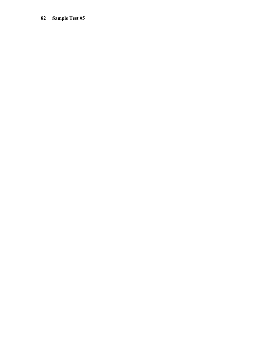#### **82 Sample Test #5**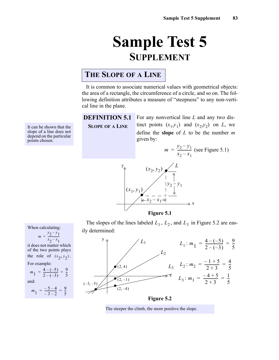# **Sample Test 5 SUPPLEMENT**

### **THE SLOPE OF A LINE**

It is common to associate numerical values with geometrical objects: the area of a rectangle, the circumference of a circle, and so on. The following definition attributes a measure of "steepness" to any non-vertical line in the plane.

**DEFINITION 5.1 SLOPE OF A LINE**

For any nonvertical line *L* and any two distinct points  $(x_1, y_1)$  and  $(x_2, y_2)$  on *L*, we define the **slope** of *L* to be the number *m* given by:

$$
m = \frac{y_2 - y_1}{x_2 - x_1}
$$
 (see Figure 5.1)



The slopes of the lines labeled  $L_1$ ,  $L_2$ , and  $L_3$  in Figure 5.2 are eas-



The steeper the climb, the more positive the slope.

It can be shown that the slope of a line does not depend on the particular points chosen.

it does not matter which of the two points plays *m*  $y_2 - y_1$  $=\frac{2}{x_2-x_1}$ 

When calculating:

the role of  $(x_2, y_2)$ . For example:

$$
m_1 = \frac{4 - (-5)}{2 - (-3)} = \frac{9}{5}
$$
  
and:

$$
m_1 = \frac{-5 - 4}{-3 - 2} = \frac{9}{5}
$$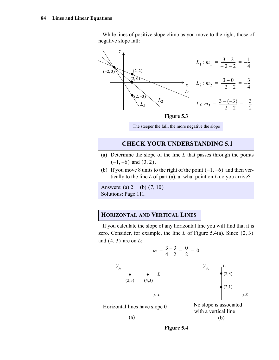While lines of positive slope climb as you move to the right, those of negative slope fall:



**Figure 5.3**

The steeper the fall, the more negative the slope

#### **CHECK YOUR UNDERSTANDING 5.1**

- (a) Determine the slope of the line *L* that passes through the points  $(-1, -6)$  and  $(3, 2)$ .
- (b) If you move 8 units to the right of the point  $(-1, -6)$  and then vertically to the line *L* of part (a), at what point on *L* do you arrive?

Answers:  $(a)$  2 Solutions: Page 111. (b)  $(7, 10)$ 

#### **HORIZONTAL AND VERTICAL LINES**

If you calculate the slope of any horizontal line you will find that it is zero. Consider, for example, the line  $L$  of Figure 5.4(a). Since  $(2, 3)$ and  $(4, 3)$  are on *L*:





**Figure 5.4**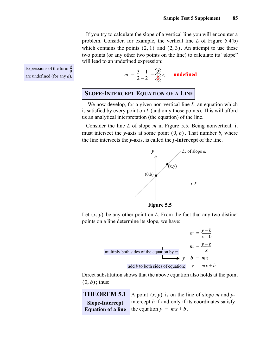If you try to calculate the slope of a vertical line you will encounter a problem. Consider, for example, the vertical line *L* of Figure 5.4(b) which contains the points  $(2, 1)$  and  $(2, 3)$ . An attempt to use these two points (or any other two points on the line) to calculate its "slope" will lead to an undefined expression:

Expressions of the form  $\frac{a}{b}$ are undefined (for any *a*).  $\frac{a}{0}$ 

$$
m = \frac{3-1}{2-2} = \frac{2}{\frac{2}{\frac{3}{2}}}
$$

### **SLOPE-INTERCEPT EQUATION OF A LINE**

 We now develop, for a given non-vertical line *L*, an equation which is satisfied by every point on *L* (and only those points). This will afford us an analytical interpretation (the equation) of the line.

Consider the line *L* of slope *m* in Figure 5.5. Being nonvertical, it must intersect the *y*-axis at some point  $(0, b)$ . That number *b*, where the line intersects the *y*-axis, is called the *y***-intercept** of the line.





Let  $(x, y)$  be any other point on *L*. From the fact that any two distinct points on a line determine its slope, we have:

$$
m = \frac{y-b}{x-0}
$$
  
multiply both sides of the equation by x:  

$$
m = \frac{y-b}{x}
$$
  

$$
y-b = mx
$$
  
add b to both sides of equation: 
$$
y = mx + b
$$

Direct substitution shows that the above equation also holds at the point  $(0, b)$ ; thus:

**THEOREM 5.1 Slope-Intercept Equation of a line** A point  $(x, y)$  is on the line of slope *m* and *y*intercept *b* if and only if its coordinates satisfy the equation  $y = mx + b$ .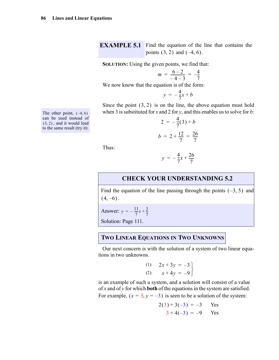**EXAMPLE 5.1** Find the equation of the line that contains the points  $(3, 2)$  and  $(-4, 6)$ .

**SOLUTION:** Using the given points, we find that:

$$
m = \frac{6-2}{-4-3} = -\frac{4}{7}
$$

We now know that the equation is of the form:

$$
y = -\frac{4}{7}x + b
$$

Since the point  $(3, 2)$  is on the line, the above equation must hold when 3 is substituted for *x* and 2 for *y*, and this enables us to solve for *b*:

The other point,  $(-4, 6)$ can be used instead of  $(3, 2)$ , and it would lead to the same result (try it).

$$
2 = -\frac{4}{7}(3) + b
$$

$$
b = 2 + \frac{12}{7} = \frac{26}{7}
$$

Thus:

$$
y = -\frac{4}{7}x + \frac{26}{7}
$$

### **CHECK YOUR UNDERSTANDING 5.2**

Find the equation of the line passing through the points  $(-3, 5)$  and  $(4,-6)$ .

Answer:  $y = -\frac{11}{7}x + \frac{2}{7}$ 

Solution: Page 111.

#### **TWO LINEAR EQUATIONS IN TWO UNKNOWNS**

Our next concern is with the solution of a system of two linear equations in two unknowns.

(1): 
$$
2x + 3y = -3
$$
  
(2):  $x + 4y = -9$ }

is an example of such a system, and a solution will consist of a value of *x* and of *y* for which **both** of the equations in the system are satisfied. For example,  $(x = 3, y = -3)$  is seen to be a solution of the system:

$$
2(3) + 3(-3) = -3
$$
 Yes  
 
$$
3 + 4(-3) = -9
$$
 Yes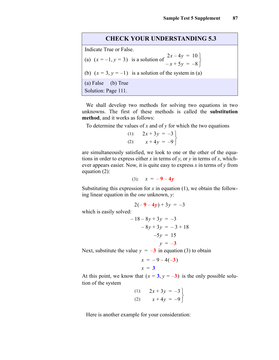#### **CHECK YOUR UNDERSTANDING 5.3**

Indicate True or False.

(a)  $(x = -1, y = 3)$  is a solution of (b)  $(x = 3, y = -1)$  is a solution of the system in (a) (a) False (b) True Solution: Page 111.  $2x - 4y = 10$  $-x+5y = -8$  $\mathbf{I}$ 

We shall develop two methods for solving two equations in two unknowns. The first of these methods is called the **substitution method**, and it works as follows:

To determine the values of  $x$  and of  $y$  for which the two equations

 $2x + 3y = -3$  $x + 4y = -9$ (1):  $2x + 3y = -3$ <br>(2):  $x + 4y = -9$ 

are simultaneously satisfied, we look to one or the other of the equations in order to express either *x* in terms of *y*, or *y* in terms of *x*, whichever appears easier. Now, it is quite easy to express *x* in terms of *y* from equation (2):

$$
(3): \quad x = -9-4y
$$

Substituting this expression for  $x$  in equation (1), we obtain the following linear equation in the *one* unknown, *y*:

 $2(-9-4y) + 3y = -3$ 

which is easily solved:

$$
-18-8y+3y = -3
$$
  

$$
-8y+3y = -3+18
$$
  

$$
-5y = 15
$$
  

$$
y = -3
$$

Next, substitute the value  $y = -3$  in equation (3) to obtain

$$
x = -9-4(-3)
$$
  

$$
x = 3
$$

At this point, we know that  $(x = 3, y = -3)$  is the only possible solution of the system

(1): 
$$
2x + 3y = -3
$$
  
(2):  $x + 4y = -9$ }

Here is another example for your consideration: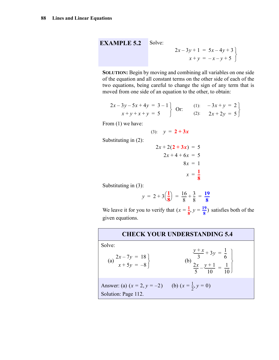

**SOLUTION:** Begin by moving and combining all variables on one side of the equation and all constant terms on the other side of each of the two equations, being careful to change the sign of any term that is moved from one side of an equation to the other, to obtain:

$$
\begin{cases}\n2x - 3y - 5x + 4y = 3 - 1 \\
x + y + x + y = 5\n\end{cases}\n\text{ Or:}\n\begin{cases}\n(1): -3x + y = 2 \\
(2): 2x + 2y = 5\n\end{cases}
$$

From  $(1)$  we have:

$$
(3): \quad y = 2 + 3x
$$

Substituting in (2):

$$
2x + 2(2 + 3x) = 5
$$
  
2x + 4 + 6x = 5  

$$
8x = 1
$$
  

$$
x = \frac{1}{8}
$$

Substituting in (3):

$$
y = 2 + 3\left(\frac{1}{8}\right) = \frac{16}{8} + \frac{3}{8} = \frac{19}{8}
$$

We leave it for you to verify that  $(x = \frac{1}{8}, y = \frac{19}{8})$  satisfies both of the given equations.

| <b>CHECK YOUR UNDERSTANDING 5.4</b>                                                 |                                                                                          |  |
|-------------------------------------------------------------------------------------|------------------------------------------------------------------------------------------|--|
| Solve:<br>(a) $\begin{cases} 2x - 7y = 18 \\ x + 5y = -8 \end{cases}$               | $\frac{y+x}{3} + 3y = \frac{1}{6}$<br>(b) $\frac{2x}{5} - \frac{y+1}{10} = \frac{1}{10}$ |  |
| Answer: (a) $(x = 2, y = -2)$ (b) $(x = \frac{1}{2}, y = 0)$<br>Solution: Page 112. |                                                                                          |  |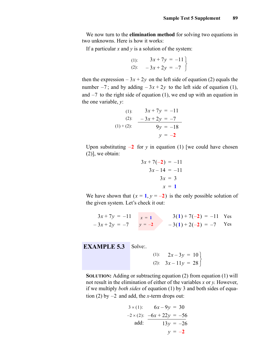We now turn to the **elimination method** for solving two equations in two unknowns. Here is how it works:

If a particular *x* and *y* is a solution of the system:

(1): 
$$
3x + 7y = -11
$$

$$
(2): -3x + 2y = -7
$$

then the expression  $-3x + 2y$  on the left side of equation (2) equals the number  $-7$ ; and by adding  $-3x + 2y$  to the left side of equation (1), and  $-7$  to the right side of equation (1), we end up with an equation in the one variable, *y*:

(1): 
$$
3x + 7y = -11
$$
  
(2): 
$$
-3x + 2y = -7
$$
  
(1) + (2): 
$$
9y = -18
$$
  

$$
y = -2
$$

Upon substituting  $-2$  for *y* in equation (1) [we could have chosen (2)], we obtain:

$$
3x + 7(-2) = -11
$$
  

$$
3x - 14 = -11
$$
  

$$
3x = 3
$$
  

$$
x = 1
$$

We have shown that  $(x = 1, y = -2)$  is the only possible solution of the given system. Let's check it out:

$$
3x + 7y = -11
$$
  
\n
$$
x = 1
$$
  
\n
$$
x = 1
$$
  
\n
$$
3(1) + 7(-2) = -11
$$
 Yes  
\n
$$
-3x + 2y = -7
$$
  
\n
$$
y = -2
$$
  
\n
$$
-3(1) + 2(-2) = -7
$$
 Yes

**EXAMPLE 5.3** Solve:.

 $2x - 3y = 10$  $3x - 11y = 28$ (1):  $2x-3y = 10$ (2):

**SOLUTION:** Adding or subtracting equation (2) from equation (1) will not result in the elimination of either of the variables *x* or *y*. However, if we multiply *both sides* of equation (1) by 3 and both sides of equation (2) by  $-2$  and add, the *x*-term drops out:

$$
3 \times (1): \quad 6x - 9y = 30
$$
  
-2 \times (2): \quad -6x + 22y = -56  
add: \quad 13y = -26  
y = -2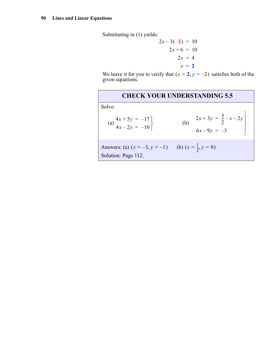Substituting in (1) yields:

$$
2x-3(-2) = 10
$$
  

$$
2x + 6 = 10
$$
  

$$
2x = 4
$$
  

$$
x = 2
$$

We leave it for you to verify that  $(x = 2, y = -2)$  satisfies both of the given equations.

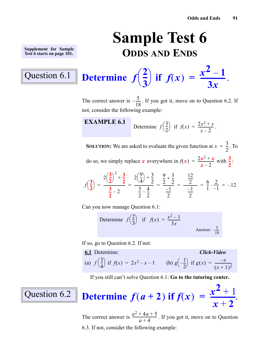# **<sup>6</sup> Sample Test 6 ODDS AND ENDS**

**Supplement for Sample Test 6 starts on page 101.**

Question 6.1

Determine 
$$
f\left(\frac{2}{3}\right)
$$
 if  $f(x) = \frac{x^2 - 1}{3x}$ .

The correct answer is  $-\frac{5}{10}$ . If you got it, move on to Question 6.2. If not, consider the following example: 18  $-\frac{3}{10}$ 

**EXAMPLE 6.1** Determine  $f\left(\frac{3}{2}\right)$  if  $f(x) = \frac{2x^2 + x}{x - 2}$ .

**SOLUTION:** We are asked to evaluate the given function at  $x = \frac{3}{2}$ . To do so, we simply replace x everywhere in  $f(x) = \frac{2x^2 + x}{x - 2}$  with  $\frac{3}{2}$ . **--**

$$
f\left(\frac{3}{2}\right) = \frac{2\left(\frac{3}{2}\right)^2 + \frac{3}{2}}{\frac{3}{2} - 2} = \frac{2\left(\frac{9}{4}\right) + \frac{3}{2}}{\frac{3}{2} - \frac{4}{2}} = \frac{\frac{9}{2} + \frac{3}{2}}{\frac{-1}{2}} = \frac{\frac{12}{2}}{\frac{-1}{2}} = \frac{6}{1} \cdot \frac{2}{-1} = -12
$$

Can you now manage Question 6.1:

Determine 
$$
f\left(\frac{2}{3}\right)
$$
 if  $f(x) = \frac{x^2 - 1}{3x}$   
Answer:  $-\frac{5}{18}$ 

If so, go to Question 6.2. If not:

6.1 Determine: *Click-Video*  
\n(a) 
$$
f\left(\frac{3}{4}\right)
$$
 if  $f(x) = 2x^2 - x - 1$  (b)  $g\left(-\frac{1}{2}\right)$  if  $g(x) = \frac{-x}{(x+1)^2}$ 

If you still can't solve Question 6.1: **Go to the tutoring center.**

Question 6.2  $\parallel$  **D** 

**Determine** 
$$
f(a + 2)
$$
 if  $f(x) = \frac{x^2 + 1}{x + 2}$ .

The correct answer is  $\frac{a^2 + 4a + 5}{a + 4}$ . If you got it, move on to Question 6.3. If not, consider the following example: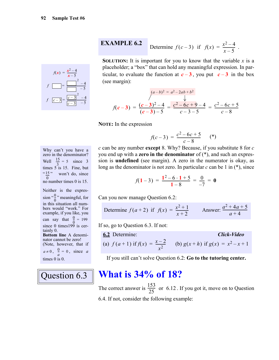### **EXAMPLE 6.2**



Determine 
$$
f(c-3)
$$
 if  $f(x) = \frac{x^2-4}{x-5}$ 

**SOLUTION:** It is important for you to know that the variable *x* is a placeholder; a "box" that can hold any meaningful expression. In pariticular, to evaluate the function at  $c - 3$ , you put  $c - 3$  in the box (see margin):

$$
f(c-3) = \frac{(c-3)^2 - 4}{(c-3) - 5} = \frac{c^2 - 6c + 9 - 4}{c - 3 - 5} = \frac{c^2 - 6c + 5}{c - 8}
$$

**NOTE:** In the expression

$$
f(c-3) = \frac{c^2 - 6c + 5}{c - 8} \qquad (*)
$$

*c* can be any number **except** 8. Why? Because, if you substitute 8 for *c* you end up with a **zero in the denominator** of (\*), and such an expression is **undefined** (see margin). A zero in the numerator is okay, as long as the denominator is not zero. In particular *c* can be 1 in (\*), since

$$
f(1-3) = \frac{1^2 - 6 \cdot 1 + 5}{1 - 8} = \frac{0}{-7} = 0
$$

Can you now manage Question 6.2:

Determine 
$$
f(a+2)
$$
 if  $f(x) = \frac{x^2+1}{x+2}$  Answer:  $\frac{a^2+4a+5}{a+4}$ 

If so, go to Question 6.3. If not:

**6.2** Determine: *Click-Video* (a)  $f(a+1)$  if  $f(x) = \frac{x-2}{x^2}$  (b)  $g(x+h)$  if  $g(x) = x^2 - x + 1$ 

If you still can't solve Question 6.2: **Go to the tutoring center.**

## **What is 34% of 18?**

The correct answer is  $\frac{153}{25}$  or 6.12. If you got it, move on to Question 6.4. If not, consider the following example:  $\frac{133}{25}$  or 6.12

Why can't you have a zero in the denominator? Well  $\frac{15}{2} = 5$  since 3 times 5 is 15. Fine, but won't do, since no number times 0 is 15.  $\frac{13}{3}$  = 5 15  $\frac{13}{0}$ 

Neither is the expression " $\frac{0}{6}$ " meaningful, for in this situation all numbers would "work." For example, if you like, you can say that  $\frac{0}{2}$  = 199 since 0 times  $\begin{bmatrix} 0 & 1 \end{bmatrix}$  is certainly 0. **Bottom line** A denominator cannot be zero! (Note, however, that if  $a \neq 0$ ,  $\frac{0}{a} = 0$ , since *a* times 0 is 0. 0  $\frac{0}{0}$ 

Question 6.3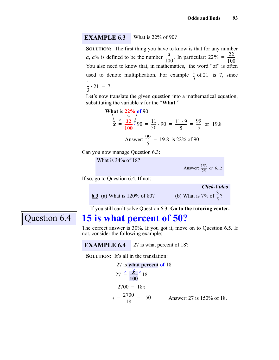### **EXAMPLE 6.3** What is 22% of 90?

**SOLUTION:** The first thing you have to know is that for any number *a*, *a*% is defined to be the number  $\frac{a}{100}$ . In particular: 22% =  $\frac{22}{100}$ . You also need to know that, in mathematics, the word "of" is often used to denote multiplication. For example  $\frac{1}{2}$  of 21 is 7, since  $\frac{a}{100}$ . In particular: 22% =  $\frac{22}{100}$  $rac{1}{3}$  of 21

$$
\frac{1}{3}\cdot 21 = 7.
$$

Let's now translate the given question into a mathematical equation, substituting the variable  $x$  for the "What:"

What is 22% of 90  
\n
$$
\sqrt{\frac{1}{x}} = \frac{22}{100} \cdot 90 = \frac{11}{50} \cdot 90 = \frac{11 \cdot 9}{5} = \frac{99}{5}
$$
 or 19.8  
\nAnswer:  $\frac{99}{5} = 19.8$  is 22% of 90

Can you now manage Question 6.3:

What is 34% of 18?

Answer:  $\frac{153}{25}$  $\frac{133}{25}$  or 6.12

If so, go to Question 6.4. If not:

*Click-Video* **6.3** (a) What is 120% of 80? 3 5  $\frac{1}{2}$ 

If you still can't solve Question 6.3: **Go to the tutoring center.**

Question 6.4

### **15 is what percent of 50?**

The correct answer is 30%. If you got it, move on to Question 6.5. If not, consider the following example:

**EXAMPLE 6.4** 27 is what percent of 18?

**SOLUTION:** It's all in the translation:

27 is what percent of 18  
\n
$$
27 = \frac{\cancel{x}}{100} \cdot \frac{1}{18}
$$
\n2700 = 18x  
\n
$$
x = \frac{2700}{18} = 150
$$
 Answer: 27 is 150% of 18.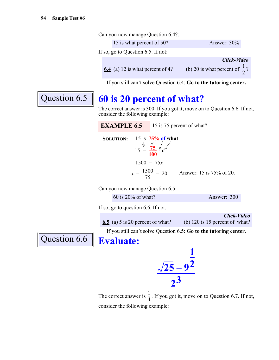Question 6.5

Question 6.6

Can you now manage Question 6.4?:

15 is what percent of 50? Answer: 30%

If so, go to Question 6.5. If not:

*Click-Video*

**6.4** (a) 12 is what percent of 4? (b) 20 is what percent of  $\frac{1}{2}$ ?  $\frac{1}{2}$ 

If you still can't solve Question 6.4: **Go to the tutoring center.**

## **60 is 20 percent of what?**

The correct answer is 300. If you got it, move on to Question 6.6. If not, consider the following example:

**SOLUTION: EXAMPLE 6.5** 15 is 75 percent of what?  $15 \stackrel{v}{=} \frac{75}{100}$   $\frac{\sqrt{}}{x}$  $1500 = 75x$  $x = \frac{1500}{75} = 20$  Answer: 15 is 75% of 20. 15 is **75% of what**

Can you now manage Question 6.5:

60 is 20% of what? Answer: 300

If so, go to question 6.6. If not:

*Click-Video*

**6.5** (a) 5 is 20 percent of what? (b) 120 is 15 percent of what?

If you still can't solve Question 6.5: **Go to the tutoring center.**

**Evaluate:**

$$
\frac{\sqrt{25}-9^{\frac{1}{2}}}{2^{\frac{3}{2}}}
$$

The correct answer is  $\frac{1}{4}$ . If you got it, move on to Question 6.7. If not, consider the following example: 4  $\frac{1}{1}$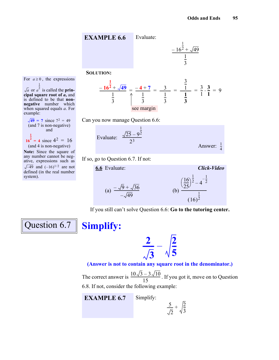

If you still can't solve Question 6.6: **Go to the tutoring center.**

Question 6.7

and

example:

**1**

1

system).

## **Simplify:**

$$
\frac{2}{\sqrt{3}} - \sqrt{\frac{2}{5}}
$$

### **(Answer is not to contain any square root in the denominator.)**

The correct answer is  $\frac{10\sqrt{3}-3\sqrt{10}}{15}$ . If you got it, move on to Question 6.8. If not, consider the following example:

**EXAMPLE 6.7** Simplify:

$$
\frac{5}{\sqrt{2}} + \sqrt{\frac{2}{3}}
$$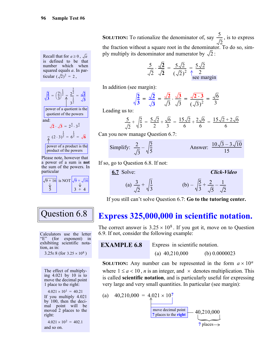**SOLUTION:** To rationalize the denominator of, say  $\frac{5}{6}$ , is to express the fraction without a square root in the denominator. To do so, simply multiply its denominator and numerator by  $\sqrt{2}$ : 2  $\frac{v}{\sqrt{2}}$ 

$$
\frac{5}{\sqrt{2}} \cdot \frac{\sqrt{2}}{\sqrt{2}} = \frac{5\sqrt{2}}{(\sqrt{2})^2} = \frac{5\sqrt{2}}{\sqrt{2}}
$$

In addition (see margin):

$$
\sqrt{\frac{2}{3}} = \frac{\sqrt{2}}{\sqrt{3}} = \frac{\sqrt{2}}{\sqrt{3}} \cdot \frac{\sqrt{3}}{\sqrt{3}} = \frac{\sqrt{2 \cdot 3}}{(\sqrt{3})^2} = \frac{\sqrt{6}}{3}
$$

Leading us to:

$$
\frac{5}{\sqrt{2}} + \sqrt{\frac{2}{3}} = \frac{5\sqrt{2}}{2} + \frac{\sqrt{6}}{3} = \frac{15\sqrt{2}}{6} + \frac{2\sqrt{6}}{6} = \frac{15\sqrt{2} + 2\sqrt{6}}{6}
$$

Can you now manage Question 6.7:

Simplify: 
$$
\frac{2}{\sqrt{3}} - \sqrt{\frac{2}{5}}
$$
 Answer:  $\frac{10\sqrt{3} - 3\sqrt{10}}{15}$ 

If so, go to Question 6.8. If not:



If you still can't solve Question 6.7: **Go to the tutoring center.**

### **Express 325,000,000 in scientific notation.**

The correct answer is  $3.25 \times 10^8$ . If you got it, move on to Question 6.9. If not, consider the following example:

| <b>EXAMPLE 6.8</b> | Express in scientific notation. |                 |
|--------------------|---------------------------------|-----------------|
|                    | (a) $40,210,000$                | (b) $0.0000023$ |

**SOLUTION:** Any number can be represented in the form  $a \times 10^n$ where  $1 \le a < 10$ , *n* is an integer, and  $\times$  denotes multiplication. This is called **scientific notation**, and is particularly useful for expressing very large and very small quantities. In particular (see margin):

(a) 40,210,000 4.021 10**<sup>7</sup>** = move decimal point **<sup>7</sup>** places to the **right** 40,210,000 } **7** places

Recall that for  $a \ge 0$ ,  $\sqrt{a}$ is defined to be that number which when squared equals *a*. In particular  $(\sqrt{2})^2 = 2$ ,

 and: **2**  $\frac{2}{3} = \left(\frac{2}{3}\right)^{\frac{1}{2}}$  $\frac{1}{2}$   $2^{\frac{1}{2}}$  $\frac{1}{2}$ 3 1  $\frac{1}{2}$  $=\left(\frac{2}{3}\right)^{\frac{5}{2}} = \frac{2^{\frac{2}{2}}}{\frac{1}{\sqrt{3}}} = \frac{\sqrt{2}}{\sqrt{3}}$ power of a quotient is the quotient of the powers  $\overline{2} \cdot \sqrt{3} = 2^{\overline{2}} \cdot 3^{\overline{2}}$  $(2 \cdot 3)$ 1  $\frac{1}{2}$  = 6 1  $=(2\cdot3)^{\frac{1}{2}}=6^{\frac{1}{2}}=\sqrt{6}$ power of a product is the product of the powers

Please note, however that a power of a sum is **not** the sum of the powers. In particular





Calculators use the letter "E" (for exponent) in exhibiting scientific notation, as in:

 $3.25E 8$  (for  $3.25 \times 10^8$ )

The effect of multiplying 4.021 by 10 is to move the decimal point 1 place to the right:

If you multiply 4.021 by 100, then the decimal point will be moved 2 places to the right:  $4.021 \times 10^{1} = 40.21$ 

and so on.  $4.021 \times 10^{2} = 402.1$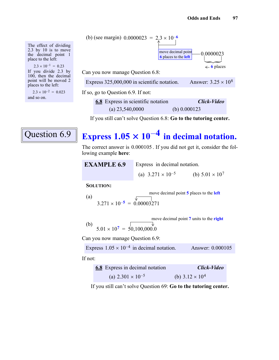The effect of dividing 2.3 by 10 is to move the decimal point 1 place to the left:  $2.3 \times 10^{-1} = 0.23$ 

If you divide 2.3 by 100, then the decimal point will be moved 2 places to the left:

and so on.  $2.3 \times 10^{-2} = 0.023$ 



If you still can't solve Question 6.8: **Go to the tutoring center.**

Question 6.9

# **Express 1.05**  $\times$  **10<sup>–4</sup> in decimal notation.**

The correct answer is 0.000105. If you did not get it, consider the following example **here**:

| EXAMPLE 6.9                                                                                       | Express in decimal notation. |                                                |
|---------------------------------------------------------------------------------------------------|------------------------------|------------------------------------------------|
|                                                                                                   | (a) $3.271 \times 10^{-5}$   | (b) $5.01 \times 10^7$                         |
| <b>SOLUTION:</b>                                                                                  |                              |                                                |
| (a)<br>$3.271 \times 10^{-5} = \begin{array}{c} 1 \downarrow 1 \downarrow 0.00003271 \end{array}$ |                              | move decimal point 5 places to the <b>left</b> |
| (b) $5.01 \times 10^7 = 50,100,000.0$                                                             |                              | move decimal point 7 units to the right        |
| Can you now manage Question 6.9:                                                                  |                              |                                                |
| Express $1.05 \times 10^{-4}$ in decimal notation.                                                |                              | Answer: 0.000105                               |

If not:

| <b>6.8</b> Express in decimal notation | Click-Video            |
|----------------------------------------|------------------------|
| (a) $2.301 \times 10^{-5}$             | (b) $3.12 \times 10^4$ |

If you still can't solve Question 69: **Go to the tutoring center.**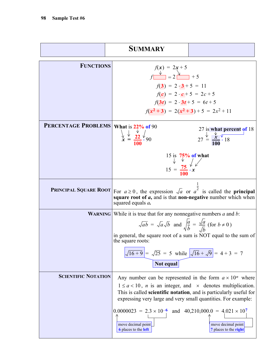|                            | <b>SUMMARY</b>                                                                                                                                                                                                                                                                                                                                                                                                                   |                                                                                    |
|----------------------------|----------------------------------------------------------------------------------------------------------------------------------------------------------------------------------------------------------------------------------------------------------------------------------------------------------------------------------------------------------------------------------------------------------------------------------|------------------------------------------------------------------------------------|
| <b>FUNCTIONS</b>           | $f(x) = 2x + 5$<br>$f(x) = 2x + 5$<br>$f(3) = 2 \cdot 3 + 5 = 11$<br>$f(c) = 2 \cdot c + 5 = 2c + 5$<br>$f(3t) = 2 \cdot 3t + 5 = 6t + 5$<br>$f(x^2+3) = 2(x^2+3)+5 = 2x^2+11$                                                                                                                                                                                                                                                   |                                                                                    |
| <b>PERCENTAGE PROBLEMS</b> | What is $22\%$ of 90<br>$\begin{array}{c}\n\sqrt{x} = \frac{\sqrt{x}}{100} \cdot 90\n\end{array}$<br>$\frac{1}{\sqrt{15}}$ $\frac{75}{100}$ $\frac{7}{x}$                                                                                                                                                                                                                                                                        | 27 is what percent of 18<br>$27 = \frac{1}{100} \times 18$<br>15 is $75\%$ of what |
| PRINCIPAL SQUARE ROOT      | For $a \ge 0$ , the expression $\sqrt{a}$ or $a^2$ is called the <b>principal</b><br>square root of $a$ , and is that non-negative number which when<br>squared equals a.                                                                                                                                                                                                                                                        |                                                                                    |
|                            | <b>WARNING</b> While it is true that for any nonnegative numbers $a$ and $b$ .<br>$\sqrt{ab} = \sqrt{a}\sqrt{b}$ and $\sqrt{\frac{a}{b}} = \frac{\sqrt{a}}{\sqrt{b}}$ (for $b \neq 0$ )<br>in general, the square root of a sum is NOT equal to the sum of<br>the square roots:<br>$\sqrt{16+9}$ = $\sqrt{25}$ = 5 while $\sqrt{16} + \sqrt{9}$ = 4 + 3 = 7<br>Not equal                                                         |                                                                                    |
| <b>SCIENTIFIC NOTATION</b> | Any number can be represented in the form $a \times 10^n$ where<br>$1 \le a < 10$ , <i>n</i> is an integer, and $\times$ denotes multiplication.<br>This is called scientific notation, and is particularly useful for<br>expressing very large and very small quantities. For example:<br>$0.0000023 = 2.3 \times 10^{-6}$ and $40,210,000.0 = 4.021 \times 10^{7}$<br>move decimal point<br><b>6</b> places to the <b>left</b> | move decimal point<br>7 places to the right                                        |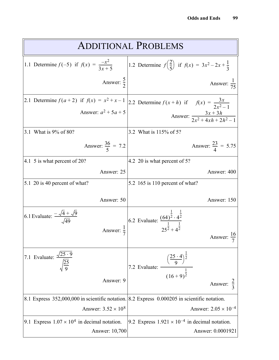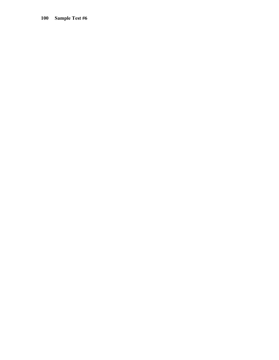#### **100 Sample Test #6**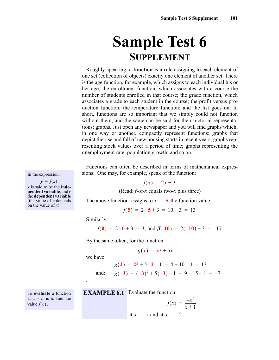# **Sample Test 6 SUPPLEMENT**

Roughly speaking, a **function** is a rule assigning to each element of one set (collection of objects) exactly one element of another set. There is the age function, for example, which assigns to each individual his or her age; the enrollment function, which associates with a course the number of students enrolled in that course; the grade function, which associates a grade to each student in the course; the profit versus production function; the temperature function; and the list goes on. In short, functions are so important that we simply could not function without them, and the same can be said for their pictorial representations: graphs. Just open any newspaper and you will find graphs which, in one way or another, compactly represent functions: graphs that depict the rise and fall of new housing starts in recent years; graphs representing stock values over a period of time; graphs representing the unemployment rate, population growth, and so on.

Functions can often be described in terms of mathematical expressions. One may, for example, speak of the function:

$$
f(x) = 2x + 3
$$

(Read: *f*-of-*x* equals two-*x* plus three)

The above function assigns to  $x = 5$  the function value:

$$
f(5) = 2 \cdot 5 + 3 = 10 + 3 = 13
$$

Similarly:

$$
f(\mathbf{0}) = 2 \cdot \mathbf{0} + 3 = 3
$$
, and  $f(-10) = 2(-10) + 3 = -17$ 

By the same token, for the function:

$$
g(\mathbf{x}) = \mathbf{x}^2 + 5\mathbf{x} - 1
$$

we have:

.

$$
g(2) = 2^2 + 5 \cdot 2 - 1 = 4 + 10 - 1 = 13
$$
  
and: 
$$
g(-3) = (-3)^2 + 5(-3) - 1 = 9 - 15 - 1 = -7
$$

To **evaluate** a function at  $x = c$  is to find the value  $f(c)$ .

**EXAMPLE 6.1** Evaluate the function:

$$
f(x) = \frac{-x^2}{x+1}
$$
  
at  $x = 5$  and at  $x = -2$ .

In the expression:

*x* is said to be the **independent variable**, and *y* the **dependent variable** (the value of *y* depends on the value of *x*).  $y = f(x)$   $f(x) = 2x + 3$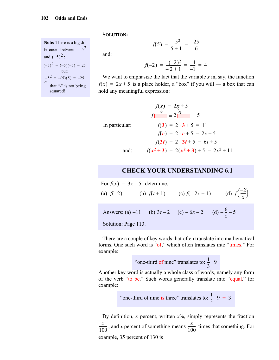#### **SOLUTION:**

**Note:** There is a big difference between  $-5^2$ and  $(-5)^2$ :  $(-5)^2 = (-5)(-5) = 25$ but:  $-5^2 = -(5)(5) = -25$  $\int$  that "-" is not being squared!

and:

$$
f(5) = \frac{-5^2}{5+1} = \frac{-25}{6}
$$

$$
f(-2) = \frac{-(-2)^2}{-2+1} = \frac{-4}{-1} = 4
$$

We want to emphasize the fact that the variable *x* in, say, the function  $f(x) = 2x + 5$  is a place holder, a "box" if you will — a box that can hold any meaningful expression:

 $f(x) = 2x + 5$ 

In particular:

$$
f(x) = 2x + 5
$$
  
\n
$$
f(3) = 2 \cdot 3 + 5 = 11
$$
  
\n
$$
f(c) = 2 \cdot c + 5 = 2c + 5
$$
  
\n
$$
f(3t) = 2 \cdot 3t + 5 = 6t + 5
$$
  
\n
$$
f(x2 + 3) = 2(x2 + 3) + 5 = 2x2 + 11
$$

and:

### **CHECK YOUR UNDERSTANDING 6.1**

For  $f(x) = 3x - 5$ , determine: (a)  $f(-2)$  (b)  $f(t+1)$  (c)  $f(-2x+1)$  (d)  $f(\frac{-2}{x})$ Answers: (a)  $-11$  (b)  $3t - 2$  (c)  $-6x - 2$  (d)  $-\frac{6}{5}$ Solution: Page 113. *x*  $-\frac{9}{2}$  – 5

There are a couple of key words that often translate into mathematical forms. One such word is "of," which often translates into "times." For example:

"one-third of nine" translates to: 
$$
\frac{1}{3} \cdot 9
$$

Another key word is actually a whole class of words, namely any form of the verb "to be." Such words generally translate into "equal." for example:

"one-third of nine is three" translates to: 
$$
\frac{1}{3} \cdot 9 = 3
$$

By definition, *x* percent, written  $x\%$ , simply represents the fraction  $\frac{x}{\cos x}$ ; and *x* percent of something means  $\frac{x}{\cos x}$  times that something. For example, 35 percent of 130 is 100  $\frac{x}{100}$ ; and x percent of something means  $\frac{x}{100}$ 100  $\frac{\lambda}{100}$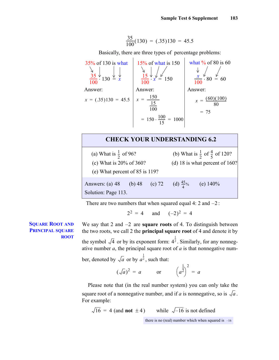$$
\frac{35}{100}(130) = (.35)130 = 45.5
$$

Basically, there are three types of percentage problems:

| $15 \vee$<br>150<br>100  | 100                                                      |
|--------------------------|----------------------------------------------------------|
|                          | Answer:                                                  |
| 150<br>15<br>100<br>1000 | $\mathfrak{X}^-$<br>$= 75$                               |
|                          | Answer:<br>$\mathcal{X}$<br>$= 150 \cdot \frac{100}{15}$ |

#### **CHECK YOUR UNDERSTANDING 6.2**



There are two numbers that when squared equal 4: 2 and  $-2$ :

 $2^2 = 4$  and  $(-2)^2 = 4$ 

**SQUARE ROOT AND PRINCIPAL SQUARE ROOT**

We say that  $2$  and  $-2$  are **square roots** of  $4$ . To distinguish between the two roots, we call 2 the **principal square root** of 4 and denote it by

the symbol  $\sqrt{4}$  or by its exponent form:  $4^{\frac{1}{2}}$ . Similarly, for any nonnegative number  $a$ , the principal square root of  $a$  is that nonnegative num- $\frac{1}{2}$ 

ber, denoted by  $\sqrt{a}$  or by  $a^{\frac{1}{2}}$ , such that:  $\frac{1}{2}$ 

$$
(\sqrt{a})^2 = a \qquad \text{or} \qquad \left(a^{\frac{1}{2}}\right)^2 = a
$$

 Please note that (in the real number system) you can only take the square root of a nonnegative number, and if *a* is nonnegative, so is  $\sqrt{a}$ . For example:

 $\sqrt{16}$  = 4 (and **not**  $\pm$  4) while  $\sqrt{-16}$  is not defined

there is no (real) number which when squared is –16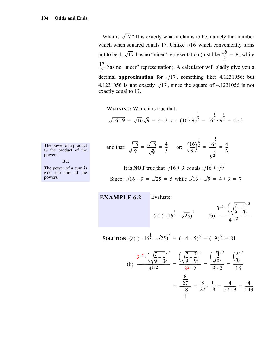What is  $\sqrt{17}$ ? It is exactly what it claims to be; namely that number which when squared equals 17. Unlike  $\sqrt{16}$  which conveniently turns out to be 4,  $\sqrt{17}$  has no "nicer" representation (just like  $\frac{16}{2}$  = 8, while  $\frac{17}{2}$  has no "nicer" representation). A calculator will gladly give you a decimal **approximation** for  $\sqrt{17}$ , something like: 4.1231056; but 4.1231056 is **not** exactly  $\sqrt{17}$ , since the square of 4.1231056 is not exactly equal to 17. 2  $\frac{10}{2}$  = 8 2  $\frac{1}{2}$ 

**WARNING:** While it is true that;

$$
\sqrt{16 \cdot 9} = \sqrt{16} \sqrt{9} = 4 \cdot 3
$$
 or:  $(16 \cdot 9)^{\frac{1}{2}} = 16^{\frac{1}{2}} \cdot 9^{\frac{1}{2}} = 4 \cdot 3$ 

The power of a product **IS** the product of the powers.

But

The power of a sum is **NOT** the sum of the powers.

and that: 
$$
\sqrt{\frac{16}{9}} = \frac{\sqrt{16}}{\sqrt{9}} = \frac{4}{3}
$$
 or:  $\left(\frac{16}{9}\right)^{\frac{1}{2}} = \frac{16^{\frac{1}{2}}}{9^{\frac{1}{2}}} = \frac{4}{3}$ 

It is **NOT** true that  $\sqrt{16 + 9}$  equals  $\sqrt{16} + \sqrt{9}$ Since:  $\sqrt{16} + 9 = \sqrt{25} = 5$  while  $\sqrt{16} + \sqrt{9} = 4 + 3 = 7$ 

**EXAMPLE 6.2** Evaluate: (a)  $(-16^{\frac{1}{2}} - \sqrt{25})^2$  (b)  $(-16^{\frac{1}{2}} - \sqrt{25})^2$  (b)  $\frac{3^{-2} \cdot (\sqrt{\frac{7}{9}})}{1^{1/2}}$  $\cdot \left(\sqrt{\frac{7}{9}-\frac{1}{3}}\right)^3$  $\frac{(\sqrt{9})}{4^{1/2}}$ 

**SOLUTION:** (a) 
$$
(-16^{\frac{1}{2}} - \sqrt{25})^2 = (-4 - 5)^2 = (-9)^2 = 81
$$

(b) 
$$
\frac{3^{-2} \cdot \left(\sqrt{\frac{7}{9} - \frac{1}{3}}\right)^3}{4^{1/2}} = \frac{\left(\sqrt{\frac{7}{9} - \frac{3}{9}}\right)^3}{3^2 \cdot 2} = \frac{\left(\sqrt{\frac{4}{9}}\right)^3}{9 \cdot 2} = \frac{\left(\frac{2}{3}\right)^3}{18} = \frac{\frac{8}{27}}{\frac{18}{18}} = \frac{8}{27} \cdot \frac{1}{18} = \frac{4}{27 \cdot 9} = \frac{4}{243}
$$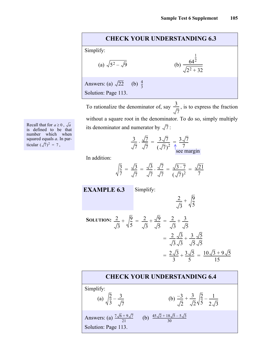#### **CHECK YOUR UNDERSTANDING 6.3**

Simplify:

| $_{\rm{unupary.}}$<br>(a) $\sqrt{5^2 - \sqrt{9}}$                 | (b) $\frac{64^2}{\sqrt{2^2+32}}$ |
|-------------------------------------------------------------------|----------------------------------|
| Answers: (a) $\sqrt{22}$ (b) $\frac{4}{3}$<br>Solution: Page 113. |                                  |

To rationalize the denominator of, say  $\frac{3}{5}$ , is to express the fraction without a square root in the denominator. To do so, simply multiply its denominator and numerator by  $\sqrt{7}$ : 7  $\frac{1}{\sqrt{2}}$ 

$$
\frac{3}{\sqrt{7}} \cdot \frac{\sqrt{7}}{\sqrt{7}} = \frac{3\sqrt{7}}{(\sqrt{7})^2} = \frac{3\sqrt{7}}{\frac{7}{\text{see margin}}}
$$

In addition:

$$
\sqrt{\frac{3}{7}} = \frac{\sqrt{3}}{\sqrt{7}} = \frac{\sqrt{3}}{\sqrt{7}} \cdot \frac{\sqrt{7}}{\sqrt{7}} = \frac{\sqrt{3} \cdot 7}{(\sqrt{7})^2} = \frac{\sqrt{21}}{7}
$$

**EXAMPLE 6.3** Simplify:

$$
\frac{2}{\sqrt{3}} + \sqrt{\frac{9}{5}}
$$

SOLUTION: 
$$
\frac{2}{\sqrt{3}} + \sqrt{\frac{9}{5}} = \frac{2}{\sqrt{3}} + \frac{\sqrt{9}}{\sqrt{5}} = \frac{2}{\sqrt{3}} + \frac{3}{\sqrt{5}}
$$
  

$$
= \frac{2}{\sqrt{3}}\frac{\sqrt{3}}{\sqrt{3}} + \frac{3}{\sqrt{5}}\frac{\sqrt{5}}{\sqrt{5}}
$$

$$
= \frac{2\sqrt{3}}{3} + \frac{3\sqrt{5}}{5} = \frac{10\sqrt{3} + 9\sqrt{5}}{15}
$$

#### **CHECK YOUR UNDERSTANDING 6.4** Simplify: (a)  $\left| \frac{2}{5} - \frac{3}{5} \right|$  (b) Answers: (a)  $\frac{7\sqrt{6}+9\sqrt{7}}{21}$  (b)  $\frac{45\sqrt{2}+18\sqrt{5}-5\sqrt{3}}{30}$ Solution: Page 113. 3  $\frac{2}{3} - \frac{3}{3}$  $-\frac{3}{\sqrt{7}}$  (b)  $\frac{-3}{\sqrt{2}}$  $\frac{-3}{2} + \frac{3}{4}$ 2  $\frac{3}{5}$   $\frac{2}{5}$ 5  $\frac{2}{7} - \frac{1}{7}$  $2\sqrt{3}$  $+ - \frac{3}{5}$   $\left| \frac{2}{7} - \frac{1}{7} \right|$

Recall that for  $a \geq 0$ ,  $\sqrt{a}$ is defined to be that number which when squared equals *a*. In particular  $(\sqrt{7})^2 = 7$ ,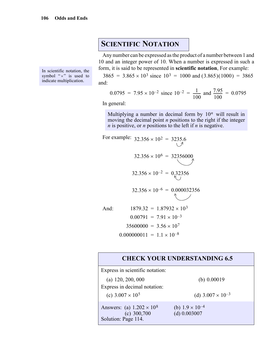## **SCIENTIFIC NOTATION**

Any number can be expressed as the product of a number between 1 and 10 and an integer power of 10. When a number is expressed in such a form, it is said to be represented in **scientific notation**, For example:

 $3865 = 3.865 \times 10^3$  since  $10^3 = 1000$  and  $(3.865)(1000) = 3865$ and:

$$
0.0795 = 7.95 \times 10^{-2}
$$
 since  $10^{-2} = \frac{1}{100}$  and  $\frac{7.95}{100} = 0.0795$ 

In general:

Multiplying a number in decimal form by  $10<sup>n</sup>$  will result in moving the decimal point *n* positions to the right if the integer *n* is positive, or *n* positions to the left if *n* is negative.

For example: 
$$
32.356 \times 10^2 = 3235.6
$$
  
\n $32.356 \times 10^6 = 32356000$   
\n $32.356 \times 10^{-2} = 0.32356$   
\n $32.356 \times 10^{-6} = 0.000032356$   
\nAnd:  $1879.32 = 1.87932 \times 10^3$   
\n $0.00791 = 7.91 \times 10^{-3}$   
\n $35600000 = 3.56 \times 10^7$   
\n $0.000000011 = 1.1 \times 10^{-8}$ 

# **CHECK YOUR UNDERSTANDING 6.5**

| Express in scientific notation:                                          |                                            |
|--------------------------------------------------------------------------|--------------------------------------------|
| (a) $120, 200, 000$<br>Express in decimal notation:                      | (b) $0.00019$                              |
| (c) $3.007 \times 10^5$                                                  | (d) $3.007 \times 10^{-3}$                 |
| Answers: (a) $1.202 \times 10^8$<br>$(c)$ 300,700<br>Solution: Page 114. | (b) $1.9 \times 10^{-4}$<br>$(d)$ 0.003007 |

In scientific notation, the symbol " $\times$ " is used to indicate multiplication.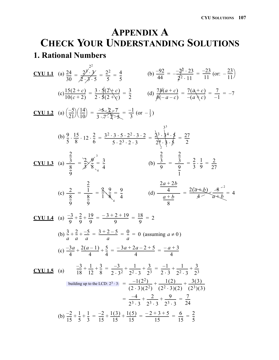## **APPENDIX A CHECK YOUR UNDERSTANDING SOLUTIONS 1. Rational Numbers**

**CYU 1.1** (a)  $\frac{24}{5} = \frac{2^3 \cdot 3^2}{5^2} = \frac{2^2}{5^2} = \frac{4}{5}$  (b) (c)  $\frac{15(2+c)}{10(c+2)} = \frac{3 \cdot 5(2+c)}{2 \cdot 5(2+c)} = \frac{3}{2}$  (d)  $\frac{7b(a+c)}{b(-a-c)} = \frac{7(a+c)}{-(a+c)} = \frac{7}{-1} = -7$ **CYU 1.2** (a)  $\left(\frac{-5}{21}\right)$  $(b)$   $\frac{9}{2}$ **CYU 1.3** (a)  $\frac{3}{2} = \frac{2}{3}\sqrt{\frac{2}{9}} = \frac{3}{4}$  (b) (c)  $\frac{2}{0} = \frac{1}{0} = \frac{2}{1} \sqrt{\frac{9}{0}} = \frac{9}{1}$  (d) **CYU 1.4** (a)  $\frac{-3}{6}$ (b)  $\frac{3}{2} + \frac{2}{2} + \frac{-5}{2} = \frac{3+2-5}{2} = \frac{0}{2} = 0$  (assuming  $a \neq 0$ ) (c) –3*a* **CYU 1.5** (a) (b)  $\frac{-2}{15}$ 30  $\frac{24}{30} = \frac{2^{\cancel{3}} \cdot \cancel{3}}{\cancel{2} \cdot \cancel{3} \cdot 5} = \frac{2^2}{5}$  $=\frac{2^3 \cdot 3^2}{2^2 \cdot 3^2 \cdot 5} = \frac{2^2}{5} = \frac{4}{5}$ 22 –92 44  $\frac{-92}{44} = \frac{-2/2 \cdot 23}{2^2 \cdot 11} = \frac{-23}{11}$  (or:  $-\frac{23}{11}$ )  $\left(\frac{-5}{21}\right)\left(\frac{14}{10}\right) = \frac{-5\cdot 2\cdot 7}{3\cdot 7\cdot 2\cdot 5} = \frac{-1}{3}$  (or  $-\frac{1}{3}$ ) 5  $\frac{9}{5} \cdot \frac{15}{9}$  $\frac{15}{8} \cdot 12 \cdot \frac{2}{6} = \frac{3^2 \cdot 3 \cdot 5 \cdot 2^2 \cdot 3 \cdot 2}{5 \cdot 2^3 \cdot 2 \cdot 3} = \frac{\frac{3}{3} \cdot \frac{3}{5} \cdot \frac{4}{5}}{2^4 \cdot \frac{5}{5} \cdot \frac{6}{5}} = \frac{27}{2}$ 2 33  $\frac{2}{3}$  $\frac{8}{2}$ 9  $\frac{3}{8} = \frac{2}{3}$  $\frac{2}{\sqrt{2}}$ 8  $=\frac{2}{3}\sqrt{\frac{9}{8}}=\frac{3}{4}$ 3 4  $\frac{2}{3}$ 9  $\frac{v}{\sqrt{2}}$  $\frac{2}{3}$ 9 1 י<br>- $\frac{3}{9} = \frac{2}{3}$  $\frac{2}{5} \cdot \frac{1}{5}$ 9  $=\frac{3}{9}=\frac{2}{3}\cdot\frac{1}{9}=\frac{2}{27}$ 8 9  $\frac{0}{2}$  $\frac{2}{\sqrt{2}}$  $\frac{2}{1}$ 8 9  $\frac{0}{2}$  $\frac{1}{8} = \frac{2}{1}$  $\frac{2}{7}$  $\frac{9}{7}$  $=\frac{1}{\frac{8}{2}} = \frac{2}{1} \sqrt{\frac{9}{8}} = \frac{9}{4}$  $\frac{2a+2b}{4}$  $\frac{a+b}{8}$  $\frac{4}{a+b} = \frac{2(a+b)}{4} \sqrt{\frac{8}{a+b}} = 4$ 2 9  $\frac{-3}{2} + \frac{2}{3}$ 9  $\frac{2}{9} + \frac{19}{9}$ 9  $+\frac{2}{9} + \frac{19}{9} = \frac{-3 + 2 + 19}{9} = \frac{18}{9} = 2$ *a*  $\frac{3}{2} + \frac{2}{2}$ *a*  $2 + -5$ *a*  $+\frac{2}{a} + \frac{-5}{a} = \frac{3+2-5}{a} = \frac{0}{a} = 0$  (assuming  $a \neq 0$ 4  $\frac{-3a}{4} + \frac{2(a-1)}{4} + \frac{5}{4}$  $+\frac{2(a-1)}{4} + \frac{5}{4} = \frac{-3a+2a-2+5}{4} = \frac{-a+3}{4}$ –3 18  $\frac{-3}{10} + \frac{1}{10}$ 12  $\frac{1}{12} + \frac{3}{8}$ 8  $+\frac{1}{12} + \frac{3}{8} = \frac{-3}{12}$  $2 \cdot 3^2$  $\frac{-3}{2 \cdot 3^2} + \frac{1}{2^2 \cdot 3} + \frac{3}{2^3}$  $=$   $\frac{-3}{2 \cdot 3^2} + \frac{1}{2^2 \cdot 3} + \frac{3}{2^3} = \frac{-1}{2 \cdot 3} + \frac{1}{2^2 \cdot 3} + \frac{3}{2^3}$ building up to the LCD:  $2^3 \cdot 3$ :  $= \frac{-1(2^2)}{(2 \cdot 3)(2^2)} + \frac{1(2)}{(2^2 \cdot 3)(2)} + \frac{3(3)}{(2^3)(3)}$  $\frac{-4}{2^3 \cdot 3} + \frac{2}{2^3 \cdot 3} + \frac{9}{2^3 \cdot 3}$  $=\frac{-4}{2^3 \cdot 3} + \frac{2}{2^3 \cdot 3} + \frac{9}{2^3 \cdot 3} = \frac{7}{24}$ 15  $\frac{-2}{15} + \frac{1}{7}$ 5  $\frac{1}{7} + \frac{1}{7}$ 3  $+\frac{1}{7}+\frac{1}{2}=\frac{-2}{15}$ 15  $\frac{-2}{15} + \frac{1(3)}{15}$ 15  $\frac{1(3)}{15} + \frac{1(5)}{15}$ 15  $+\frac{1(3)}{15} + \frac{1(5)}{15} = \frac{-2+3+5}{15} = \frac{6}{15}$  $=\frac{-2}{15} + \frac{1(3)}{15} + \frac{1(5)}{15} = \frac{-2+3+5}{15} = \frac{6}{15} = \frac{2}{5}$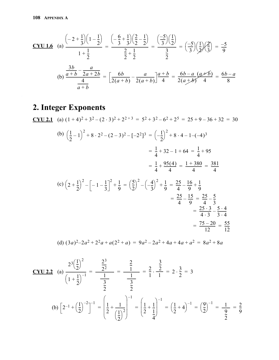**CYU 1.6** (a) 
$$
\frac{\left(-2 + \frac{1}{3}\right)\left(1 - \frac{1}{2}\right)}{1 + \frac{1}{2}} = \frac{\left(-\frac{6}{3} + \frac{1}{3}\right)\left(\frac{2}{2} - \frac{1}{2}\right)}{\frac{2}{2} + \frac{1}{2}} = \frac{\left(-\frac{5}{3}\right)\left(\frac{1}{2}\right)}{\frac{3}{2}} = \left(-\frac{5}{3}\right)\left(\frac{1}{2}\right)\left(\frac{2}{3}\right) = \frac{-5}{9}
$$
  
(b) 
$$
\frac{\frac{3b}{a+b} - \frac{a}{2a+2b}}{\frac{4}{a+b}} = \left[\frac{6b}{2(a+b)} - \frac{a}{2(a+b)}\right]\frac{a+b}{4} = \frac{6b-a}{2(a+b)}\frac{(a+b)}{4} = \frac{6b-a}{8}
$$

### **2. Integer Exponents**

**CYU 2.1** (a)  $(1+4)^2 + 3^2 - (2 \cdot 3)^2 + 2^{2+3} = 5^2 + 3^2 - 6^2 + 2^5 = 25 + 9 - 36 + 32 = 30$ (b)  $(1)$ (c)  $\left(2+\frac{1}{2}\right)$  $\left(\frac{1}{2}-1\right)^2 + 8 \cdot 2^2 - (2-3)^2 - [-2^2]^3 = \left(-\frac{1}{2}\right)$  $=\left(-\frac{1}{2}\right)^2 + 8 \cdot 4 - 1 - (-4)^3$ 1 4  $=\frac{1}{4} + 32 - 1 + 64 = \frac{1}{4} + 95$ 1 4  $\frac{1}{4} + \frac{95(4)}{4}$ 4  $=\frac{1}{4} + \frac{95(4)}{4} = \frac{1+380}{4} = \frac{381}{4}$  $\left(2+\frac{1}{2}\right)^2 - \left[-1-\frac{1}{3}\right]^2 + \frac{1}{9}$ 9  $+\frac{1}{9} = \left(\frac{5}{2}\right)^2 - \left(-\frac{4}{3}\right)^2 + \frac{1}{9}$ 9  $+\frac{1}{2} = \frac{25}{4}$ 4  $=\left(\frac{5}{2}\right)^2 - \left(-\frac{4}{3}\right)^2 + \frac{1}{9} = \frac{25}{4} - \frac{16}{9} + \frac{1}{9}$ 25 4  $\frac{25}{4} - \frac{15}{9} = \frac{25}{4}$  $=\frac{25}{4} - \frac{15}{9} = \frac{25}{4} - \frac{5}{3}$  $=\frac{25 \cdot 3}{4 \cdot 3} - \frac{5 \cdot 4}{3 \cdot 4}$  $=\frac{75-20}{12}=\frac{55}{12}$  $(3a)^2-2a^2+2^2a+a(2^2+a) = 9a^2-2a^2+4a+4a+a^2 = 8a^2+8a^2$ 

(d) 
$$
(3a)^2 - 2a^2 + 2^2a + a(2^2 + a) = 9a^2 - 2a^2 + 4a + 4a + a^2 = 8a^2 + 8a
$$

**CYU 2.2** (a) 
$$
\frac{2^3 \left(\frac{1}{2}\right)^2}{\left(1+\frac{1}{2}\right)^{-1}} = \frac{\frac{2^3}{2^2}}{\frac{1}{2}} = \frac{\frac{2}{1}}{\frac{1}{2}} = \frac{2}{1} \cdot \frac{\frac{3}{2}}{\frac{3}{2}} = 2 \cdot \frac{3}{2} = 3
$$
  
(b) 
$$
\left[2^{-1} + \left(\frac{1}{2}\right)^{-2}\right]^{-1} = \left(\frac{1}{2} + \frac{1}{\left(\frac{1}{2}\right)^2}\right)^{-1} = \left(\frac{1}{2} + \frac{1}{\frac{1}{4}}\right)^{-1} = \left(\frac{1}{2} + 4\right)^{-1} = \left(\frac{9}{2}\right)^{-1} = \frac{1}{\frac{9}{2}} = \frac{2}{9}
$$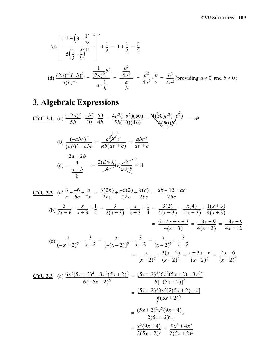(c)
$$
\left[\frac{5^{-1} + \left(3 - \frac{1}{2}\right)^{-2}}{5\left(\frac{1}{3} - \frac{5}{9}\right)^{17}}\right] + \frac{1}{2} = 1 + \frac{1}{2} = \frac{3}{2}
$$
  
(d)
$$
\frac{(2a)^{-2}(-b)^2}{a(b)^{-1}} = \frac{\frac{1}{(2a)^2}b^2}{a \cdot \frac{1}{b}} = \frac{\frac{b^2}{4a^2}}{\frac{a}{b}} = \frac{b^2}{4a^2} \cdot \frac{b}{a} = \frac{b^3}{4a^3}
$$
(providing  $a \neq 0$  and  $b \neq 0$ )

# 3. Algebraic Expressions

CYU 3.1 (a) 
$$
\frac{(-2a)^2}{5b} \cdot \frac{-b^2}{10} \cdot \frac{50}{4b} = \frac{4a^2(-b^2)(50)}{5b(10)(4b)} = \frac{4(50)a^2(-b^2)}{4(50)b^2} = -a^2
$$
  
\n(b)  $\frac{(-abc)^2}{(ab)^2 + abc} = \frac{a^2b^2c^2}{ab(ab + c)} = \frac{abc^2}{ab + c}$   
\n(c)  $\frac{\frac{2a + 2b}{4}}{\frac{a+b}{8}} = \frac{2(a+b)}{4} \cdot \frac{8}{a+b} = 4$ 

**CYU 3.2** (a) 
$$
\frac{3}{c} + \frac{-6}{bc} + \frac{a}{2b} = \frac{3(2b)}{2bc} + \frac{-6(2)}{2bc} + \frac{a(c)}{2bc} = \frac{6b - 12 + ac}{2bc}
$$
  
\n(b)  $\frac{3}{2x + 6} - \frac{x}{x + 3} + \frac{1}{4} = \frac{3}{2(x + 3)} - \frac{x}{x + 3} + \frac{1}{4} = \frac{3(2)}{4(x + 3)} - \frac{x(4)}{4(x + 3)} + \frac{1(x + 3)}{4(x + 3)}$   
\n
$$
= \frac{6 - 4x + x + 3}{4(x + 3)} = \frac{-3x + 9}{4(x + 3)} = \frac{-3x + 9}{4x + 12}
$$
\n(c)  $\frac{x}{(-x + 2)^2} + \frac{3}{x - 2} = \frac{x}{[-(x - 2)]^2} + \frac{3}{x - 2} = \frac{x}{(x - 2)^2} + \frac{3}{x - 2} = \frac{x}{(x - 2)^2} + \frac{3(x - 2)}{(x - 2)^2} = \frac{x + 3x - 6}{(x - 2)^2} = \frac{4x - 6}{(x - 2)^2}$   
\n**CYU 3.3** (a)  $\frac{6x^2(5x + 2)^4 - 3x^3(5x + 2)^3}{6(-5x - 2)^6} = \frac{(5x + 2)^3[6x^2(5x + 2) - 3x^3]}{6[-(5x + 2)]^6}$   
\n
$$
= \frac{(5x + 2)^33x^2[2(5x + 2) - x]}{6(5x + 2)^6}
$$

$$
= \frac{(5x+2)^3x^2(9x+4)}{2(5x+2)^6}
$$
  
= 
$$
\frac{x^2(9x+4)}{2(5x+2)^3} = \frac{9x^3+4x^2}{2(5x+2)^3}
$$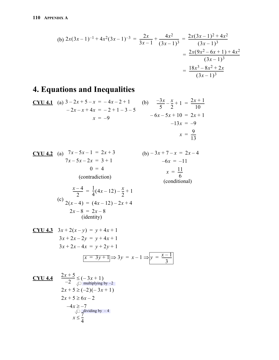$$
(b) \ 2x(3x-1)^{-1} + 4x^2(3x-1)^{-3} = \frac{2x}{3x-1} + \frac{4x^2}{(3x-1)^3} = \frac{2x(3x-1)^2 + 4x^2}{(3x-1)^3}
$$

$$
= \frac{2x(9x^2 - 6x + 1) + 4x^2}{(3x-1)^3}
$$

$$
= \frac{18x^3 - 8x^2 + 2x}{(3x-1)^3}
$$

# **4. Equations and Inequalities**

CYU 4.1 (a) 
$$
3-2x+5-x=-4x-2+1
$$
 (b)  $\frac{-3x}{5} - \frac{x}{2} + 1 = \frac{2x+1}{10}$   
\t $-2x-x+4x = -2+1-3-5$  (b)  $-\frac{3x}{5} - \frac{x}{2} + 1 = \frac{2x+1}{10}$   
\t $x = -9$  (b)  $-6x-5x+10 = 2x+1$   
\t $-13x = -9$   
\t $x = \frac{9}{13}$   
\t $x = \frac{5}{13}$   
\t $3x-5x-2x = 3+1$  (c)  $2x-5x-2x = 3+1$  (d)  $-6x = -11$   
\t $0 = 4$  (contradiction)  
\t $\frac{x-4}{2} = \frac{1}{4}(4x-12) - \frac{x}{2} + 1$   
\t(c)  $2(x-4) = (4x-12) - 2x + 4$   
\t $2x-8 = 2x-8$   
\t $(identity)$   
\t $6x-12x+1$   
\t $3x+2x-2y = y+4x+1$   
\t $3x+2x-4x = y+2y+1$   
\t $\frac{x}{2} = \frac{3y+1}{2} - 3y = x-1 \Rightarrow y = \frac{x-1}{3}$   
\t $2x+5 \ge (-3x+1)$   
\t $2x+5 \ge 6x-2$ 

$$
x + 3 \ge 6x - 2
$$
  
-4x \ge -7  

$$
\sqrt{2}
$$
 dividing by -4  

$$
x \le \frac{7}{4}
$$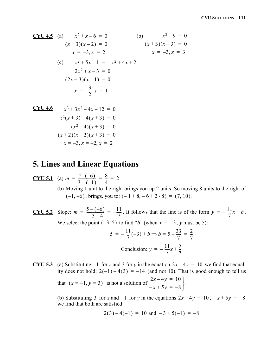| CYU 4.5                            | (a) $x^2 + x - 6 = 0$ | (b) $x^2 - 9 = 0$ |
|------------------------------------|-----------------------|-------------------|
| $(x + 3)(x - 2) = 0$               | $(x + 3)(x - 3) = 0$  |                   |
| $x = -3, x = 2$                    | $x = -3, x = 3$       |                   |
| (c) $x^2 + 5x - 1 = -x^2 + 4x + 2$ |                       |                   |
| $2x^2 + x - 3 = 0$                 |                       |                   |
| $(2x + 3)(x - 1) = 0$              |                       |                   |
| $x = -\frac{3}{2}, x = 1$          |                       |                   |

$$
CYU 4.6 \qquad x^3 + 3x^2 - 4x - 12 = 0
$$
  

$$
x^2(x+3) - 4(x+3) = 0
$$
  

$$
(x^2 - 4)(x+3) = 0
$$
  

$$
(x+2)(x-2)(x+3) = 0
$$
  

$$
x = -3, x = -2, x = 2
$$

#### **5. Lines and Linear Equations**

**CYU 5.1** (a)  $m = \frac{2-(-6)}{3-(-1)} = \frac{8}{4} = 2$ (b) Moving 1 unit to the right brings you up 2 units. So moving 8 units to the right of  $(-1, -6)$ , brings. you to:  $(-1 + 8, -6 + 2 \cdot 8) = (7, 10)$ .

**CYU 5.2** Slope:  $m = \frac{5 - (-6)}{-3 - 4} = -\frac{11}{7}$ . It follows that the line is of the form  $y = -\frac{11}{7}x + b$ . We select the point  $(-3, 5)$  to find "*b*" (when  $x = -3$ , *y* must be 5):

$$
5 = -\frac{11}{7}(-3) + b \Rightarrow b = 5 - \frac{33}{7} = \frac{2}{7}
$$
  
Conclusion:  $y = -\frac{11}{7}x + \frac{2}{7}$ 

**CYU 5.3** (a) Substituting  $-1$  for *x* and 3 for *y* in the equation  $2x - 4y = 10$  we find that equality does not hold:  $2(-1) - 4(3) = -14$  (and not 10). That is good enough to tell us  $2x - 4y = 10$  $\overline{\phantom{a}}$ 

that  $(x = -1, y = 3)$  is not a solution of  $\begin{bmatrix} 2x & y & 1 \end{bmatrix}$ .  $-x+5y = -8$ 

(b) Substituting 3 for *x* and  $-1$  for *y* in the equations  $2x - 4y = 10$ ,  $-x + 5y = -8$ we find that both are satisfied:

$$
2(3) - 4(-1) = 10
$$
 and  $-3 + 5(-1) = -8$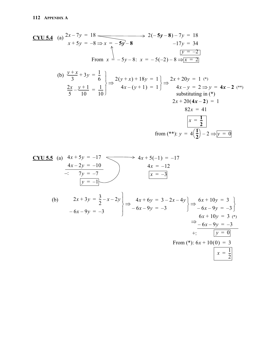CYU 5.4 (a) 
$$
2x - 7y = 18
$$
  
\n $x + 5y = -8 \Rightarrow x = -5y - 8$   
\nFrom  $x = -5y - 8$ :  $x = -5(-2) - 8 \Rightarrow \frac{x}{2}$   
\n(b)  $\frac{y + x}{3} + 3y = \frac{1}{6}$   
\n $\frac{2x}{5} - \frac{y + 1}{10} = \frac{1}{10}$   
\n $\left.\begin{matrix} \frac{2x}{3} + 3y = \frac{1}{6} \\ \frac{2x}{3} + 3y = \frac{1}{6} \\ \frac{2x}{3} + 3y = \frac{1}{10} \end{matrix}\right\}$   
\n $\Rightarrow$   $\left.\begin{matrix} 2(y + x) + 18y = 1 \\ 4x - (y + 1) = 1 \end{matrix}\right\}$   
\n $\Rightarrow$   $\left.\begin{matrix} 2x + 20y = 1 \\ 4x - y = 2 \Rightarrow y = 4x - 2 \end{matrix}\right\}$   
\n $\Rightarrow$   $\left.\begin{matrix} 2x + 20(4x - 2) = 1 \\ 82x = 41 \end{matrix}\right\}$   
\nfrom (\*\*):  $y = 4(\frac{1}{2}) - 2 \Rightarrow y = 0$ 

| CYU 5.5 (a)                                                                        | \n $\begin{aligned}\n 4x + 5y &= -17 \\ \hline\n 4x - 2y &= -10 \\ -2y &= -1\n \end{aligned}$ \n | \n $\begin{aligned}\n 4x &= -12 \\ \hline\n y &= -1\n \end{aligned}$ \n            |                                                                           |
|------------------------------------------------------------------------------------|--------------------------------------------------------------------------------------------------|------------------------------------------------------------------------------------|---------------------------------------------------------------------------|
| (b)                                                                                | \n $\begin{aligned}\n 2x + 3y &= \frac{3}{2} - x - 2y \\ -6x - 9y &= -3\n \end{aligned}$ \n      | \n $\begin{aligned}\n 4x + 6y &= 3 - 2x - 4y \\ -6x - 9y &= -3\n \end{aligned}$ \n | \n $\begin{aligned}\n 6x + 10y &= 3 \\ -6x - 9y &= -3\n \end{aligned}$ \n |
| $\begin{aligned}\n 6x + 10y &= 3 \text{ (*)} \\ -6x - 9y &= -3\n \end{aligned}$ \n |                                                                                                  |                                                                                    |                                                                           |
| From (*): $6x + 10(0) = 3$                                                         |                                                                                                  |                                                                                    |                                                                           |